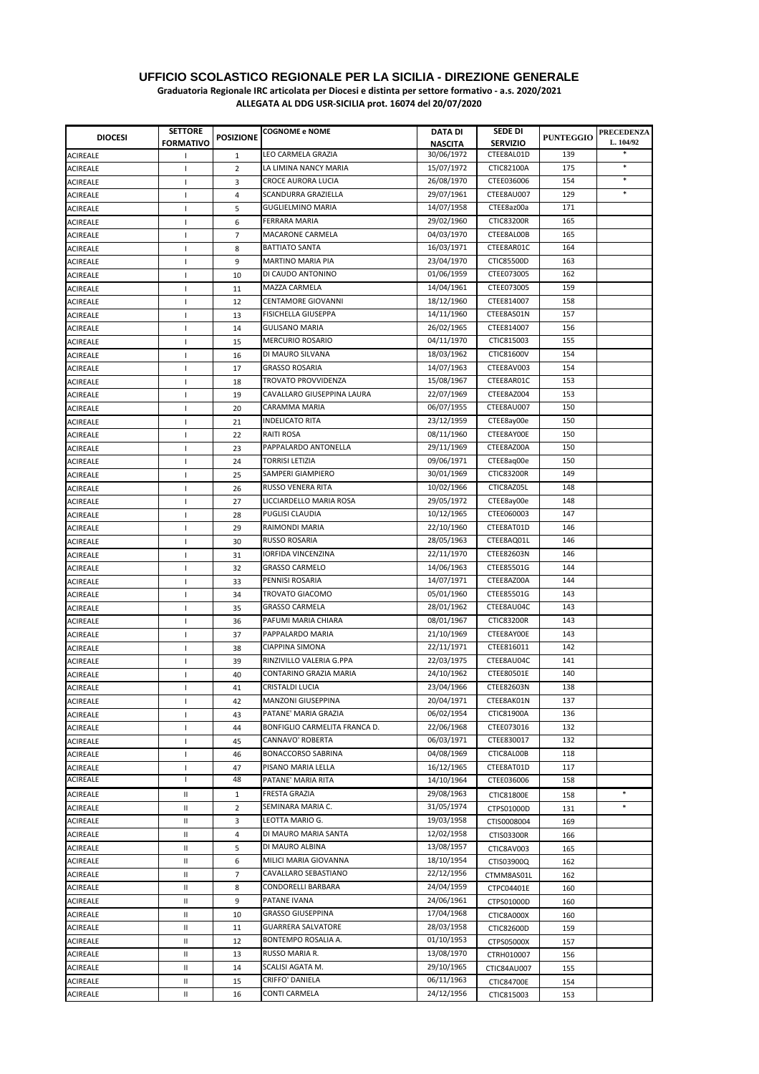#### **UFFICIO SCOLASTICO REGIONALE PER LA SICILIA - DIREZIONE GENERALE Graduatoria Regionale IRC articolata per Diocesi e distinta per settore formativo - a.s. 2020/2021**

| <b>DIOCESI</b>  | <b>SETTORE</b><br><b>FORMATIVO</b> | <b>POSIZIONE</b> | <b>COGNOME e NOME</b>                               | <b>DATA DI</b><br><b>NASCITA</b> | <b>SEDE DI</b><br><b>SERVIZIO</b> | <b>PUNTEGGIO</b> | <b>PRECEDENZA</b><br>L. 104/92 |
|-----------------|------------------------------------|------------------|-----------------------------------------------------|----------------------------------|-----------------------------------|------------------|--------------------------------|
| <b>ACIREALE</b> |                                    | 1                | LEO CARMELA GRAZIA                                  | 30/06/1972                       | CTEE8AL01D                        | 139              |                                |
| <b>ACIREALE</b> | $\mathbf{I}$                       | 2                | LA LIMINA NANCY MARIA                               | 15/07/1972                       | CTIC82100A                        | 175              | $\ast$                         |
| <b>ACIREALE</b> | $\mathbf{I}$                       | 3                | CROCE AURORA LUCIA                                  | 26/08/1970                       | CTEE036006                        | 154              | $\ast$                         |
| <b>ACIREALE</b> | т.                                 | 4                | SCANDURRA GRAZIELLA                                 | 29/07/1961                       | CTEE8AU007                        | 129              | $\ast$                         |
| <b>ACIREALE</b> | -1                                 | 5                | <b>GUGLIELMINO MARIA</b>                            | 14/07/1958                       | CTEE8az00a                        | 171              |                                |
| <b>ACIREALE</b> | T                                  | 6                | <b>FERRARA MARIA</b>                                | 29/02/1960                       | <b>CTIC83200R</b>                 | 165              |                                |
| <b>ACIREALE</b> | $\mathbf{I}$                       | $\overline{7}$   | MACARONE CARMELA                                    | 04/03/1970                       | CTEE8AL00B                        | 165              |                                |
| <b>ACIREALE</b> | $\mathbf{I}$                       | 8                | <b>BATTIATO SANTA</b>                               | 16/03/1971                       | CTEE8AR01C                        | 164              |                                |
| <b>ACIREALE</b> | $\mathbf{I}$                       | 9                | <b>MARTINO MARIA PIA</b>                            | 23/04/1970                       | CTIC85500D                        | 163              |                                |
| <b>ACIREALE</b> | T                                  | 10               | DI CAUDO ANTONINO                                   | 01/06/1959                       | CTEE073005                        | 162              |                                |
| <b>ACIREALE</b> | J.                                 | 11               | MAZZA CARMELA                                       | 14/04/1961                       | CTEE073005                        | 159              |                                |
| <b>ACIREALE</b> | H                                  | 12               | <b>CENTAMORE GIOVANNI</b>                           | 18/12/1960                       | CTEE814007                        | 158              |                                |
| <b>ACIREALE</b> | H                                  | 13               | <b>FISICHELLA GIUSEPPA</b>                          | 14/11/1960                       | CTEE8AS01N                        | 157              |                                |
|                 |                                    |                  | <b>GULISANO MARIA</b>                               | 26/02/1965                       | CTEE814007                        | 156              |                                |
| <b>ACIREALE</b> | п                                  | 14               | <b>MERCURIO ROSARIO</b>                             | 04/11/1970                       | CTIC815003                        | 155              |                                |
| <b>ACIREALE</b> | $\mathbf{I}$                       | 15               |                                                     |                                  |                                   | 154              |                                |
| <b>ACIREALE</b> | -1                                 | 16               | DI MAURO SILVANA                                    | 18/03/1962                       | CTIC81600V                        | 154              |                                |
| <b>ACIREALE</b> | J.                                 | 17               | <b>GRASSO ROSARIA</b><br><b>TROVATO PROVVIDENZA</b> | 14/07/1963                       | CTEE8AV003                        |                  |                                |
| <b>ACIREALE</b> | J.                                 | 18               |                                                     | 15/08/1967                       | CTEE8AR01C                        | 153              |                                |
| <b>ACIREALE</b> | $\mathbf{I}$                       | 19               | CAVALLARO GIUSEPPINA LAURA                          | 22/07/1969                       | CTEE8AZ004                        | 153              |                                |
| <b>ACIREALE</b> | -1                                 | 20               | CARAMMA MARIA                                       | 06/07/1955                       | CTEE8AU007                        | 150              |                                |
| <b>ACIREALE</b> | J.                                 | 21               | <b>INDELICATO RITA</b>                              | 23/12/1959                       | CTEE8ay00e                        | 150              |                                |
| <b>ACIREALE</b> | $\mathbf{I}$                       | 22               | <b>RAITI ROSA</b>                                   | 08/11/1960                       | CTEE8AY00E                        | 150              |                                |
| <b>ACIREALE</b> | $\mathbf{I}$                       | 23               | PAPPALARDO ANTONELLA                                | 29/11/1969                       | CTEE8AZ00A                        | 150              |                                |
| <b>ACIREALE</b> | J.                                 | 24               | <b>TORRISI LETIZIA</b>                              | 09/06/1971                       | CTEE8ag00e                        | 150              |                                |
| <b>ACIREALE</b> | $\mathbf{I}$                       | 25               | SAMPERI GIAMPIERO                                   | 30/01/1969                       | <b>CTIC83200R</b>                 | 149              |                                |
| <b>ACIREALE</b> | $\mathbf{I}$                       | 26               | RUSSO VENERA RITA                                   | 10/02/1966                       | CTIC8AZ05L                        | 148              |                                |
| <b>ACIREALE</b> | J.                                 | 27               | LICCIARDELLO MARIA ROSA                             | 29/05/1972                       | CTEE8ay00e                        | 148              |                                |
| <b>ACIREALE</b> | T                                  | 28               | PUGLISI CLAUDIA                                     | 10/12/1965                       | CTEE060003                        | 147              |                                |
| <b>ACIREALE</b> | <sup>1</sup>                       | 29               | RAIMONDI MARIA                                      | 22/10/1960                       | CTEE8AT01D                        | 146              |                                |
| <b>ACIREALE</b> | J.                                 | 30               | RUSSO ROSARIA                                       | 28/05/1963                       | CTEE8AQ01L                        | 146              |                                |
| <b>ACIREALE</b> | T                                  | 31               | <b>IORFIDA VINCENZINA</b>                           | 22/11/1970                       | CTEE82603N                        | 146              |                                |
| <b>ACIREALE</b> | 1                                  | 32               | <b>GRASSO CARMELO</b>                               | 14/06/1963                       | CTEE85501G                        | 144              |                                |
| <b>ACIREALE</b> | $\overline{1}$                     | 33               | PENNISI ROSARIA                                     | 14/07/1971                       | CTEE8AZ00A                        | 144              |                                |
| <b>ACIREALE</b> | $\mathbf{I}$                       | 34               | TROVATO GIACOMO                                     | 05/01/1960                       | CTEE85501G                        | 143              |                                |
| <b>ACIREALE</b> | $\mathbf{I}$                       | 35               | <b>GRASSO CARMELA</b>                               | 28/01/1962                       | CTEE8AU04C                        | 143              |                                |
| <b>ACIREALE</b> | T                                  | 36               | PAFUMI MARIA CHIARA                                 | 08/01/1967                       | <b>CTIC83200R</b>                 | 143              |                                |
| <b>ACIREALE</b> | $\mathbf{I}$                       | 37               | PAPPALARDO MARIA                                    | 21/10/1969                       | CTEE8AY00E                        | 143              |                                |
| <b>ACIREALE</b> | J.                                 | 38               | <b>CIAPPINA SIMONA</b>                              | 22/11/1971                       | CTEE816011                        | 142              |                                |
| <b>ACIREALE</b> | п                                  | 39               | RINZIVILLO VALERIA G.PPA                            | 22/03/1975                       | CTEE8AU04C                        | 141              |                                |
| <b>ACIREALE</b> | -1                                 | 40               | CONTARINO GRAZIA MARIA                              | 24/10/1962                       | CTEE80501E                        | 140              |                                |
| <b>ACIREALE</b> | 1                                  | 41               | CRISTALDI LUCIA                                     | 23/04/1966                       | CTEE82603N                        | 138              |                                |
| <b>ACIREALE</b> | Τ.                                 | 42               | MANZONI GIUSEPPINA                                  | 20/04/1971                       | CTEE8AK01N                        | 137              |                                |
| <b>ACIREALE</b> | 1                                  | 43               | PATANE' MARIA GRAZIA                                | 06/02/1954                       | CTIC81900A                        | 136              |                                |
| <b>ACIREALE</b> | 1                                  | 44               | BONFIGLIO CARMELITA FRANCA D.                       | 22/06/1968                       | CTEE073016                        | 132              |                                |
| <b>ACIREALE</b> | 1                                  | 45               | CANNAVO' ROBERTA                                    | 06/03/1971                       | CTEE830017                        | 132              |                                |
| <b>ACIREALE</b> | 1                                  | 46               | <b>BONACCORSO SABRINA</b>                           | 04/08/1969                       | CTIC8AL00B                        | 118              |                                |
| <b>ACIREALE</b> | T                                  | 47               | PISANO MARIA LELLA                                  | 16/12/1965                       | CTEE8AT01D                        | 117              |                                |
| <b>ACIREALE</b> | J.                                 | 48               | PATANE' MARIA RITA                                  | 14/10/1964                       | CTEE036006                        | 158              |                                |
| <b>ACIREALE</b> | Ш                                  | $\mathbf{1}$     | FRESTA GRAZIA                                       | 29/08/1963                       | CTIC81800E                        | 158              | $\ast$                         |
| <b>ACIREALE</b> | Ш                                  | $\overline{2}$   | SEMINARA MARIA C.                                   | 31/05/1974                       | CTPS01000D                        | 131              | $\ast$                         |
| <b>ACIREALE</b> | Ш                                  | 3                | LEOTTA MARIO G.                                     | 19/03/1958                       |                                   |                  |                                |
|                 |                                    |                  | DI MAURO MARIA SANTA                                | 12/02/1958                       | CTIS0008004                       | 169              |                                |
| <b>ACIREALE</b> | Ш                                  | 4                | DI MAURO ALBINA                                     | 13/08/1957                       | CTIS03300R                        | 166              |                                |
| <b>ACIREALE</b> | Ш                                  | 5                |                                                     |                                  | CTIC8AV003                        | 165              |                                |
| <b>ACIREALE</b> | Ш                                  | 6                | MILICI MARIA GIOVANNA                               | 18/10/1954                       | CTIS03900Q                        | 162              |                                |
| <b>ACIREALE</b> | Ш                                  | 7                | CAVALLARO SEBASTIANO                                | 22/12/1956                       | CTMM8AS01L                        | 162              |                                |
| <b>ACIREALE</b> | Ш                                  | 8                | CONDORELLI BARBARA                                  | 24/04/1959                       | CTPC04401E                        | 160              |                                |
| <b>ACIREALE</b> | Ш                                  | 9                | PATANE IVANA                                        | 24/06/1961                       | CTPS01000D                        | 160              |                                |
| <b>ACIREALE</b> | Ш                                  | 10               | <b>GRASSO GIUSEPPINA</b>                            | 17/04/1968                       | CTIC8A000X                        | 160              |                                |
| <b>ACIREALE</b> | Ш                                  | 11               | <b>GUARRERA SALVATORE</b>                           | 28/03/1958                       | CTIC82600D                        | 159              |                                |
| <b>ACIREALE</b> | Ш                                  | 12               | BONTEMPO ROSALIA A.                                 | 01/10/1953                       | CTPS05000X                        | 157              |                                |
| <b>ACIREALE</b> | Ш                                  | 13               | RUSSO MARIA R.                                      | 13/08/1970                       | CTRH010007                        | 156              |                                |
| <b>ACIREALE</b> | Ш                                  | 14               | SCALISI AGATA M.                                    | 29/10/1965                       | CTIC84AU007                       | 155              |                                |
| <b>ACIREALE</b> | Ш                                  | 15               | CRIFFO' DANIELA                                     | 06/11/1963                       | <b>CTIC84700E</b>                 | 154              |                                |
| <b>ACIREALE</b> | $\mathsf{I}$                       | 16               | CONTI CARMELA                                       | 24/12/1956                       | CTIC815003                        | 153              |                                |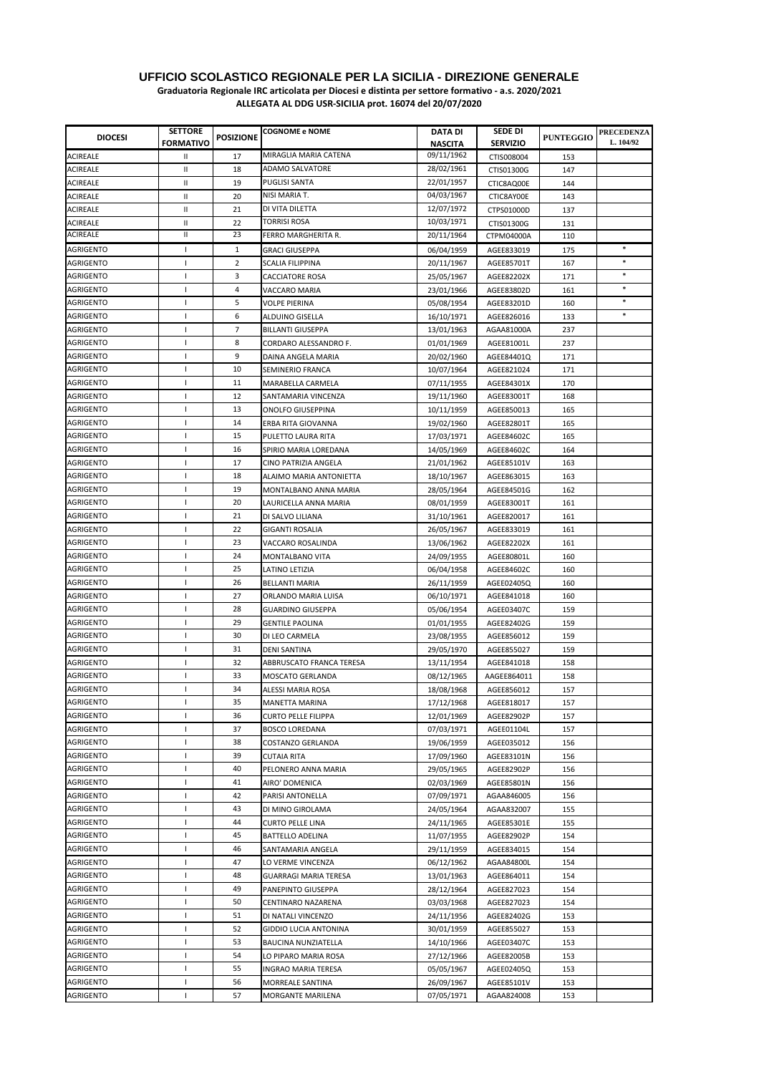| <b>DIOCESI</b>         | <b>SETTORE</b>   | <b>POSIZIONE</b> | <b>COGNOME e NOME</b>        | <b>DATA DI</b>           | SEDE DI         | <b>PUNTEGGIO</b> | <b>PRECEDENZA</b><br>L. 104/92 |
|------------------------|------------------|------------------|------------------------------|--------------------------|-----------------|------------------|--------------------------------|
|                        | <b>FORMATIVO</b> |                  |                              | <b>NASCITA</b>           | <b>SERVIZIO</b> |                  |                                |
| <b>ACIREALE</b>        | Ш                | 17               | MIRAGLIA MARIA CATENA        | 09/11/1962               | CTIS008004      | 153              |                                |
| <b>ACIREALE</b>        | Ш                | 18               | ADAMO SALVATORE              | 28/02/1961               | CTIS01300G      | 147              |                                |
| <b>ACIREALE</b>        | Ш                | 19               | PUGLISI SANTA                | 22/01/1957               | CTIC8AQ00E      | 144              |                                |
| <b>ACIREALE</b>        | Ш                | 20               | NISI MARIA T.                | 04/03/1967               | CTIC8AY00E      | 143              |                                |
| <b>ACIREALE</b>        | Ш                | 21               | DI VITA DILETTA              | 12/07/1972               | CTPS01000D      | 137              |                                |
| <b>ACIREALE</b>        | $\mathsf{I}$     | 22               | <b>TORRISI ROSA</b>          | 10/03/1971               | CTIS01300G      | 131              |                                |
| <b>ACIREALE</b>        | $\sf II$         | 23               | FERRO MARGHERITA R.          | 20/11/1964               | CTPM04000A      | 110              |                                |
| <b>AGRIGENTO</b>       | т.               | $\mathbf{1}$     | <b>GRACI GIUSEPPA</b>        | 06/04/1959               | AGEE833019      | 175              | $\ast$                         |
| AGRIGENTO              | т                | 2                | SCALIA FILIPPINA             | 20/11/1967               | AGEE85701T      | 167              | $\ast$                         |
| AGRIGENTO              | т                | 3                | <b>CACCIATORE ROSA</b>       | 25/05/1967               | AGEE82202X      | 171              | $\ast$                         |
| <b>AGRIGENTO</b>       | T                | 4                | VACCARO MARIA                | 23/01/1966               | AGEE83802D      | 161              | $\ast$                         |
| AGRIGENTO              | 1                | 5                | <b>VOLPE PIERINA</b>         | 05/08/1954               | AGEE83201D      | 160              | $\ast$                         |
| AGRIGENTO              | T                | 6                | ALDUINO GISELLA              | 16/10/1971               | AGEE826016      | 133              | $\ast$                         |
| AGRIGENTO              | п                | $\overline{7}$   | <b>BILLANTI GIUSEPPA</b>     | 13/01/1963               | AGAA81000A      | 237              |                                |
| <b>AGRIGENTO</b>       | J.               | 8                | CORDARO ALESSANDRO F.        | 01/01/1969               | AGEE81001L      | 237              |                                |
| AGRIGENTO              | п                | 9                | DAINA ANGELA MARIA           | 20/02/1960               | AGEE84401Q      | 171              |                                |
| AGRIGENTO              | T                | 10               | SEMINERIO FRANCA             | 10/07/1964               | AGEE821024      | 171              |                                |
| AGRIGENTO              | -1               | 11               | MARABELLA CARMELA            | 07/11/1955               | AGEE84301X      | 170              |                                |
| AGRIGENTO              | J.               | 12               | SANTAMARIA VINCENZA          | 19/11/1960               | AGEE83001T      | 168              |                                |
| AGRIGENTO              | T                | 13               | <b>ONOLFO GIUSEPPINA</b>     | 10/11/1959               | AGEE850013      | 165              |                                |
| AGRIGENTO              | J.               | 14               | ERBA RITA GIOVANNA           | 19/02/1960               | AGEE82801T      | 165              |                                |
| AGRIGENTO              | J.               | 15               | PULETTO LAURA RITA           | 17/03/1971               | AGEE84602C      | 165              |                                |
| AGRIGENTO              | 1                | 16               | SPIRIO MARIA LOREDANA        | 14/05/1969               | AGEE84602C      | 164              |                                |
| AGRIGENTO              | $\mathbf{I}$     | 17               | CINO PATRIZIA ANGELA         | 21/01/1962               | AGEE85101V      | 163              |                                |
| AGRIGENTO              | $\mathbf{I}$     | 18               | ALAIMO MARIA ANTONIETTA      | 18/10/1967               | AGEE863015      | 163              |                                |
| <b>AGRIGENTO</b>       | $\mathbf{I}$     | 19               | MONTALBANO ANNA MARIA        | 28/05/1964               | AGEE84501G      | 162              |                                |
| <b>AGRIGENTO</b>       | T                | 20               | LAURICELLA ANNA MARIA        | 08/01/1959               | AGEE83001T      | 161              |                                |
| AGRIGENTO              | 1                | 21               | DI SALVO LILIANA             | 31/10/1961               | AGEE820017      | 161              |                                |
| AGRIGENTO              | т                | 22               | GIGANTI ROSALIA              | 26/05/1967               | AGEE833019      | 161              |                                |
| AGRIGENTO              | $\mathbf{I}$     | 23               | VACCARO ROSALINDA            | 13/06/1962               | AGEE82202X      | 161              |                                |
| AGRIGENTO              | T                | 24               | MONTALBANO VITA              | 24/09/1955               | AGEE80801L      | 160              |                                |
| AGRIGENTO              | 1                | 25               | LATINO LETIZIA               |                          | AGEE84602C      | 160              |                                |
| AGRIGENTO              | ı                | 26               | BELLANTI MARIA               | 06/04/1958<br>26/11/1959 | AGEE02405Q      | 160              |                                |
| AGRIGENTO              | T                | 27               | ORLANDO MARIA LUISA          |                          | AGEE841018      | 160              |                                |
| AGRIGENTO              | T                | 28               |                              | 06/10/1971               |                 |                  |                                |
|                        | T                | 29               | <b>GUARDINO GIUSEPPA</b>     | 05/06/1954               | AGEE03407C      | 159              |                                |
| AGRIGENTO<br>AGRIGENTO | T                | 30               | <b>GENTILE PAOLINA</b>       | 01/01/1955               | AGEE82402G      | 159              |                                |
| <b>AGRIGENTO</b>       | T                | 31               | DI LEO CARMELA               | 23/08/1955               | AGEE856012      | 159              |                                |
|                        |                  |                  | <b>DENI SANTINA</b>          | 29/05/1970               | AGEE855027      | 159              |                                |
| AGRIGENTO              | п                | 32               | ABBRUSCATO FRANCA TERESA     | 13/11/1954               | AGEE841018      | 158              |                                |
| AGRIGENTO              | ı                | 33               | MOSCATO GERLANDA             | 08/12/1965               | AAGEE864011     | 158              |                                |
| <b>AGRIGENTO</b>       | 1                | 34               | ALESSI MARIA ROSA            | 18/08/1968               | AGEE856012      | 157              |                                |
| AGRIGENTO              | Τ.               | 35               | MANETTA MARINA               | 17/12/1968               | AGEE818017      | 157              |                                |
| AGRIGENTO              | 1                | 36               | <b>CURTO PELLE FILIPPA</b>   | 12/01/1969               | AGEE82902P      | 157              |                                |
| AGRIGENTO              | 1                | 37               | BOSCO LOREDANA               | 07/03/1971               | AGEE01104L      | 157              |                                |
| AGRIGENTO              | 1                | 38               | COSTANZO GERLANDA            | 19/06/1959               | AGEE035012      | 156              |                                |
| AGRIGENTO              | T                | 39               | CUTAIA RITA                  | 17/09/1960               | AGEE83101N      | 156              |                                |
| <b>AGRIGENTO</b>       | T                | 40               | PELONERO ANNA MARIA          | 29/05/1965               | AGEE82902P      | 156              |                                |
| AGRIGENTO              | T                | 41               | AIRO' DOMENICA               | 02/03/1969               | AGEE85801N      | 156              |                                |
| AGRIGENTO              | J.               | 42               | PARISI ANTONELLA             | 07/09/1971               | AGAA846005      | 156              |                                |
| AGRIGENTO              | T                | 43               | DI MINO GIROLAMA             | 24/05/1964               | AGAA832007      | 155              |                                |
| <b>AGRIGENTO</b>       | 1                | 44               | CURTO PELLE LINA             | 24/11/1965               | AGEE85301E      | 155              |                                |
| AGRIGENTO              | $\mathbf{I}$     | 45               | BATTELLO ADELINA             | 11/07/1955               | AGEE82902P      | 154              |                                |
| AGRIGENTO              | T                | 46               | SANTAMARIA ANGELA            | 29/11/1959               | AGEE834015      | 154              |                                |
| <b>AGRIGENTO</b>       | T                | 47               | LO VERME VINCENZA            | 06/12/1962               | AGAA84800L      | 154              |                                |
| <b>AGRIGENTO</b>       | T                | 48               | GUARRAGI MARIA TERESA        | 13/01/1963               | AGEE864011      | 154              |                                |
| <b>AGRIGENTO</b>       | ı                | 49               | PANEPINTO GIUSEPPA           | 28/12/1964               | AGEE827023      | 154              |                                |
| <b>AGRIGENTO</b>       | T                | 50               | CENTINARO NAZARENA           | 03/03/1968               | AGEE827023      | 154              |                                |
| <b>AGRIGENTO</b>       | T                | 51               | DI NATALI VINCENZO           | 24/11/1956               | AGEE82402G      | 153              |                                |
| AGRIGENTO              | т                | 52               | <b>GIDDIO LUCIA ANTONINA</b> | 30/01/1959               | AGEE855027      | 153              |                                |
| <b>AGRIGENTO</b>       | т                | 53               | BAUCINA NUNZIATELLA          | 14/10/1966               | AGEE03407C      | 153              |                                |
| <b>AGRIGENTO</b>       | 1                | 54               | LO PIPARO MARIA ROSA         | 27/12/1966               | AGEE82005B      | 153              |                                |
| <b>AGRIGENTO</b>       | L                | 55               | <b>INGRAO MARIA TERESA</b>   | 05/05/1967               | AGEE02405Q      | 153              |                                |
| AGRIGENTO              | т                | 56               | MORREALE SANTINA             | 26/09/1967               | AGEE85101V      | 153              |                                |
| AGRIGENTO              | ı                | 57               | MORGANTE MARILENA            | 07/05/1971               | AGAA824008      | 153              |                                |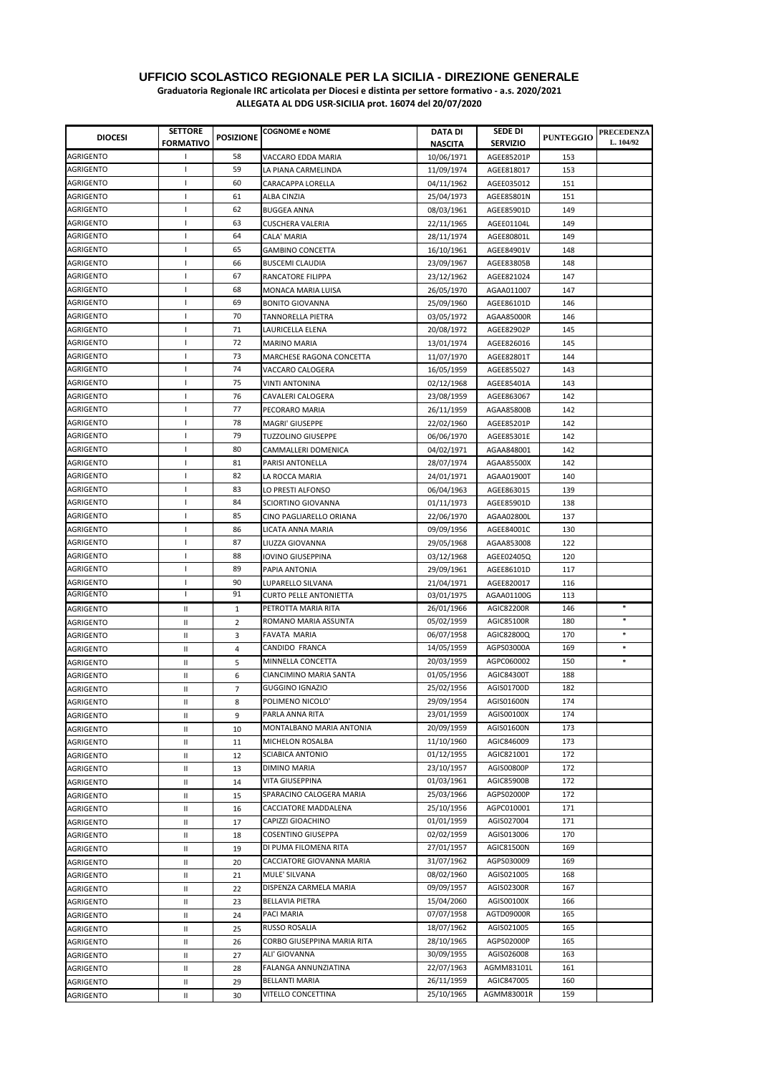| <b>DIOCESI</b>                       | <b>SETTORE</b><br><b>FORMATIVO</b> | <b>POSIZIONE</b> | <b>COGNOME e NOME</b>                                | DATA DI<br><b>NASCITA</b> | SEDE DI<br><b>SERVIZIO</b> | <b>PUNTEGGIO</b> | <b>PRECEDENZA</b><br>L. 104/92 |
|--------------------------------------|------------------------------------|------------------|------------------------------------------------------|---------------------------|----------------------------|------------------|--------------------------------|
| <b>AGRIGENTO</b>                     | J.                                 | 58               | VACCARO EDDA MARIA                                   | 10/06/1971                | AGEE85201P                 | 153              |                                |
| AGRIGENTO                            | т                                  | 59               | LA PIANA CARMELINDA                                  | 11/09/1974                | AGEE818017                 | 153              |                                |
| AGRIGENTO                            | ı                                  | 60               | CARACAPPA LORELLA                                    | 04/11/1962                | AGEE035012                 | 151              |                                |
| AGRIGENTO                            | J.                                 | 61               | ALBA CINZIA                                          | 25/04/1973                | AGEE85801N                 | 151              |                                |
| AGRIGENTO                            | J.                                 | 62               | <b>BUGGEA ANNA</b>                                   | 08/03/1961                | AGEE85901D                 | 149              |                                |
| AGRIGENTO                            | T                                  | 63               | CUSCHERA VALERIA                                     | 22/11/1965                | AGEE01104L                 | 149              |                                |
| AGRIGENTO                            | п                                  | 64               | CALA' MARIA                                          | 28/11/1974                | AGEE80801L                 | 149              |                                |
| <b>AGRIGENTO</b>                     | $\overline{\phantom{a}}$           | 65               | <b>GAMBINO CONCETTA</b>                              | 16/10/1961                | AGEE84901V                 | 148              |                                |
| AGRIGENTO                            | -1                                 | 66               | <b>BUSCEMI CLAUDIA</b>                               | 23/09/1967                | AGEE83805B                 | 148              |                                |
| AGRIGENTO                            | ı                                  | 67               | RANCATORE FILIPPA                                    | 23/12/1962                | AGEE821024                 | 147              |                                |
| <b>AGRIGENTO</b>                     | 1                                  | 68               | MONACA MARIA LUISA                                   | 26/05/1970                | AGAA011007                 | 147              |                                |
| AGRIGENTO                            | J.                                 | 69               | <b>BONITO GIOVANNA</b>                               | 25/09/1960                | AGEE86101D                 | 146              |                                |
| AGRIGENTO                            | T                                  | 70               | TANNORELLA PIETRA                                    | 03/05/1972                | AGAA85000R                 | 146              |                                |
| AGRIGENTO                            | J.                                 | 71               | LAURICELLA ELENA                                     | 20/08/1972                | AGEE82902P                 | 145              |                                |
| <b>AGRIGENTO</b>                     | J.                                 | 72               | <b>MARINO MARIA</b>                                  | 13/01/1974                | AGEE826016                 | 145              |                                |
| <b>AGRIGENTO</b>                     | $\mathbf{I}$                       | 73               | MARCHESE RAGONA CONCETTA                             | 11/07/1970                | AGEE82801T                 | 144              |                                |
| AGRIGENTO                            | $\mathbf{I}$                       | 74               | VACCARO CALOGERA                                     | 16/05/1959                | AGEE855027                 | 143              |                                |
| <b>AGRIGENTO</b>                     | $\mathbf{I}$                       | 75               |                                                      |                           |                            |                  |                                |
| <b>AGRIGENTO</b>                     | $\mathbf{I}$                       | 76               | VINTI ANTONINA<br>CAVALERI CALOGERA                  | 02/12/1968                | AGEE85401A<br>AGEE863067   | 143<br>142       |                                |
| AGRIGENTO                            | T                                  | 77               | PECORARO MARIA                                       | 23/08/1959<br>26/11/1959  | AGAA85800B                 | 142              |                                |
|                                      |                                    |                  |                                                      |                           |                            |                  |                                |
| AGRIGENTO<br>AGRIGENTO               | 1<br>ı                             | 78<br>79         | MAGRI' GIUSEPPE                                      | 22/02/1960                | AGEE85201P                 | 142<br>142       |                                |
|                                      |                                    |                  | TUZZOLINO GIUSEPPE                                   | 06/06/1970                | AGEE85301E                 |                  |                                |
| <b>AGRIGENTO</b><br>AGRIGENTO        | T<br>T                             | 80<br>81         | CAMMALLERI DOMENICA                                  | 04/02/1971                | AGAA848001                 | 142              |                                |
|                                      |                                    |                  | PARISI ANTONELLA                                     | 28/07/1974                | AGAA85500X                 | 142              |                                |
| AGRIGENTO                            | 1<br>$\overline{1}$                | 82               | LA ROCCA MARIA                                       | 24/01/1971                | AGAA01900T                 | 140              |                                |
| AGRIGENTO                            | $\mathbf{I}$                       | 83               | LO PRESTI ALFONSO                                    | 06/04/1963                | AGEE863015                 | 139              |                                |
| <b>AGRIGENTO</b>                     |                                    | 84               | <b>SCIORTINO GIOVANNA</b>                            | 01/11/1973                | AGEE85901D                 | 138              |                                |
| <b>AGRIGENTO</b>                     | 1                                  | 85               | CINO PAGLIARELLO ORIANA                              | 22/06/1970                | AGAA02800L                 | 137              |                                |
| AGRIGENTO                            | ı                                  | 86               | LICATA ANNA MARIA                                    | 09/09/1956                | AGEE84001C                 | 130              |                                |
| AGRIGENTO                            | п                                  | 87               | LIUZZA GIOVANNA                                      | 29/05/1968                | AGAA853008                 | 122              |                                |
| AGRIGENTO                            | T                                  | 88               | IOVINO GIUSEPPINA                                    | 03/12/1968                | AGEE02405Q                 | 120              |                                |
| AGRIGENTO                            | п                                  | 89               | PAPIA ANTONIA                                        | 29/09/1961                | AGEE86101D                 | 117              |                                |
| AGRIGENTO<br>AGRIGENTO               | п<br>I                             | 90<br>91         | LUPARELLO SILVANA                                    | 21/04/1971                | AGEE820017                 | 116              |                                |
|                                      |                                    |                  | <b>CURTO PELLE ANTONIETTA</b><br>PETROTTA MARIA RITA | 03/01/1975<br>26/01/1966  | AGAA01100G<br>AGIC82200R   | 113<br>146       | $\ast$                         |
| <b>AGRIGENTO</b>                     | Ш                                  | $\mathbf{1}$     | ROMANO MARIA ASSUNTA                                 | 05/02/1959                | <b>AGIC85100R</b>          | 180              | $\ast$                         |
| AGRIGENTO                            | Ш                                  | 2                | <b>FAVATA MARIA</b>                                  | 06/07/1958                | AGIC82800Q                 | 170              | $\ast$                         |
| AGRIGENTO                            | Ш                                  | 3                | CANDIDO FRANCA                                       | 14/05/1959                | AGPS03000A                 | 169              | $\ast$                         |
| AGRIGENTO                            | Ш                                  | 4                | MINNELLA CONCETTA                                    | 20/03/1959                | AGPC060002                 | 150              | $\ast$                         |
| <b>AGRIGENTO</b>                     | Ш                                  | 5                | <b>CIANCIMINO MARIA SANTA</b>                        | 01/05/1956                | AGIC84300T                 | 188              |                                |
| <b>AGRIGENTO</b>                     | Ш                                  | 6                | <b>GUGGINO IGNAZIO</b>                               | 25/02/1956                | AGIS01700D                 | 182              |                                |
| <b>AGRIGENTO</b>                     | Ш                                  | $\overline{7}$   | POLIMENO NICOLO'                                     | 29/09/1954                | AGIS01600N                 | 174              |                                |
| <b>AGRIGENTO</b>                     | Ш                                  | 8                | PARLA ANNA RITA                                      | 23/01/1959                | AGIS00100X                 | 174              |                                |
| <b>AGRIGENTO</b>                     | Ш                                  | 9                | MONTALBANO MARIA ANTONIA                             | 20/09/1959                | AGIS01600N                 | 173              |                                |
| <b>AGRIGENTO</b>                     | Ш                                  | 10               | MICHELON ROSALBA                                     | 11/10/1960                | AGIC846009                 | 173              |                                |
| <b>AGRIGENTO</b>                     | Ш                                  | 11               | SCIABICA ANTONIO                                     | 01/12/1955                | AGIC821001                 | 172              |                                |
| <b>AGRIGENTO</b>                     | $\sf II$                           | 12               |                                                      | 23/10/1957                | AGIS00800P                 |                  |                                |
| <b>AGRIGENTO</b>                     | Ш                                  | 13               | <b>DIMINO MARIA</b><br>VITA GIUSEPPINA               | 01/03/1961                | AGIC85900B                 | 172<br>172       |                                |
| <b>AGRIGENTO</b><br><b>AGRIGENTO</b> | Ш                                  | 14               | SPARACINO CALOGERA MARIA                             | 25/03/1966                | AGPS02000P                 | 172              |                                |
|                                      | Ш                                  | 15               | CACCIATORE MADDALENA                                 | 25/10/1956                | AGPC010001                 | 171              |                                |
| AGRIGENTO                            | Ш                                  | 16               | CAPIZZI GIOACHINO                                    | 01/01/1959                | AGIS027004                 | 171              |                                |
| AGRIGENTO                            | Ш                                  | 17               | <b>COSENTINO GIUSEPPA</b>                            | 02/02/1959                | AGIS013006                 | 170              |                                |
| AGRIGENTO                            | Ш                                  | 18               | DI PUMA FILOMENA RITA                                | 27/01/1957                | AGIC81500N                 | 169              |                                |
| AGRIGENTO                            | Ш                                  | 19               | CACCIATORE GIOVANNA MARIA                            | 31/07/1962                | AGPS030009                 |                  |                                |
| AGRIGENTO                            | Ш                                  | 20               |                                                      |                           |                            | 169              |                                |
| AGRIGENTO                            | Ш                                  | 21               | MULE' SILVANA<br>DISPENZA CARMELA MARIA              | 08/02/1960<br>09/09/1957  | AGIS021005                 | 168<br>167       |                                |
| AGRIGENTO                            | Ш                                  | 22               |                                                      |                           | AGIS02300R<br>AGIS00100X   |                  |                                |
| <b>AGRIGENTO</b>                     | $\mathsf{I}$                       | 23               | <b>BELLAVIA PIETRA</b>                               | 15/04/2060                |                            | 166              |                                |
| AGRIGENTO                            | $\mathsf{I}$                       | 24               | PACI MARIA                                           | 07/07/1958                | AGTD09000R                 | 165              |                                |
| <b>AGRIGENTO</b>                     | $\mathsf{I}$                       | 25               | <b>RUSSO ROSALIA</b>                                 | 18/07/1962                | AGIS021005                 | 165              |                                |
| AGRIGENTO                            | Ш                                  | 26               | CORBO GIUSEPPINA MARIA RITA                          | 28/10/1965                | AGPS02000P                 | 165              |                                |
| <b>AGRIGENTO</b>                     | Ш                                  | 27               | ALI' GIOVANNA                                        | 30/09/1955                | AGIS026008                 | 163              |                                |
| <b>AGRIGENTO</b>                     | Ш                                  | 28               | FALANGA ANNUNZIATINA                                 | 22/07/1963                | AGMM83101L                 | 161              |                                |
| AGRIGENTO                            | Ш                                  | 29               | BELLANTI MARIA                                       | 26/11/1959                | AGIC847005                 | 160              |                                |
| AGRIGENTO                            | Ш                                  | 30               | VITELLO CONCETTINA                                   | 25/10/1965                | AGMM83001R                 | 159              |                                |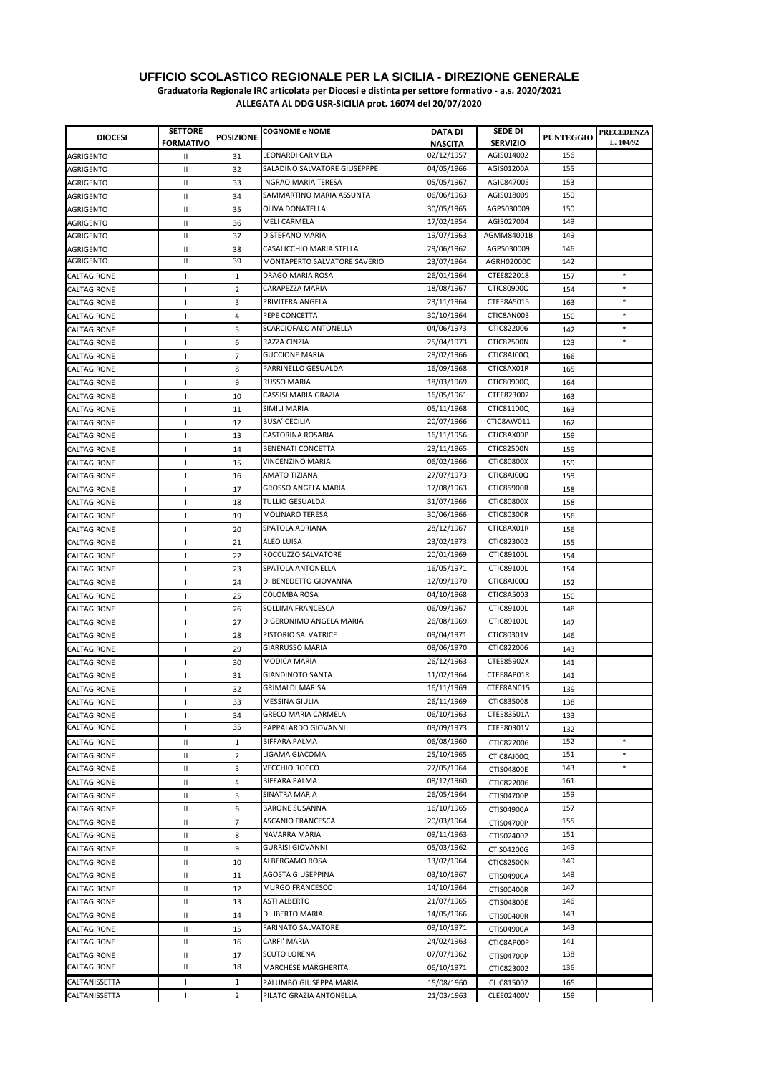**Graduatoria Regionale IRC articolata per Diocesi e distinta per settore formativo - a.s. 2020/2021**

| <b>DIOCESI</b>     | <b>SETTORE</b><br><b>FORMATIVO</b> | <b>POSIZIONE</b> | <b>COGNOME e NOME</b>        | <b>DATA DI</b><br><b>NASCITA</b> | SEDE DI<br><b>SERVIZIO</b> | <b>PUNTEGGIO</b> | <b>PRECEDENZA</b><br>L. 104/92 |
|--------------------|------------------------------------|------------------|------------------------------|----------------------------------|----------------------------|------------------|--------------------------------|
| <b>AGRIGENTO</b>   | Ш                                  | 31               | LEONARDI CARMELA             | 02/12/1957                       | AGIS014002                 | 156              |                                |
| <b>AGRIGENTO</b>   | Ш                                  | 32               | SALADINO SALVATORE GIUSEPPPE | 04/05/1966                       | AGIS01200A                 | 155              |                                |
| <b>AGRIGENTO</b>   | Ш                                  | 33               | <b>INGRAO MARIA TERESA</b>   | 05/05/1967                       | AGIC847005                 | 153              |                                |
| <b>AGRIGENTO</b>   | Ш                                  | 34               | SAMMARTINO MARIA ASSUNTA     | 06/06/1963                       | AGIS018009                 | 150              |                                |
| <b>AGRIGENTO</b>   | Ш                                  | 35               | OLIVA DONATELLA              | 30/05/1965                       | AGPS030009                 | 150              |                                |
| <b>AGRIGENTO</b>   | Ш                                  | 36               | <b>MELI CARMELA</b>          | 17/02/1954                       | AGIS027004                 | 149              |                                |
| <b>AGRIGENTO</b>   | Ш                                  | 37               | <b>DISTEFANO MARIA</b>       | 19/07/1963                       | AGMM84001B                 | 149              |                                |
| AGRIGENTO          | Ш                                  | 38               | CASALICCHIO MARIA STELLA     | 29/06/1962                       | AGPS030009                 | 146              |                                |
| <b>AGRIGENTO</b>   | Ш                                  | 39               | MONTAPERTO SALVATORE SAVERIO | 23/07/1964                       | AGRH02000C                 | 142              |                                |
| CALTAGIRONE        | т.                                 | $\mathbf{1}$     | DRAGO MARIA ROSA             | 26/01/1964                       | CTEE822018                 | 157              | $\ast$                         |
| CALTAGIRONE        | T                                  | 2                | CARAPEZZA MARIA              | 18/08/1967                       | CTIC80900Q                 | 154              | $\ast$                         |
| CALTAGIRONE        | -1                                 | 3                | PRIVITERA ANGELA             | 23/11/1964                       | CTEE8A5015                 | 163              | $\ast$                         |
| CALTAGIRONE        | -1                                 | 4                | PEPE CONCETTA                | 30/10/1964                       | CTIC8AN003                 | 150              | $\ast$                         |
| CALTAGIRONE        | J.                                 | 5                | SCARCIOFALO ANTONELLA        | 04/06/1973                       | CTIC822006                 | 142              | $\ast$                         |
| CALTAGIRONE        | J.                                 | 6                | RAZZA CINZIA                 | 25/04/1973                       | <b>CTIC82500N</b>          | 123              | $\ast$                         |
| CALTAGIRONE        | J.                                 | $\overline{7}$   | <b>GUCCIONE MARIA</b>        | 28/02/1966                       | CTIC8AJ00Q                 | 166              |                                |
| CALTAGIRONE        | $\mathbf{I}$                       | 8                | PARRINELLO GESUALDA          | 16/09/1968                       | CTIC8AX01R                 | 165              |                                |
| CALTAGIRONE        | -1                                 | 9                | <b>RUSSO MARIA</b>           | 18/03/1969                       | CTIC80900Q                 | 164              |                                |
| CALTAGIRONE        | -1                                 | 10               | CASSISI MARIA GRAZIA         | 16/05/1961                       | CTEE823002                 | 163              |                                |
| CALTAGIRONE        | T                                  | 11               | SIMILI MARIA                 | 05/11/1968                       | CTIC81100Q                 | 163              |                                |
| CALTAGIRONE        | J.                                 | 12               | <b>BUSA' CECILIA</b>         | 20/07/1966                       | CTIC8AW011                 | 162              |                                |
| CALTAGIRONE        | -1                                 | 13               | <b>CASTORINA ROSARIA</b>     | 16/11/1956                       | CTIC8AX00P                 | 159              |                                |
| CALTAGIRONE        | $\mathbf{I}$                       | 14               | BENENATI CONCETTA            | 29/11/1965                       | <b>CTIC82500N</b>          | 159              |                                |
| CALTAGIRONE        | T                                  | 15               | VINCENZINO MARIA             | 06/02/1966                       | <b>CTIC80800X</b>          | 159              |                                |
| CALTAGIRONE        | -1                                 | 16               | AMATO TIZIANA                | 27/07/1973                       | CTIC8AJ00Q                 | 159              |                                |
| CALTAGIRONE        | -1                                 | 17               | <b>GROSSO ANGELA MARIA</b>   | 17/08/1963                       | <b>CTIC85900R</b>          | 158              |                                |
| CALTAGIRONE        | T                                  | 18               | <b>TULLIO GESUALDA</b>       | 31/07/1966                       | <b>CTIC80800X</b>          | 158              |                                |
| CALTAGIRONE        | ı                                  | 19               | <b>MOLINARO TERESA</b>       | 30/06/1966                       | <b>CTIC80300R</b>          | 156              |                                |
| CALTAGIRONE        | $\mathbf{I}$                       | 20               | SPATOLA ADRIANA              | 28/12/1967                       | CTIC8AX01R                 | 156              |                                |
| CALTAGIRONE        | J.                                 | 21               | ALEO LUISA                   | 23/02/1973                       | CTIC823002                 | 155              |                                |
| CALTAGIRONE        | $\mathbf{I}$                       | 22               | ROCCUZZO SALVATORE           | 20/01/1969                       | CTIC89100L                 | 154              |                                |
| CALTAGIRONE        | $\mathbf{I}$                       | 23               | SPATOLA ANTONELLA            | 16/05/1971                       | CTIC89100L                 | 154              |                                |
| CALTAGIRONE        | $\mathbf{I}$                       | 24               | DI BENEDETTO GIOVANNA        | 12/09/1970                       | CTIC8AJ00Q                 | 152              |                                |
| CALTAGIRONE        | -1                                 | 25               | COLOMBA ROSA                 | 04/10/1968                       | CTIC8A5003                 | 150              |                                |
| CALTAGIRONE        | -1                                 | 26               | SOLLIMA FRANCESCA            | 06/09/1967                       | CTIC89100L                 | 148              |                                |
| CALTAGIRONE        | -1                                 | 27               | DIGERONIMO ANGELA MARIA      | 26/08/1969                       | CTIC89100L                 | 147              |                                |
| CALTAGIRONE        | J.                                 | 28               | PISTORIO SALVATRICE          | 09/04/1971                       | CTIC80301V                 | 146              |                                |
| CALTAGIRONE        | -1                                 | 29               | <b>GIARRUSSO MARIA</b>       | 08/06/1970                       | CTIC822006                 | 143              |                                |
| CALTAGIRONE        | $\mathbf{I}$                       | 30               | MODICA MARIA                 | 26/12/1963                       | <b>CTEE85902X</b>          | 141              |                                |
| CALTAGIRONE        | J.                                 | 31               | <b>GIANDINOTO SANTA</b>      | 11/02/1964                       | CTEE8AP01R                 | 141              |                                |
| CALTAGIRONE        | $\mathbf{I}$                       | 32               | <b>GRIMALDI MARISA</b>       | 16/11/1969                       | CTEE8AN015                 | 139              |                                |
| CALTAGIRONE        | H                                  | 33               | MESSINA GIULIA               | 26/11/1969                       | <b>CTIC835008</b>          | 138              |                                |
| CALTAGIRONE        | -1                                 | 34               | <b>GRECO MARIA CARMELA</b>   | 06/10/1963                       | CTEE83501A                 | 133              |                                |
| <b>CALTAGIRONE</b> | $\mathbf{I}$                       | 35               | PAPPALARDO GIOVANNI          | 09/09/1973                       | CTEE80301V                 | 132              |                                |
| CALTAGIRONE        | Ш                                  | $\mathbf{1}$     | <b>BIFFARA PALMA</b>         | 06/08/1960                       | CTIC822006                 | 152              | $\ast$                         |
| CALTAGIRONE        | Ш                                  | $\overline{2}$   | LIGAMA GIACOMA               | 25/10/1965                       | CTIC8AJ00Q                 | 151              | $\ast$                         |
| CALTAGIRONE        | Ш                                  | 3                | <b>VECCHIO ROCCO</b>         | 27/05/1964                       | <b>CTIS04800E</b>          | 143              | $\ast$                         |
| CALTAGIRONE        | Ш                                  | 4                | <b>BIFFARA PALMA</b>         | 08/12/1960                       | CTIC822006                 | 161              |                                |
| CALTAGIRONE        | Ш                                  | 5                | SINATRA MARIA                | 26/05/1964                       | CTIS04700P                 | 159              |                                |
| CALTAGIRONE        | Ш                                  | 6                | <b>BARONE SUSANNA</b>        | 16/10/1965                       | CTIS04900A                 | 157              |                                |
| CALTAGIRONE        | Ш                                  | $\overline{7}$   | <b>ASCANIO FRANCESCA</b>     | 20/03/1964                       | CTIS04700P                 | 155              |                                |
| CALTAGIRONE        | Ш                                  | 8                | NAVARRA MARIA                | 09/11/1963                       | CTIS024002                 | 151              |                                |
| CALTAGIRONE        | Ш                                  | 9                | <b>GURRISI GIOVANNI</b>      | 05/03/1962                       | CTIS04200G                 | 149              |                                |
| CALTAGIRONE        | Ш                                  | 10               | ALBERGAMO ROSA               | 13/02/1964                       | <b>CTIC82500N</b>          | 149              |                                |
| CALTAGIRONE        | Ш                                  | 11               | AGOSTA GIUSEPPINA            | 03/10/1967                       | CTIS04900A                 | 148              |                                |
| CALTAGIRONE        | Ш                                  | 12               | MURGO FRANCESCO              | 14/10/1964                       | CTIS00400R                 | 147              |                                |
| CALTAGIRONE        | Ш                                  | 13               | <b>ASTI ALBERTO</b>          | 21/07/1965                       | CTIS04800E                 | 146              |                                |
| CALTAGIRONE        | Ш                                  | 14               | DILIBERTO MARIA              | 14/05/1966                       | CTIS00400R                 | 143              |                                |
| CALTAGIRONE        | Ш                                  | 15               | <b>FARINATO SALVATORE</b>    | 09/10/1971                       | CTIS04900A                 | 143              |                                |
| CALTAGIRONE        | Ш                                  | 16               | CARFI' MARIA                 | 24/02/1963                       | CTIC8AP00P                 | 141              |                                |
| CALTAGIRONE        | Ш                                  | 17               | <b>SCUTO LORENA</b>          | 07/07/1962                       | CTIS04700P                 | 138              |                                |
| CALTAGIRONE        | Ш                                  | 18               | MARCHESE MARGHERITA          | 06/10/1971                       | CTIC823002                 | 136              |                                |
| CALTANISSETTA      | J.                                 | $\mathbf{1}$     | PALUMBO GIUSEPPA MARIA       | 15/08/1960                       | CLIC815002                 | 165              |                                |
| CALTANISSETTA      | J.                                 | $\overline{2}$   | PILATO GRAZIA ANTONELLA      | 21/03/1963                       | CLEE02400V                 | 159              |                                |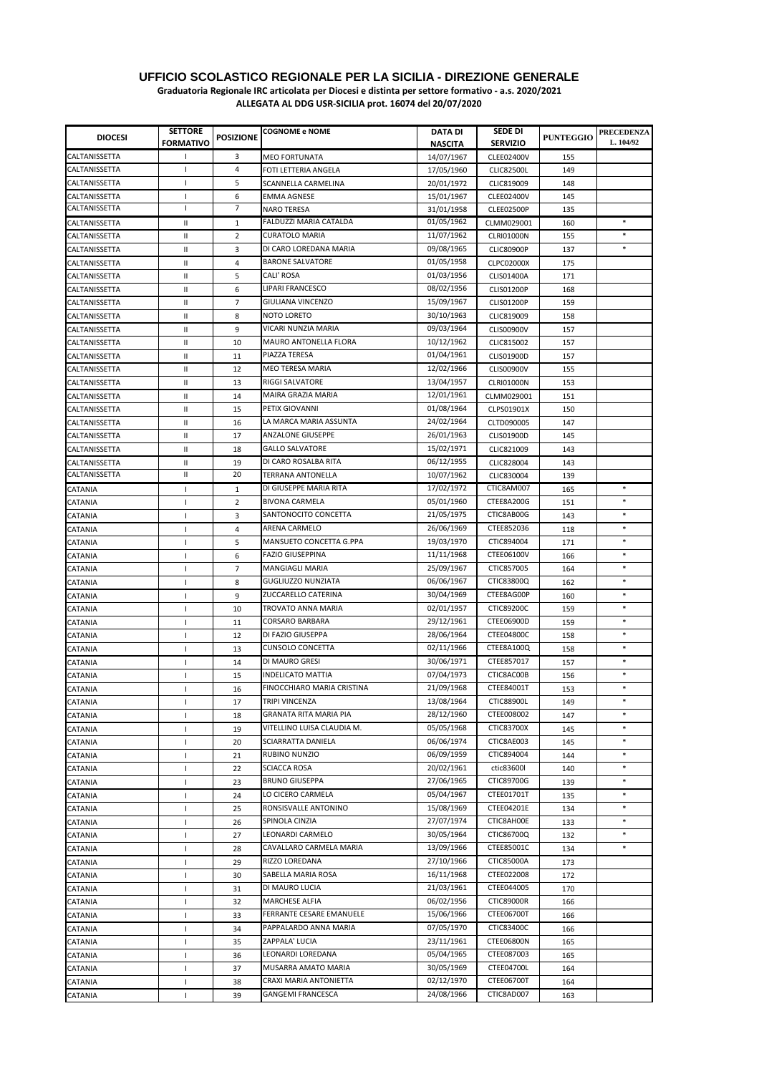**Graduatoria Regionale IRC articolata per Diocesi e distinta per settore formativo - a.s. 2020/2021**

| CALTANISSETTA<br>3<br>$\mathbf{I}$<br><b>MEO FORTUNATA</b><br>14/07/1967<br><b>CLEE02400V</b><br>155<br>CALTANISSETTA<br>4<br>$\mathbf{I}$<br>FOTI LETTERIA ANGELA<br>17/05/1960<br><b>CLIC82500L</b><br>149<br>CALTANISSETTA<br>5<br>$\mathbf{I}$<br>SCANNELLA CARMELINA<br>20/01/1972<br>CLIC819009<br>148<br>6<br>CALTANISSETTA<br>-1<br><b>EMMA AGNESE</b><br>15/01/1967<br><b>CLEE02400V</b><br>145<br>7<br>CALTANISSETTA<br>т<br>135<br><b>NARO TERESA</b><br>31/01/1958<br>CLEE02500P<br>FALDUZZI MARIA CATALDA<br>01/05/1962<br>$\ast$<br>CALTANISSETTA<br>$\mathbf{H}$<br>$\mathbf{1}$<br>CLMM029001<br>160<br><b>CURATOLO MARIA</b><br>11/07/1962<br>$\ast$<br>CALTANISSETTA<br>Ш<br>$\overline{2}$<br><b>CLRI01000N</b><br>155<br>DI CARO LOREDANA MARIA<br>09/08/1965<br>Ш<br>3<br><b>CLIC80900P</b><br>CALTANISSETTA<br>137<br>01/05/1958<br><b>BARONE SALVATORE</b><br>CALTANISSETTA<br>Ш<br>4<br><b>CLPC02000X</b><br>175<br><b>CALI' ROSA</b><br>01/03/1956<br>5<br>CALTANISSETTA<br>Ш<br><b>CLIS01400A</b><br>171<br><b>LIPARI FRANCESCO</b><br>08/02/1956<br>CALTANISSETTA<br>Ш<br><b>CLIS01200P</b><br>168<br>6<br>GIULIANA VINCENZO<br>15/09/1967<br>CALTANISSETTA<br>Ш<br>7<br><b>CLIS01200P</b><br>159<br><b>NOTO LORETO</b><br>30/10/1963<br>CALTANISSETTA<br>Ш<br>8<br>CLIC819009<br>158<br>VICARI NUNZIA MARIA<br>09/03/1964<br>9<br>CALTANISSETTA<br>Ш<br><b>CLIS00900V</b><br>157<br>MAURO ANTONELLA FLORA<br>10/12/1962<br>CALTANISSETTA<br>Ш<br>10<br>CLIC815002<br>157<br>01/04/1961<br>PIAZZA TERESA<br>CALTANISSETTA<br>Ш<br>11<br><b>CLIS01900D</b><br>157<br><b>MEO TERESA MARIA</b><br>12/02/1966<br>CALTANISSETTA<br>Ш<br>12<br><b>CLIS00900V</b><br>155<br>13/04/1957<br><b>RIGGI SALVATORE</b><br>CALTANISSETTA<br>Ш<br>13<br><b>CLRI01000N</b><br>153<br>MAIRA GRAZIA MARIA<br>12/01/1961<br>CALTANISSETTA<br>Ш<br>14<br>CLMM029001<br>151<br>01/08/1964<br>PETIX GIOVANNI<br>CALTANISSETTA<br>Ш<br>15<br>CLPS01901X<br>150<br>24/02/1964<br>LA MARCA MARIA ASSUNTA<br>CALTANISSETTA<br>Ш<br>16<br>CLTD090005<br>147<br>ANZALONE GIUSEPPE<br>26/01/1963<br>CALTANISSETTA<br>Ш<br>17<br><b>CLIS01900D</b><br>145<br><b>GALLO SALVATORE</b><br>15/02/1971<br>CALTANISSETTA<br>Ш<br>18<br>CLIC821009<br>143<br>DI CARO ROSALBA RITA<br>06/12/1955<br>$\mathsf{I}$<br>CALTANISSETTA<br>19<br>CLIC828004<br>143<br>CALTANISSETTA<br>Ш<br>20<br><b>TERRANA ANTONELLA</b><br>10/07/1962<br>CLIC830004<br>139<br>DI GIUSEPPE MARIA RITA<br>17/02/1972<br>CTIC8AM007<br>$\ast$<br>165<br>CATANIA<br>$\mathbf{1}$<br>$\mathbf{I}$<br>$\ast$<br><b>BIVONA CARMELA</b><br>05/01/1960<br>CTEE8A200G<br>$\overline{2}$<br>151<br>CATANIA<br>$\overline{\phantom{a}}$<br>$\ast$<br>SANTONOCITO CONCETTA<br>21/05/1975<br>CTIC8AB00G<br>3<br>143<br>CATANIA<br>$\overline{\phantom{a}}$<br>ARENA CARMELO<br>26/06/1969<br>CTEE852036<br>$\ast$<br>CATANIA<br>4<br>118<br>$\mathbf{I}$<br>MANSUETO CONCETTA G.PPA<br>19/03/1970<br>CTIC894004<br>$\ast$<br>CATANIA<br>5<br>171<br>$\mathbf{I}$<br>CTEE06100V<br>$\ast$<br><b>FAZIO GIUSEPPINA</b><br>11/11/1968<br>6<br>166<br>CATANIA<br>$\mathbf{I}$<br>25/09/1967<br>$\ast$<br>$\overline{7}$<br><b>MANGIAGLI MARIA</b><br>CTIC857005<br>164<br>CATANIA<br>$\mathbf{I}$<br>06/06/1967<br>$\ast$<br><b>GUGLIUZZO NUNZIATA</b><br>CTIC83800Q<br>CATANIA<br>$\mathsf{I}$<br>8<br>162<br>ZUCCARELLO CATERINA<br>30/04/1969<br>CTEE8AG00P<br>$\ast$<br>9<br>160<br>CATANIA<br>$\mathbf{I}$<br>TROVATO ANNA MARIA<br>02/01/1957<br><b>CTIC89200C</b><br>10<br>159<br>CATANIA<br>$\mathbf{I}$<br><b>CORSARO BARBARA</b><br>29/12/1961<br>CTEE06900D<br>$\ast$<br>CATANIA<br>11<br>159<br>$\mathbf{I}$<br>28/06/1964<br><b>CTEE04800C</b><br>DI FAZIO GIUSEPPA<br>$\ast$<br>CATANIA<br>$\mathsf{I}$<br>12<br>158<br>02/11/1966<br><b>CUNSOLO CONCETTA</b><br>CTEE8A100Q<br>$\ast$<br>13<br>158<br>CATANIA<br>$\mathbf{I}$<br>30/06/1971<br>DI MAURO GRESI<br>CTEE857017<br>$\ast$<br>14<br>157<br>CATANIA<br>$\mathbf{I}$<br>07/04/1973<br>$\ast$<br><b>INDELICATO MATTIA</b><br>CTIC8AC00B<br>CATANIA<br>15<br>156<br>$\mathbf{I}$<br>$\ast$<br>FINOCCHIARO MARIA CRISTINA<br>21/09/1968<br>CTEE84001T<br>CATANIA<br>16<br>153<br>$\mathbf{I}$<br>13/08/1964<br>TRIPI VINCENZA<br><b>CTIC88900L</b><br>CATANIA<br>17<br>149<br>$\mathbf{I}$<br>28/12/1960<br>GRANATA RITA MARIA PIA<br>CTEE008002<br>$\ast$<br>CATANIA<br>18<br>147<br>$\mathbf{I}$<br>05/05/1968<br>VITELLINO LUISA CLAUDIA M.<br>CTIC83700X<br>$\ast$<br>CATANIA<br>19<br>145<br>$\mathbf{I}$<br>SCIARRATTA DANIELA<br>06/06/1974<br>CTIC8AE003<br>$\ast$<br>20<br>CATANIA<br>145<br>$\mathbf{I}$<br>06/09/1959<br>CTIC894004<br>$\ast$<br>RUBINO NUNZIO<br>CATANIA<br>21<br>144<br>$\mathbf{I}$<br>20/02/1961<br><b>SCIACCA ROSA</b><br>ctic83600l<br>$\ast$<br>CATANIA<br>22<br>140<br><b>BRUNO GIUSEPPA</b><br>27/06/1965<br>CTIC89700G<br>$\ast$<br>CATANIA<br>$\mathsf{I}$<br>23<br>139<br>LO CICERO CARMELA<br>05/04/1967<br>CTEE01701T<br>$\ast$<br>CATANIA<br>24<br>135<br>$\mathbf{I}$<br>15/08/1969<br>RONSISVALLE ANTONINO<br>CTEE04201E<br>CATANIA<br>25<br>134<br>27/07/1974<br>SPINOLA CINZIA<br>CTIC8AH00E<br>$\ast$<br>CATANIA<br>26<br>133<br>LEONARDI CARMELO<br>30/05/1964<br>CTIC86700Q<br>$\ast$<br>CATANIA<br>27<br>132<br>1<br>CAVALLARO CARMELA MARIA<br>13/09/1966<br>CTEE85001C<br>$\ast$<br>CATANIA<br>28<br>134<br>RIZZO LOREDANA<br>27/10/1966<br>CTIC85000A<br>29<br>CATANIA<br>173<br>$\mathbf{I}$<br>SABELLA MARIA ROSA<br>16/11/1968<br>CTEE022008<br>172<br>CATANIA<br>30<br>21/03/1961<br>CTEE044005<br>DI MAURO LUCIA<br>CATANIA<br>31<br>170<br><b>MARCHESE ALFIA</b><br>06/02/1956<br><b>CTIC89000R</b><br>32<br>CATANIA<br>166<br>$\overline{\phantom{a}}$<br>FERRANTE CESARE EMANUELE<br>15/06/1966<br><b>CTEE06700T</b><br>33<br>CATANIA<br>166<br>$\mathbf{I}$<br>07/05/1970<br>CTIC83400C<br>PAPPALARDO ANNA MARIA<br>CATANIA<br>34<br>166<br>$\mathbf{I}$<br>ZAPPALA' LUCIA<br>23/11/1961<br><b>CTEE06800N</b><br>CATANIA<br>35<br>165<br>$\mathbf{I}$<br>LEONARDI LOREDANA<br>05/04/1965<br>CTEE087003<br>CATANIA<br>165<br>36<br>$\mathbf{I}$<br>30/05/1969<br>MUSARRA AMATO MARIA<br>CTEE04700L<br>37<br>CATANIA<br>164<br>$\mathbf{I}$<br>02/12/1970<br>CTEE06700T<br>CRAXI MARIA ANTONIETTA<br>38<br>164<br>CATANIA<br>24/08/1966<br>CTIC8AD007<br><b>GANGEMI FRANCESCA</b><br>CATANIA<br>$\mathsf{I}$<br>39<br>163 | <b>DIOCESI</b> | <b>SETTORE</b><br><b>FORMATIVO</b> | <b>POSIZIONE</b> | <b>COGNOME e NOME</b> | DATA DI<br><b>NASCITA</b> | <b>SEDE DI</b><br><b>SERVIZIO</b> | <b>PUNTEGGIO</b> | <b>PRECEDENZA</b><br>L. 104/92 |
|----------------------------------------------------------------------------------------------------------------------------------------------------------------------------------------------------------------------------------------------------------------------------------------------------------------------------------------------------------------------------------------------------------------------------------------------------------------------------------------------------------------------------------------------------------------------------------------------------------------------------------------------------------------------------------------------------------------------------------------------------------------------------------------------------------------------------------------------------------------------------------------------------------------------------------------------------------------------------------------------------------------------------------------------------------------------------------------------------------------------------------------------------------------------------------------------------------------------------------------------------------------------------------------------------------------------------------------------------------------------------------------------------------------------------------------------------------------------------------------------------------------------------------------------------------------------------------------------------------------------------------------------------------------------------------------------------------------------------------------------------------------------------------------------------------------------------------------------------------------------------------------------------------------------------------------------------------------------------------------------------------------------------------------------------------------------------------------------------------------------------------------------------------------------------------------------------------------------------------------------------------------------------------------------------------------------------------------------------------------------------------------------------------------------------------------------------------------------------------------------------------------------------------------------------------------------------------------------------------------------------------------------------------------------------------------------------------------------------------------------------------------------------------------------------------------------------------------------------------------------------------------------------------------------------------------------------------------------------------------------------------------------------------------------------------------------------------------------------------------------------------------------------------------------------------------------------------------------------------------------------------------------------------------------------------------------------------------------------------------------------------------------------------------------------------------------------------------------------------------------------------------------------------------------------------------------------------------------------------------------------------------------------------------------------------------------------------------------------------------------------------------------------------------------------------------------------------------------------------------------------------------------------------------------------------------------------------------------------------------------------------------------------------------------------------------------------------------------------------------------------------------------------------------------------------------------------------------------------------------------------------------------------------------------------------------------------------------------------------------------------------------------------------------------------------------------------------------------------------------------------------------------------------------------------------------------------------------------------------------------------------------------------------------------------------------------------------------------------------------------------------------------------------------------------------------------------------------------------------------------------------------------------------------------------------------------------------------------------------------------------------------------------------------------------------------------------------------------------------------------------------------------------------------------------------------------------------------------------------------------------------------------------------------------------------------------------------------------------------------------------------------------------------------------------------------------------------------------------------------------------------------------------------------------------------------------------------------------------------------------------------------------------------------------------------------------------------------------------------------------------------------------------------------------------------------------------------------------------------------------------------------------------------------------------------------------------------------------------------------------------------------------------------------------------------------------------------------------------------------------------------------------------------------------------------------------------------------------------------------------------------------------------------------------------------------------------------------------------------------------------------------------------------|----------------|------------------------------------|------------------|-----------------------|---------------------------|-----------------------------------|------------------|--------------------------------|
|                                                                                                                                                                                                                                                                                                                                                                                                                                                                                                                                                                                                                                                                                                                                                                                                                                                                                                                                                                                                                                                                                                                                                                                                                                                                                                                                                                                                                                                                                                                                                                                                                                                                                                                                                                                                                                                                                                                                                                                                                                                                                                                                                                                                                                                                                                                                                                                                                                                                                                                                                                                                                                                                                                                                                                                                                                                                                                                                                                                                                                                                                                                                                                                                                                                                                                                                                                                                                                                                                                                                                                                                                                                                                                                                                                                                                                                                                                                                                                                                                                                                                                                                                                                                                                                                                                                                                                                                                                                                                                                                                                                                                                                                                                                                                                                                                                                                                                                                                                                                                                                                                                                                                                                                                                                                                                                                                                                                                                                                                                                                                                                                                                                                                                                                                                                                                                                                                                                                                                                                                                                                                                                                                                                                                                                                                                                                                                                                          |                |                                    |                  |                       |                           |                                   |                  |                                |
|                                                                                                                                                                                                                                                                                                                                                                                                                                                                                                                                                                                                                                                                                                                                                                                                                                                                                                                                                                                                                                                                                                                                                                                                                                                                                                                                                                                                                                                                                                                                                                                                                                                                                                                                                                                                                                                                                                                                                                                                                                                                                                                                                                                                                                                                                                                                                                                                                                                                                                                                                                                                                                                                                                                                                                                                                                                                                                                                                                                                                                                                                                                                                                                                                                                                                                                                                                                                                                                                                                                                                                                                                                                                                                                                                                                                                                                                                                                                                                                                                                                                                                                                                                                                                                                                                                                                                                                                                                                                                                                                                                                                                                                                                                                                                                                                                                                                                                                                                                                                                                                                                                                                                                                                                                                                                                                                                                                                                                                                                                                                                                                                                                                                                                                                                                                                                                                                                                                                                                                                                                                                                                                                                                                                                                                                                                                                                                                                          |                |                                    |                  |                       |                           |                                   |                  |                                |
|                                                                                                                                                                                                                                                                                                                                                                                                                                                                                                                                                                                                                                                                                                                                                                                                                                                                                                                                                                                                                                                                                                                                                                                                                                                                                                                                                                                                                                                                                                                                                                                                                                                                                                                                                                                                                                                                                                                                                                                                                                                                                                                                                                                                                                                                                                                                                                                                                                                                                                                                                                                                                                                                                                                                                                                                                                                                                                                                                                                                                                                                                                                                                                                                                                                                                                                                                                                                                                                                                                                                                                                                                                                                                                                                                                                                                                                                                                                                                                                                                                                                                                                                                                                                                                                                                                                                                                                                                                                                                                                                                                                                                                                                                                                                                                                                                                                                                                                                                                                                                                                                                                                                                                                                                                                                                                                                                                                                                                                                                                                                                                                                                                                                                                                                                                                                                                                                                                                                                                                                                                                                                                                                                                                                                                                                                                                                                                                                          |                |                                    |                  |                       |                           |                                   |                  |                                |
|                                                                                                                                                                                                                                                                                                                                                                                                                                                                                                                                                                                                                                                                                                                                                                                                                                                                                                                                                                                                                                                                                                                                                                                                                                                                                                                                                                                                                                                                                                                                                                                                                                                                                                                                                                                                                                                                                                                                                                                                                                                                                                                                                                                                                                                                                                                                                                                                                                                                                                                                                                                                                                                                                                                                                                                                                                                                                                                                                                                                                                                                                                                                                                                                                                                                                                                                                                                                                                                                                                                                                                                                                                                                                                                                                                                                                                                                                                                                                                                                                                                                                                                                                                                                                                                                                                                                                                                                                                                                                                                                                                                                                                                                                                                                                                                                                                                                                                                                                                                                                                                                                                                                                                                                                                                                                                                                                                                                                                                                                                                                                                                                                                                                                                                                                                                                                                                                                                                                                                                                                                                                                                                                                                                                                                                                                                                                                                                                          |                |                                    |                  |                       |                           |                                   |                  |                                |
|                                                                                                                                                                                                                                                                                                                                                                                                                                                                                                                                                                                                                                                                                                                                                                                                                                                                                                                                                                                                                                                                                                                                                                                                                                                                                                                                                                                                                                                                                                                                                                                                                                                                                                                                                                                                                                                                                                                                                                                                                                                                                                                                                                                                                                                                                                                                                                                                                                                                                                                                                                                                                                                                                                                                                                                                                                                                                                                                                                                                                                                                                                                                                                                                                                                                                                                                                                                                                                                                                                                                                                                                                                                                                                                                                                                                                                                                                                                                                                                                                                                                                                                                                                                                                                                                                                                                                                                                                                                                                                                                                                                                                                                                                                                                                                                                                                                                                                                                                                                                                                                                                                                                                                                                                                                                                                                                                                                                                                                                                                                                                                                                                                                                                                                                                                                                                                                                                                                                                                                                                                                                                                                                                                                                                                                                                                                                                                                                          |                |                                    |                  |                       |                           |                                   |                  |                                |
|                                                                                                                                                                                                                                                                                                                                                                                                                                                                                                                                                                                                                                                                                                                                                                                                                                                                                                                                                                                                                                                                                                                                                                                                                                                                                                                                                                                                                                                                                                                                                                                                                                                                                                                                                                                                                                                                                                                                                                                                                                                                                                                                                                                                                                                                                                                                                                                                                                                                                                                                                                                                                                                                                                                                                                                                                                                                                                                                                                                                                                                                                                                                                                                                                                                                                                                                                                                                                                                                                                                                                                                                                                                                                                                                                                                                                                                                                                                                                                                                                                                                                                                                                                                                                                                                                                                                                                                                                                                                                                                                                                                                                                                                                                                                                                                                                                                                                                                                                                                                                                                                                                                                                                                                                                                                                                                                                                                                                                                                                                                                                                                                                                                                                                                                                                                                                                                                                                                                                                                                                                                                                                                                                                                                                                                                                                                                                                                                          |                |                                    |                  |                       |                           |                                   |                  |                                |
|                                                                                                                                                                                                                                                                                                                                                                                                                                                                                                                                                                                                                                                                                                                                                                                                                                                                                                                                                                                                                                                                                                                                                                                                                                                                                                                                                                                                                                                                                                                                                                                                                                                                                                                                                                                                                                                                                                                                                                                                                                                                                                                                                                                                                                                                                                                                                                                                                                                                                                                                                                                                                                                                                                                                                                                                                                                                                                                                                                                                                                                                                                                                                                                                                                                                                                                                                                                                                                                                                                                                                                                                                                                                                                                                                                                                                                                                                                                                                                                                                                                                                                                                                                                                                                                                                                                                                                                                                                                                                                                                                                                                                                                                                                                                                                                                                                                                                                                                                                                                                                                                                                                                                                                                                                                                                                                                                                                                                                                                                                                                                                                                                                                                                                                                                                                                                                                                                                                                                                                                                                                                                                                                                                                                                                                                                                                                                                                                          |                |                                    |                  |                       |                           |                                   |                  |                                |
|                                                                                                                                                                                                                                                                                                                                                                                                                                                                                                                                                                                                                                                                                                                                                                                                                                                                                                                                                                                                                                                                                                                                                                                                                                                                                                                                                                                                                                                                                                                                                                                                                                                                                                                                                                                                                                                                                                                                                                                                                                                                                                                                                                                                                                                                                                                                                                                                                                                                                                                                                                                                                                                                                                                                                                                                                                                                                                                                                                                                                                                                                                                                                                                                                                                                                                                                                                                                                                                                                                                                                                                                                                                                                                                                                                                                                                                                                                                                                                                                                                                                                                                                                                                                                                                                                                                                                                                                                                                                                                                                                                                                                                                                                                                                                                                                                                                                                                                                                                                                                                                                                                                                                                                                                                                                                                                                                                                                                                                                                                                                                                                                                                                                                                                                                                                                                                                                                                                                                                                                                                                                                                                                                                                                                                                                                                                                                                                                          |                |                                    |                  |                       |                           |                                   |                  |                                |
|                                                                                                                                                                                                                                                                                                                                                                                                                                                                                                                                                                                                                                                                                                                                                                                                                                                                                                                                                                                                                                                                                                                                                                                                                                                                                                                                                                                                                                                                                                                                                                                                                                                                                                                                                                                                                                                                                                                                                                                                                                                                                                                                                                                                                                                                                                                                                                                                                                                                                                                                                                                                                                                                                                                                                                                                                                                                                                                                                                                                                                                                                                                                                                                                                                                                                                                                                                                                                                                                                                                                                                                                                                                                                                                                                                                                                                                                                                                                                                                                                                                                                                                                                                                                                                                                                                                                                                                                                                                                                                                                                                                                                                                                                                                                                                                                                                                                                                                                                                                                                                                                                                                                                                                                                                                                                                                                                                                                                                                                                                                                                                                                                                                                                                                                                                                                                                                                                                                                                                                                                                                                                                                                                                                                                                                                                                                                                                                                          |                |                                    |                  |                       |                           |                                   |                  |                                |
|                                                                                                                                                                                                                                                                                                                                                                                                                                                                                                                                                                                                                                                                                                                                                                                                                                                                                                                                                                                                                                                                                                                                                                                                                                                                                                                                                                                                                                                                                                                                                                                                                                                                                                                                                                                                                                                                                                                                                                                                                                                                                                                                                                                                                                                                                                                                                                                                                                                                                                                                                                                                                                                                                                                                                                                                                                                                                                                                                                                                                                                                                                                                                                                                                                                                                                                                                                                                                                                                                                                                                                                                                                                                                                                                                                                                                                                                                                                                                                                                                                                                                                                                                                                                                                                                                                                                                                                                                                                                                                                                                                                                                                                                                                                                                                                                                                                                                                                                                                                                                                                                                                                                                                                                                                                                                                                                                                                                                                                                                                                                                                                                                                                                                                                                                                                                                                                                                                                                                                                                                                                                                                                                                                                                                                                                                                                                                                                                          |                |                                    |                  |                       |                           |                                   |                  |                                |
|                                                                                                                                                                                                                                                                                                                                                                                                                                                                                                                                                                                                                                                                                                                                                                                                                                                                                                                                                                                                                                                                                                                                                                                                                                                                                                                                                                                                                                                                                                                                                                                                                                                                                                                                                                                                                                                                                                                                                                                                                                                                                                                                                                                                                                                                                                                                                                                                                                                                                                                                                                                                                                                                                                                                                                                                                                                                                                                                                                                                                                                                                                                                                                                                                                                                                                                                                                                                                                                                                                                                                                                                                                                                                                                                                                                                                                                                                                                                                                                                                                                                                                                                                                                                                                                                                                                                                                                                                                                                                                                                                                                                                                                                                                                                                                                                                                                                                                                                                                                                                                                                                                                                                                                                                                                                                                                                                                                                                                                                                                                                                                                                                                                                                                                                                                                                                                                                                                                                                                                                                                                                                                                                                                                                                                                                                                                                                                                                          |                |                                    |                  |                       |                           |                                   |                  |                                |
|                                                                                                                                                                                                                                                                                                                                                                                                                                                                                                                                                                                                                                                                                                                                                                                                                                                                                                                                                                                                                                                                                                                                                                                                                                                                                                                                                                                                                                                                                                                                                                                                                                                                                                                                                                                                                                                                                                                                                                                                                                                                                                                                                                                                                                                                                                                                                                                                                                                                                                                                                                                                                                                                                                                                                                                                                                                                                                                                                                                                                                                                                                                                                                                                                                                                                                                                                                                                                                                                                                                                                                                                                                                                                                                                                                                                                                                                                                                                                                                                                                                                                                                                                                                                                                                                                                                                                                                                                                                                                                                                                                                                                                                                                                                                                                                                                                                                                                                                                                                                                                                                                                                                                                                                                                                                                                                                                                                                                                                                                                                                                                                                                                                                                                                                                                                                                                                                                                                                                                                                                                                                                                                                                                                                                                                                                                                                                                                                          |                |                                    |                  |                       |                           |                                   |                  |                                |
|                                                                                                                                                                                                                                                                                                                                                                                                                                                                                                                                                                                                                                                                                                                                                                                                                                                                                                                                                                                                                                                                                                                                                                                                                                                                                                                                                                                                                                                                                                                                                                                                                                                                                                                                                                                                                                                                                                                                                                                                                                                                                                                                                                                                                                                                                                                                                                                                                                                                                                                                                                                                                                                                                                                                                                                                                                                                                                                                                                                                                                                                                                                                                                                                                                                                                                                                                                                                                                                                                                                                                                                                                                                                                                                                                                                                                                                                                                                                                                                                                                                                                                                                                                                                                                                                                                                                                                                                                                                                                                                                                                                                                                                                                                                                                                                                                                                                                                                                                                                                                                                                                                                                                                                                                                                                                                                                                                                                                                                                                                                                                                                                                                                                                                                                                                                                                                                                                                                                                                                                                                                                                                                                                                                                                                                                                                                                                                                                          |                |                                    |                  |                       |                           |                                   |                  |                                |
|                                                                                                                                                                                                                                                                                                                                                                                                                                                                                                                                                                                                                                                                                                                                                                                                                                                                                                                                                                                                                                                                                                                                                                                                                                                                                                                                                                                                                                                                                                                                                                                                                                                                                                                                                                                                                                                                                                                                                                                                                                                                                                                                                                                                                                                                                                                                                                                                                                                                                                                                                                                                                                                                                                                                                                                                                                                                                                                                                                                                                                                                                                                                                                                                                                                                                                                                                                                                                                                                                                                                                                                                                                                                                                                                                                                                                                                                                                                                                                                                                                                                                                                                                                                                                                                                                                                                                                                                                                                                                                                                                                                                                                                                                                                                                                                                                                                                                                                                                                                                                                                                                                                                                                                                                                                                                                                                                                                                                                                                                                                                                                                                                                                                                                                                                                                                                                                                                                                                                                                                                                                                                                                                                                                                                                                                                                                                                                                                          |                |                                    |                  |                       |                           |                                   |                  |                                |
|                                                                                                                                                                                                                                                                                                                                                                                                                                                                                                                                                                                                                                                                                                                                                                                                                                                                                                                                                                                                                                                                                                                                                                                                                                                                                                                                                                                                                                                                                                                                                                                                                                                                                                                                                                                                                                                                                                                                                                                                                                                                                                                                                                                                                                                                                                                                                                                                                                                                                                                                                                                                                                                                                                                                                                                                                                                                                                                                                                                                                                                                                                                                                                                                                                                                                                                                                                                                                                                                                                                                                                                                                                                                                                                                                                                                                                                                                                                                                                                                                                                                                                                                                                                                                                                                                                                                                                                                                                                                                                                                                                                                                                                                                                                                                                                                                                                                                                                                                                                                                                                                                                                                                                                                                                                                                                                                                                                                                                                                                                                                                                                                                                                                                                                                                                                                                                                                                                                                                                                                                                                                                                                                                                                                                                                                                                                                                                                                          |                |                                    |                  |                       |                           |                                   |                  |                                |
|                                                                                                                                                                                                                                                                                                                                                                                                                                                                                                                                                                                                                                                                                                                                                                                                                                                                                                                                                                                                                                                                                                                                                                                                                                                                                                                                                                                                                                                                                                                                                                                                                                                                                                                                                                                                                                                                                                                                                                                                                                                                                                                                                                                                                                                                                                                                                                                                                                                                                                                                                                                                                                                                                                                                                                                                                                                                                                                                                                                                                                                                                                                                                                                                                                                                                                                                                                                                                                                                                                                                                                                                                                                                                                                                                                                                                                                                                                                                                                                                                                                                                                                                                                                                                                                                                                                                                                                                                                                                                                                                                                                                                                                                                                                                                                                                                                                                                                                                                                                                                                                                                                                                                                                                                                                                                                                                                                                                                                                                                                                                                                                                                                                                                                                                                                                                                                                                                                                                                                                                                                                                                                                                                                                                                                                                                                                                                                                                          |                |                                    |                  |                       |                           |                                   |                  |                                |
|                                                                                                                                                                                                                                                                                                                                                                                                                                                                                                                                                                                                                                                                                                                                                                                                                                                                                                                                                                                                                                                                                                                                                                                                                                                                                                                                                                                                                                                                                                                                                                                                                                                                                                                                                                                                                                                                                                                                                                                                                                                                                                                                                                                                                                                                                                                                                                                                                                                                                                                                                                                                                                                                                                                                                                                                                                                                                                                                                                                                                                                                                                                                                                                                                                                                                                                                                                                                                                                                                                                                                                                                                                                                                                                                                                                                                                                                                                                                                                                                                                                                                                                                                                                                                                                                                                                                                                                                                                                                                                                                                                                                                                                                                                                                                                                                                                                                                                                                                                                                                                                                                                                                                                                                                                                                                                                                                                                                                                                                                                                                                                                                                                                                                                                                                                                                                                                                                                                                                                                                                                                                                                                                                                                                                                                                                                                                                                                                          |                |                                    |                  |                       |                           |                                   |                  |                                |
|                                                                                                                                                                                                                                                                                                                                                                                                                                                                                                                                                                                                                                                                                                                                                                                                                                                                                                                                                                                                                                                                                                                                                                                                                                                                                                                                                                                                                                                                                                                                                                                                                                                                                                                                                                                                                                                                                                                                                                                                                                                                                                                                                                                                                                                                                                                                                                                                                                                                                                                                                                                                                                                                                                                                                                                                                                                                                                                                                                                                                                                                                                                                                                                                                                                                                                                                                                                                                                                                                                                                                                                                                                                                                                                                                                                                                                                                                                                                                                                                                                                                                                                                                                                                                                                                                                                                                                                                                                                                                                                                                                                                                                                                                                                                                                                                                                                                                                                                                                                                                                                                                                                                                                                                                                                                                                                                                                                                                                                                                                                                                                                                                                                                                                                                                                                                                                                                                                                                                                                                                                                                                                                                                                                                                                                                                                                                                                                                          |                |                                    |                  |                       |                           |                                   |                  |                                |
|                                                                                                                                                                                                                                                                                                                                                                                                                                                                                                                                                                                                                                                                                                                                                                                                                                                                                                                                                                                                                                                                                                                                                                                                                                                                                                                                                                                                                                                                                                                                                                                                                                                                                                                                                                                                                                                                                                                                                                                                                                                                                                                                                                                                                                                                                                                                                                                                                                                                                                                                                                                                                                                                                                                                                                                                                                                                                                                                                                                                                                                                                                                                                                                                                                                                                                                                                                                                                                                                                                                                                                                                                                                                                                                                                                                                                                                                                                                                                                                                                                                                                                                                                                                                                                                                                                                                                                                                                                                                                                                                                                                                                                                                                                                                                                                                                                                                                                                                                                                                                                                                                                                                                                                                                                                                                                                                                                                                                                                                                                                                                                                                                                                                                                                                                                                                                                                                                                                                                                                                                                                                                                                                                                                                                                                                                                                                                                                                          |                |                                    |                  |                       |                           |                                   |                  |                                |
|                                                                                                                                                                                                                                                                                                                                                                                                                                                                                                                                                                                                                                                                                                                                                                                                                                                                                                                                                                                                                                                                                                                                                                                                                                                                                                                                                                                                                                                                                                                                                                                                                                                                                                                                                                                                                                                                                                                                                                                                                                                                                                                                                                                                                                                                                                                                                                                                                                                                                                                                                                                                                                                                                                                                                                                                                                                                                                                                                                                                                                                                                                                                                                                                                                                                                                                                                                                                                                                                                                                                                                                                                                                                                                                                                                                                                                                                                                                                                                                                                                                                                                                                                                                                                                                                                                                                                                                                                                                                                                                                                                                                                                                                                                                                                                                                                                                                                                                                                                                                                                                                                                                                                                                                                                                                                                                                                                                                                                                                                                                                                                                                                                                                                                                                                                                                                                                                                                                                                                                                                                                                                                                                                                                                                                                                                                                                                                                                          |                |                                    |                  |                       |                           |                                   |                  |                                |
|                                                                                                                                                                                                                                                                                                                                                                                                                                                                                                                                                                                                                                                                                                                                                                                                                                                                                                                                                                                                                                                                                                                                                                                                                                                                                                                                                                                                                                                                                                                                                                                                                                                                                                                                                                                                                                                                                                                                                                                                                                                                                                                                                                                                                                                                                                                                                                                                                                                                                                                                                                                                                                                                                                                                                                                                                                                                                                                                                                                                                                                                                                                                                                                                                                                                                                                                                                                                                                                                                                                                                                                                                                                                                                                                                                                                                                                                                                                                                                                                                                                                                                                                                                                                                                                                                                                                                                                                                                                                                                                                                                                                                                                                                                                                                                                                                                                                                                                                                                                                                                                                                                                                                                                                                                                                                                                                                                                                                                                                                                                                                                                                                                                                                                                                                                                                                                                                                                                                                                                                                                                                                                                                                                                                                                                                                                                                                                                                          |                |                                    |                  |                       |                           |                                   |                  |                                |
|                                                                                                                                                                                                                                                                                                                                                                                                                                                                                                                                                                                                                                                                                                                                                                                                                                                                                                                                                                                                                                                                                                                                                                                                                                                                                                                                                                                                                                                                                                                                                                                                                                                                                                                                                                                                                                                                                                                                                                                                                                                                                                                                                                                                                                                                                                                                                                                                                                                                                                                                                                                                                                                                                                                                                                                                                                                                                                                                                                                                                                                                                                                                                                                                                                                                                                                                                                                                                                                                                                                                                                                                                                                                                                                                                                                                                                                                                                                                                                                                                                                                                                                                                                                                                                                                                                                                                                                                                                                                                                                                                                                                                                                                                                                                                                                                                                                                                                                                                                                                                                                                                                                                                                                                                                                                                                                                                                                                                                                                                                                                                                                                                                                                                                                                                                                                                                                                                                                                                                                                                                                                                                                                                                                                                                                                                                                                                                                                          |                |                                    |                  |                       |                           |                                   |                  |                                |
|                                                                                                                                                                                                                                                                                                                                                                                                                                                                                                                                                                                                                                                                                                                                                                                                                                                                                                                                                                                                                                                                                                                                                                                                                                                                                                                                                                                                                                                                                                                                                                                                                                                                                                                                                                                                                                                                                                                                                                                                                                                                                                                                                                                                                                                                                                                                                                                                                                                                                                                                                                                                                                                                                                                                                                                                                                                                                                                                                                                                                                                                                                                                                                                                                                                                                                                                                                                                                                                                                                                                                                                                                                                                                                                                                                                                                                                                                                                                                                                                                                                                                                                                                                                                                                                                                                                                                                                                                                                                                                                                                                                                                                                                                                                                                                                                                                                                                                                                                                                                                                                                                                                                                                                                                                                                                                                                                                                                                                                                                                                                                                                                                                                                                                                                                                                                                                                                                                                                                                                                                                                                                                                                                                                                                                                                                                                                                                                                          |                |                                    |                  |                       |                           |                                   |                  |                                |
|                                                                                                                                                                                                                                                                                                                                                                                                                                                                                                                                                                                                                                                                                                                                                                                                                                                                                                                                                                                                                                                                                                                                                                                                                                                                                                                                                                                                                                                                                                                                                                                                                                                                                                                                                                                                                                                                                                                                                                                                                                                                                                                                                                                                                                                                                                                                                                                                                                                                                                                                                                                                                                                                                                                                                                                                                                                                                                                                                                                                                                                                                                                                                                                                                                                                                                                                                                                                                                                                                                                                                                                                                                                                                                                                                                                                                                                                                                                                                                                                                                                                                                                                                                                                                                                                                                                                                                                                                                                                                                                                                                                                                                                                                                                                                                                                                                                                                                                                                                                                                                                                                                                                                                                                                                                                                                                                                                                                                                                                                                                                                                                                                                                                                                                                                                                                                                                                                                                                                                                                                                                                                                                                                                                                                                                                                                                                                                                                          |                |                                    |                  |                       |                           |                                   |                  |                                |
|                                                                                                                                                                                                                                                                                                                                                                                                                                                                                                                                                                                                                                                                                                                                                                                                                                                                                                                                                                                                                                                                                                                                                                                                                                                                                                                                                                                                                                                                                                                                                                                                                                                                                                                                                                                                                                                                                                                                                                                                                                                                                                                                                                                                                                                                                                                                                                                                                                                                                                                                                                                                                                                                                                                                                                                                                                                                                                                                                                                                                                                                                                                                                                                                                                                                                                                                                                                                                                                                                                                                                                                                                                                                                                                                                                                                                                                                                                                                                                                                                                                                                                                                                                                                                                                                                                                                                                                                                                                                                                                                                                                                                                                                                                                                                                                                                                                                                                                                                                                                                                                                                                                                                                                                                                                                                                                                                                                                                                                                                                                                                                                                                                                                                                                                                                                                                                                                                                                                                                                                                                                                                                                                                                                                                                                                                                                                                                                                          |                |                                    |                  |                       |                           |                                   |                  |                                |
|                                                                                                                                                                                                                                                                                                                                                                                                                                                                                                                                                                                                                                                                                                                                                                                                                                                                                                                                                                                                                                                                                                                                                                                                                                                                                                                                                                                                                                                                                                                                                                                                                                                                                                                                                                                                                                                                                                                                                                                                                                                                                                                                                                                                                                                                                                                                                                                                                                                                                                                                                                                                                                                                                                                                                                                                                                                                                                                                                                                                                                                                                                                                                                                                                                                                                                                                                                                                                                                                                                                                                                                                                                                                                                                                                                                                                                                                                                                                                                                                                                                                                                                                                                                                                                                                                                                                                                                                                                                                                                                                                                                                                                                                                                                                                                                                                                                                                                                                                                                                                                                                                                                                                                                                                                                                                                                                                                                                                                                                                                                                                                                                                                                                                                                                                                                                                                                                                                                                                                                                                                                                                                                                                                                                                                                                                                                                                                                                          |                |                                    |                  |                       |                           |                                   |                  |                                |
|                                                                                                                                                                                                                                                                                                                                                                                                                                                                                                                                                                                                                                                                                                                                                                                                                                                                                                                                                                                                                                                                                                                                                                                                                                                                                                                                                                                                                                                                                                                                                                                                                                                                                                                                                                                                                                                                                                                                                                                                                                                                                                                                                                                                                                                                                                                                                                                                                                                                                                                                                                                                                                                                                                                                                                                                                                                                                                                                                                                                                                                                                                                                                                                                                                                                                                                                                                                                                                                                                                                                                                                                                                                                                                                                                                                                                                                                                                                                                                                                                                                                                                                                                                                                                                                                                                                                                                                                                                                                                                                                                                                                                                                                                                                                                                                                                                                                                                                                                                                                                                                                                                                                                                                                                                                                                                                                                                                                                                                                                                                                                                                                                                                                                                                                                                                                                                                                                                                                                                                                                                                                                                                                                                                                                                                                                                                                                                                                          |                |                                    |                  |                       |                           |                                   |                  |                                |
|                                                                                                                                                                                                                                                                                                                                                                                                                                                                                                                                                                                                                                                                                                                                                                                                                                                                                                                                                                                                                                                                                                                                                                                                                                                                                                                                                                                                                                                                                                                                                                                                                                                                                                                                                                                                                                                                                                                                                                                                                                                                                                                                                                                                                                                                                                                                                                                                                                                                                                                                                                                                                                                                                                                                                                                                                                                                                                                                                                                                                                                                                                                                                                                                                                                                                                                                                                                                                                                                                                                                                                                                                                                                                                                                                                                                                                                                                                                                                                                                                                                                                                                                                                                                                                                                                                                                                                                                                                                                                                                                                                                                                                                                                                                                                                                                                                                                                                                                                                                                                                                                                                                                                                                                                                                                                                                                                                                                                                                                                                                                                                                                                                                                                                                                                                                                                                                                                                                                                                                                                                                                                                                                                                                                                                                                                                                                                                                                          |                |                                    |                  |                       |                           |                                   |                  |                                |
|                                                                                                                                                                                                                                                                                                                                                                                                                                                                                                                                                                                                                                                                                                                                                                                                                                                                                                                                                                                                                                                                                                                                                                                                                                                                                                                                                                                                                                                                                                                                                                                                                                                                                                                                                                                                                                                                                                                                                                                                                                                                                                                                                                                                                                                                                                                                                                                                                                                                                                                                                                                                                                                                                                                                                                                                                                                                                                                                                                                                                                                                                                                                                                                                                                                                                                                                                                                                                                                                                                                                                                                                                                                                                                                                                                                                                                                                                                                                                                                                                                                                                                                                                                                                                                                                                                                                                                                                                                                                                                                                                                                                                                                                                                                                                                                                                                                                                                                                                                                                                                                                                                                                                                                                                                                                                                                                                                                                                                                                                                                                                                                                                                                                                                                                                                                                                                                                                                                                                                                                                                                                                                                                                                                                                                                                                                                                                                                                          |                |                                    |                  |                       |                           |                                   |                  |                                |
|                                                                                                                                                                                                                                                                                                                                                                                                                                                                                                                                                                                                                                                                                                                                                                                                                                                                                                                                                                                                                                                                                                                                                                                                                                                                                                                                                                                                                                                                                                                                                                                                                                                                                                                                                                                                                                                                                                                                                                                                                                                                                                                                                                                                                                                                                                                                                                                                                                                                                                                                                                                                                                                                                                                                                                                                                                                                                                                                                                                                                                                                                                                                                                                                                                                                                                                                                                                                                                                                                                                                                                                                                                                                                                                                                                                                                                                                                                                                                                                                                                                                                                                                                                                                                                                                                                                                                                                                                                                                                                                                                                                                                                                                                                                                                                                                                                                                                                                                                                                                                                                                                                                                                                                                                                                                                                                                                                                                                                                                                                                                                                                                                                                                                                                                                                                                                                                                                                                                                                                                                                                                                                                                                                                                                                                                                                                                                                                                          |                |                                    |                  |                       |                           |                                   |                  |                                |
|                                                                                                                                                                                                                                                                                                                                                                                                                                                                                                                                                                                                                                                                                                                                                                                                                                                                                                                                                                                                                                                                                                                                                                                                                                                                                                                                                                                                                                                                                                                                                                                                                                                                                                                                                                                                                                                                                                                                                                                                                                                                                                                                                                                                                                                                                                                                                                                                                                                                                                                                                                                                                                                                                                                                                                                                                                                                                                                                                                                                                                                                                                                                                                                                                                                                                                                                                                                                                                                                                                                                                                                                                                                                                                                                                                                                                                                                                                                                                                                                                                                                                                                                                                                                                                                                                                                                                                                                                                                                                                                                                                                                                                                                                                                                                                                                                                                                                                                                                                                                                                                                                                                                                                                                                                                                                                                                                                                                                                                                                                                                                                                                                                                                                                                                                                                                                                                                                                                                                                                                                                                                                                                                                                                                                                                                                                                                                                                                          |                |                                    |                  |                       |                           |                                   |                  |                                |
|                                                                                                                                                                                                                                                                                                                                                                                                                                                                                                                                                                                                                                                                                                                                                                                                                                                                                                                                                                                                                                                                                                                                                                                                                                                                                                                                                                                                                                                                                                                                                                                                                                                                                                                                                                                                                                                                                                                                                                                                                                                                                                                                                                                                                                                                                                                                                                                                                                                                                                                                                                                                                                                                                                                                                                                                                                                                                                                                                                                                                                                                                                                                                                                                                                                                                                                                                                                                                                                                                                                                                                                                                                                                                                                                                                                                                                                                                                                                                                                                                                                                                                                                                                                                                                                                                                                                                                                                                                                                                                                                                                                                                                                                                                                                                                                                                                                                                                                                                                                                                                                                                                                                                                                                                                                                                                                                                                                                                                                                                                                                                                                                                                                                                                                                                                                                                                                                                                                                                                                                                                                                                                                                                                                                                                                                                                                                                                                                          |                |                                    |                  |                       |                           |                                   |                  |                                |
|                                                                                                                                                                                                                                                                                                                                                                                                                                                                                                                                                                                                                                                                                                                                                                                                                                                                                                                                                                                                                                                                                                                                                                                                                                                                                                                                                                                                                                                                                                                                                                                                                                                                                                                                                                                                                                                                                                                                                                                                                                                                                                                                                                                                                                                                                                                                                                                                                                                                                                                                                                                                                                                                                                                                                                                                                                                                                                                                                                                                                                                                                                                                                                                                                                                                                                                                                                                                                                                                                                                                                                                                                                                                                                                                                                                                                                                                                                                                                                                                                                                                                                                                                                                                                                                                                                                                                                                                                                                                                                                                                                                                                                                                                                                                                                                                                                                                                                                                                                                                                                                                                                                                                                                                                                                                                                                                                                                                                                                                                                                                                                                                                                                                                                                                                                                                                                                                                                                                                                                                                                                                                                                                                                                                                                                                                                                                                                                                          |                |                                    |                  |                       |                           |                                   |                  |                                |
|                                                                                                                                                                                                                                                                                                                                                                                                                                                                                                                                                                                                                                                                                                                                                                                                                                                                                                                                                                                                                                                                                                                                                                                                                                                                                                                                                                                                                                                                                                                                                                                                                                                                                                                                                                                                                                                                                                                                                                                                                                                                                                                                                                                                                                                                                                                                                                                                                                                                                                                                                                                                                                                                                                                                                                                                                                                                                                                                                                                                                                                                                                                                                                                                                                                                                                                                                                                                                                                                                                                                                                                                                                                                                                                                                                                                                                                                                                                                                                                                                                                                                                                                                                                                                                                                                                                                                                                                                                                                                                                                                                                                                                                                                                                                                                                                                                                                                                                                                                                                                                                                                                                                                                                                                                                                                                                                                                                                                                                                                                                                                                                                                                                                                                                                                                                                                                                                                                                                                                                                                                                                                                                                                                                                                                                                                                                                                                                                          |                |                                    |                  |                       |                           |                                   |                  |                                |
|                                                                                                                                                                                                                                                                                                                                                                                                                                                                                                                                                                                                                                                                                                                                                                                                                                                                                                                                                                                                                                                                                                                                                                                                                                                                                                                                                                                                                                                                                                                                                                                                                                                                                                                                                                                                                                                                                                                                                                                                                                                                                                                                                                                                                                                                                                                                                                                                                                                                                                                                                                                                                                                                                                                                                                                                                                                                                                                                                                                                                                                                                                                                                                                                                                                                                                                                                                                                                                                                                                                                                                                                                                                                                                                                                                                                                                                                                                                                                                                                                                                                                                                                                                                                                                                                                                                                                                                                                                                                                                                                                                                                                                                                                                                                                                                                                                                                                                                                                                                                                                                                                                                                                                                                                                                                                                                                                                                                                                                                                                                                                                                                                                                                                                                                                                                                                                                                                                                                                                                                                                                                                                                                                                                                                                                                                                                                                                                                          |                |                                    |                  |                       |                           |                                   |                  |                                |
|                                                                                                                                                                                                                                                                                                                                                                                                                                                                                                                                                                                                                                                                                                                                                                                                                                                                                                                                                                                                                                                                                                                                                                                                                                                                                                                                                                                                                                                                                                                                                                                                                                                                                                                                                                                                                                                                                                                                                                                                                                                                                                                                                                                                                                                                                                                                                                                                                                                                                                                                                                                                                                                                                                                                                                                                                                                                                                                                                                                                                                                                                                                                                                                                                                                                                                                                                                                                                                                                                                                                                                                                                                                                                                                                                                                                                                                                                                                                                                                                                                                                                                                                                                                                                                                                                                                                                                                                                                                                                                                                                                                                                                                                                                                                                                                                                                                                                                                                                                                                                                                                                                                                                                                                                                                                                                                                                                                                                                                                                                                                                                                                                                                                                                                                                                                                                                                                                                                                                                                                                                                                                                                                                                                                                                                                                                                                                                                                          |                |                                    |                  |                       |                           |                                   |                  |                                |
|                                                                                                                                                                                                                                                                                                                                                                                                                                                                                                                                                                                                                                                                                                                                                                                                                                                                                                                                                                                                                                                                                                                                                                                                                                                                                                                                                                                                                                                                                                                                                                                                                                                                                                                                                                                                                                                                                                                                                                                                                                                                                                                                                                                                                                                                                                                                                                                                                                                                                                                                                                                                                                                                                                                                                                                                                                                                                                                                                                                                                                                                                                                                                                                                                                                                                                                                                                                                                                                                                                                                                                                                                                                                                                                                                                                                                                                                                                                                                                                                                                                                                                                                                                                                                                                                                                                                                                                                                                                                                                                                                                                                                                                                                                                                                                                                                                                                                                                                                                                                                                                                                                                                                                                                                                                                                                                                                                                                                                                                                                                                                                                                                                                                                                                                                                                                                                                                                                                                                                                                                                                                                                                                                                                                                                                                                                                                                                                                          |                |                                    |                  |                       |                           |                                   |                  |                                |
|                                                                                                                                                                                                                                                                                                                                                                                                                                                                                                                                                                                                                                                                                                                                                                                                                                                                                                                                                                                                                                                                                                                                                                                                                                                                                                                                                                                                                                                                                                                                                                                                                                                                                                                                                                                                                                                                                                                                                                                                                                                                                                                                                                                                                                                                                                                                                                                                                                                                                                                                                                                                                                                                                                                                                                                                                                                                                                                                                                                                                                                                                                                                                                                                                                                                                                                                                                                                                                                                                                                                                                                                                                                                                                                                                                                                                                                                                                                                                                                                                                                                                                                                                                                                                                                                                                                                                                                                                                                                                                                                                                                                                                                                                                                                                                                                                                                                                                                                                                                                                                                                                                                                                                                                                                                                                                                                                                                                                                                                                                                                                                                                                                                                                                                                                                                                                                                                                                                                                                                                                                                                                                                                                                                                                                                                                                                                                                                                          |                |                                    |                  |                       |                           |                                   |                  |                                |
|                                                                                                                                                                                                                                                                                                                                                                                                                                                                                                                                                                                                                                                                                                                                                                                                                                                                                                                                                                                                                                                                                                                                                                                                                                                                                                                                                                                                                                                                                                                                                                                                                                                                                                                                                                                                                                                                                                                                                                                                                                                                                                                                                                                                                                                                                                                                                                                                                                                                                                                                                                                                                                                                                                                                                                                                                                                                                                                                                                                                                                                                                                                                                                                                                                                                                                                                                                                                                                                                                                                                                                                                                                                                                                                                                                                                                                                                                                                                                                                                                                                                                                                                                                                                                                                                                                                                                                                                                                                                                                                                                                                                                                                                                                                                                                                                                                                                                                                                                                                                                                                                                                                                                                                                                                                                                                                                                                                                                                                                                                                                                                                                                                                                                                                                                                                                                                                                                                                                                                                                                                                                                                                                                                                                                                                                                                                                                                                                          |                |                                    |                  |                       |                           |                                   |                  |                                |
|                                                                                                                                                                                                                                                                                                                                                                                                                                                                                                                                                                                                                                                                                                                                                                                                                                                                                                                                                                                                                                                                                                                                                                                                                                                                                                                                                                                                                                                                                                                                                                                                                                                                                                                                                                                                                                                                                                                                                                                                                                                                                                                                                                                                                                                                                                                                                                                                                                                                                                                                                                                                                                                                                                                                                                                                                                                                                                                                                                                                                                                                                                                                                                                                                                                                                                                                                                                                                                                                                                                                                                                                                                                                                                                                                                                                                                                                                                                                                                                                                                                                                                                                                                                                                                                                                                                                                                                                                                                                                                                                                                                                                                                                                                                                                                                                                                                                                                                                                                                                                                                                                                                                                                                                                                                                                                                                                                                                                                                                                                                                                                                                                                                                                                                                                                                                                                                                                                                                                                                                                                                                                                                                                                                                                                                                                                                                                                                                          |                |                                    |                  |                       |                           |                                   |                  |                                |
|                                                                                                                                                                                                                                                                                                                                                                                                                                                                                                                                                                                                                                                                                                                                                                                                                                                                                                                                                                                                                                                                                                                                                                                                                                                                                                                                                                                                                                                                                                                                                                                                                                                                                                                                                                                                                                                                                                                                                                                                                                                                                                                                                                                                                                                                                                                                                                                                                                                                                                                                                                                                                                                                                                                                                                                                                                                                                                                                                                                                                                                                                                                                                                                                                                                                                                                                                                                                                                                                                                                                                                                                                                                                                                                                                                                                                                                                                                                                                                                                                                                                                                                                                                                                                                                                                                                                                                                                                                                                                                                                                                                                                                                                                                                                                                                                                                                                                                                                                                                                                                                                                                                                                                                                                                                                                                                                                                                                                                                                                                                                                                                                                                                                                                                                                                                                                                                                                                                                                                                                                                                                                                                                                                                                                                                                                                                                                                                                          |                |                                    |                  |                       |                           |                                   |                  |                                |
|                                                                                                                                                                                                                                                                                                                                                                                                                                                                                                                                                                                                                                                                                                                                                                                                                                                                                                                                                                                                                                                                                                                                                                                                                                                                                                                                                                                                                                                                                                                                                                                                                                                                                                                                                                                                                                                                                                                                                                                                                                                                                                                                                                                                                                                                                                                                                                                                                                                                                                                                                                                                                                                                                                                                                                                                                                                                                                                                                                                                                                                                                                                                                                                                                                                                                                                                                                                                                                                                                                                                                                                                                                                                                                                                                                                                                                                                                                                                                                                                                                                                                                                                                                                                                                                                                                                                                                                                                                                                                                                                                                                                                                                                                                                                                                                                                                                                                                                                                                                                                                                                                                                                                                                                                                                                                                                                                                                                                                                                                                                                                                                                                                                                                                                                                                                                                                                                                                                                                                                                                                                                                                                                                                                                                                                                                                                                                                                                          |                |                                    |                  |                       |                           |                                   |                  |                                |
|                                                                                                                                                                                                                                                                                                                                                                                                                                                                                                                                                                                                                                                                                                                                                                                                                                                                                                                                                                                                                                                                                                                                                                                                                                                                                                                                                                                                                                                                                                                                                                                                                                                                                                                                                                                                                                                                                                                                                                                                                                                                                                                                                                                                                                                                                                                                                                                                                                                                                                                                                                                                                                                                                                                                                                                                                                                                                                                                                                                                                                                                                                                                                                                                                                                                                                                                                                                                                                                                                                                                                                                                                                                                                                                                                                                                                                                                                                                                                                                                                                                                                                                                                                                                                                                                                                                                                                                                                                                                                                                                                                                                                                                                                                                                                                                                                                                                                                                                                                                                                                                                                                                                                                                                                                                                                                                                                                                                                                                                                                                                                                                                                                                                                                                                                                                                                                                                                                                                                                                                                                                                                                                                                                                                                                                                                                                                                                                                          |                |                                    |                  |                       |                           |                                   |                  |                                |
|                                                                                                                                                                                                                                                                                                                                                                                                                                                                                                                                                                                                                                                                                                                                                                                                                                                                                                                                                                                                                                                                                                                                                                                                                                                                                                                                                                                                                                                                                                                                                                                                                                                                                                                                                                                                                                                                                                                                                                                                                                                                                                                                                                                                                                                                                                                                                                                                                                                                                                                                                                                                                                                                                                                                                                                                                                                                                                                                                                                                                                                                                                                                                                                                                                                                                                                                                                                                                                                                                                                                                                                                                                                                                                                                                                                                                                                                                                                                                                                                                                                                                                                                                                                                                                                                                                                                                                                                                                                                                                                                                                                                                                                                                                                                                                                                                                                                                                                                                                                                                                                                                                                                                                                                                                                                                                                                                                                                                                                                                                                                                                                                                                                                                                                                                                                                                                                                                                                                                                                                                                                                                                                                                                                                                                                                                                                                                                                                          |                |                                    |                  |                       |                           |                                   |                  |                                |
|                                                                                                                                                                                                                                                                                                                                                                                                                                                                                                                                                                                                                                                                                                                                                                                                                                                                                                                                                                                                                                                                                                                                                                                                                                                                                                                                                                                                                                                                                                                                                                                                                                                                                                                                                                                                                                                                                                                                                                                                                                                                                                                                                                                                                                                                                                                                                                                                                                                                                                                                                                                                                                                                                                                                                                                                                                                                                                                                                                                                                                                                                                                                                                                                                                                                                                                                                                                                                                                                                                                                                                                                                                                                                                                                                                                                                                                                                                                                                                                                                                                                                                                                                                                                                                                                                                                                                                                                                                                                                                                                                                                                                                                                                                                                                                                                                                                                                                                                                                                                                                                                                                                                                                                                                                                                                                                                                                                                                                                                                                                                                                                                                                                                                                                                                                                                                                                                                                                                                                                                                                                                                                                                                                                                                                                                                                                                                                                                          |                |                                    |                  |                       |                           |                                   |                  |                                |
|                                                                                                                                                                                                                                                                                                                                                                                                                                                                                                                                                                                                                                                                                                                                                                                                                                                                                                                                                                                                                                                                                                                                                                                                                                                                                                                                                                                                                                                                                                                                                                                                                                                                                                                                                                                                                                                                                                                                                                                                                                                                                                                                                                                                                                                                                                                                                                                                                                                                                                                                                                                                                                                                                                                                                                                                                                                                                                                                                                                                                                                                                                                                                                                                                                                                                                                                                                                                                                                                                                                                                                                                                                                                                                                                                                                                                                                                                                                                                                                                                                                                                                                                                                                                                                                                                                                                                                                                                                                                                                                                                                                                                                                                                                                                                                                                                                                                                                                                                                                                                                                                                                                                                                                                                                                                                                                                                                                                                                                                                                                                                                                                                                                                                                                                                                                                                                                                                                                                                                                                                                                                                                                                                                                                                                                                                                                                                                                                          |                |                                    |                  |                       |                           |                                   |                  |                                |
|                                                                                                                                                                                                                                                                                                                                                                                                                                                                                                                                                                                                                                                                                                                                                                                                                                                                                                                                                                                                                                                                                                                                                                                                                                                                                                                                                                                                                                                                                                                                                                                                                                                                                                                                                                                                                                                                                                                                                                                                                                                                                                                                                                                                                                                                                                                                                                                                                                                                                                                                                                                                                                                                                                                                                                                                                                                                                                                                                                                                                                                                                                                                                                                                                                                                                                                                                                                                                                                                                                                                                                                                                                                                                                                                                                                                                                                                                                                                                                                                                                                                                                                                                                                                                                                                                                                                                                                                                                                                                                                                                                                                                                                                                                                                                                                                                                                                                                                                                                                                                                                                                                                                                                                                                                                                                                                                                                                                                                                                                                                                                                                                                                                                                                                                                                                                                                                                                                                                                                                                                                                                                                                                                                                                                                                                                                                                                                                                          |                |                                    |                  |                       |                           |                                   |                  |                                |
|                                                                                                                                                                                                                                                                                                                                                                                                                                                                                                                                                                                                                                                                                                                                                                                                                                                                                                                                                                                                                                                                                                                                                                                                                                                                                                                                                                                                                                                                                                                                                                                                                                                                                                                                                                                                                                                                                                                                                                                                                                                                                                                                                                                                                                                                                                                                                                                                                                                                                                                                                                                                                                                                                                                                                                                                                                                                                                                                                                                                                                                                                                                                                                                                                                                                                                                                                                                                                                                                                                                                                                                                                                                                                                                                                                                                                                                                                                                                                                                                                                                                                                                                                                                                                                                                                                                                                                                                                                                                                                                                                                                                                                                                                                                                                                                                                                                                                                                                                                                                                                                                                                                                                                                                                                                                                                                                                                                                                                                                                                                                                                                                                                                                                                                                                                                                                                                                                                                                                                                                                                                                                                                                                                                                                                                                                                                                                                                                          |                |                                    |                  |                       |                           |                                   |                  |                                |
|                                                                                                                                                                                                                                                                                                                                                                                                                                                                                                                                                                                                                                                                                                                                                                                                                                                                                                                                                                                                                                                                                                                                                                                                                                                                                                                                                                                                                                                                                                                                                                                                                                                                                                                                                                                                                                                                                                                                                                                                                                                                                                                                                                                                                                                                                                                                                                                                                                                                                                                                                                                                                                                                                                                                                                                                                                                                                                                                                                                                                                                                                                                                                                                                                                                                                                                                                                                                                                                                                                                                                                                                                                                                                                                                                                                                                                                                                                                                                                                                                                                                                                                                                                                                                                                                                                                                                                                                                                                                                                                                                                                                                                                                                                                                                                                                                                                                                                                                                                                                                                                                                                                                                                                                                                                                                                                                                                                                                                                                                                                                                                                                                                                                                                                                                                                                                                                                                                                                                                                                                                                                                                                                                                                                                                                                                                                                                                                                          |                |                                    |                  |                       |                           |                                   |                  |                                |
|                                                                                                                                                                                                                                                                                                                                                                                                                                                                                                                                                                                                                                                                                                                                                                                                                                                                                                                                                                                                                                                                                                                                                                                                                                                                                                                                                                                                                                                                                                                                                                                                                                                                                                                                                                                                                                                                                                                                                                                                                                                                                                                                                                                                                                                                                                                                                                                                                                                                                                                                                                                                                                                                                                                                                                                                                                                                                                                                                                                                                                                                                                                                                                                                                                                                                                                                                                                                                                                                                                                                                                                                                                                                                                                                                                                                                                                                                                                                                                                                                                                                                                                                                                                                                                                                                                                                                                                                                                                                                                                                                                                                                                                                                                                                                                                                                                                                                                                                                                                                                                                                                                                                                                                                                                                                                                                                                                                                                                                                                                                                                                                                                                                                                                                                                                                                                                                                                                                                                                                                                                                                                                                                                                                                                                                                                                                                                                                                          |                |                                    |                  |                       |                           |                                   |                  |                                |
|                                                                                                                                                                                                                                                                                                                                                                                                                                                                                                                                                                                                                                                                                                                                                                                                                                                                                                                                                                                                                                                                                                                                                                                                                                                                                                                                                                                                                                                                                                                                                                                                                                                                                                                                                                                                                                                                                                                                                                                                                                                                                                                                                                                                                                                                                                                                                                                                                                                                                                                                                                                                                                                                                                                                                                                                                                                                                                                                                                                                                                                                                                                                                                                                                                                                                                                                                                                                                                                                                                                                                                                                                                                                                                                                                                                                                                                                                                                                                                                                                                                                                                                                                                                                                                                                                                                                                                                                                                                                                                                                                                                                                                                                                                                                                                                                                                                                                                                                                                                                                                                                                                                                                                                                                                                                                                                                                                                                                                                                                                                                                                                                                                                                                                                                                                                                                                                                                                                                                                                                                                                                                                                                                                                                                                                                                                                                                                                                          |                |                                    |                  |                       |                           |                                   |                  |                                |
|                                                                                                                                                                                                                                                                                                                                                                                                                                                                                                                                                                                                                                                                                                                                                                                                                                                                                                                                                                                                                                                                                                                                                                                                                                                                                                                                                                                                                                                                                                                                                                                                                                                                                                                                                                                                                                                                                                                                                                                                                                                                                                                                                                                                                                                                                                                                                                                                                                                                                                                                                                                                                                                                                                                                                                                                                                                                                                                                                                                                                                                                                                                                                                                                                                                                                                                                                                                                                                                                                                                                                                                                                                                                                                                                                                                                                                                                                                                                                                                                                                                                                                                                                                                                                                                                                                                                                                                                                                                                                                                                                                                                                                                                                                                                                                                                                                                                                                                                                                                                                                                                                                                                                                                                                                                                                                                                                                                                                                                                                                                                                                                                                                                                                                                                                                                                                                                                                                                                                                                                                                                                                                                                                                                                                                                                                                                                                                                                          |                |                                    |                  |                       |                           |                                   |                  |                                |
|                                                                                                                                                                                                                                                                                                                                                                                                                                                                                                                                                                                                                                                                                                                                                                                                                                                                                                                                                                                                                                                                                                                                                                                                                                                                                                                                                                                                                                                                                                                                                                                                                                                                                                                                                                                                                                                                                                                                                                                                                                                                                                                                                                                                                                                                                                                                                                                                                                                                                                                                                                                                                                                                                                                                                                                                                                                                                                                                                                                                                                                                                                                                                                                                                                                                                                                                                                                                                                                                                                                                                                                                                                                                                                                                                                                                                                                                                                                                                                                                                                                                                                                                                                                                                                                                                                                                                                                                                                                                                                                                                                                                                                                                                                                                                                                                                                                                                                                                                                                                                                                                                                                                                                                                                                                                                                                                                                                                                                                                                                                                                                                                                                                                                                                                                                                                                                                                                                                                                                                                                                                                                                                                                                                                                                                                                                                                                                                                          |                |                                    |                  |                       |                           |                                   |                  |                                |
|                                                                                                                                                                                                                                                                                                                                                                                                                                                                                                                                                                                                                                                                                                                                                                                                                                                                                                                                                                                                                                                                                                                                                                                                                                                                                                                                                                                                                                                                                                                                                                                                                                                                                                                                                                                                                                                                                                                                                                                                                                                                                                                                                                                                                                                                                                                                                                                                                                                                                                                                                                                                                                                                                                                                                                                                                                                                                                                                                                                                                                                                                                                                                                                                                                                                                                                                                                                                                                                                                                                                                                                                                                                                                                                                                                                                                                                                                                                                                                                                                                                                                                                                                                                                                                                                                                                                                                                                                                                                                                                                                                                                                                                                                                                                                                                                                                                                                                                                                                                                                                                                                                                                                                                                                                                                                                                                                                                                                                                                                                                                                                                                                                                                                                                                                                                                                                                                                                                                                                                                                                                                                                                                                                                                                                                                                                                                                                                                          |                |                                    |                  |                       |                           |                                   |                  |                                |
|                                                                                                                                                                                                                                                                                                                                                                                                                                                                                                                                                                                                                                                                                                                                                                                                                                                                                                                                                                                                                                                                                                                                                                                                                                                                                                                                                                                                                                                                                                                                                                                                                                                                                                                                                                                                                                                                                                                                                                                                                                                                                                                                                                                                                                                                                                                                                                                                                                                                                                                                                                                                                                                                                                                                                                                                                                                                                                                                                                                                                                                                                                                                                                                                                                                                                                                                                                                                                                                                                                                                                                                                                                                                                                                                                                                                                                                                                                                                                                                                                                                                                                                                                                                                                                                                                                                                                                                                                                                                                                                                                                                                                                                                                                                                                                                                                                                                                                                                                                                                                                                                                                                                                                                                                                                                                                                                                                                                                                                                                                                                                                                                                                                                                                                                                                                                                                                                                                                                                                                                                                                                                                                                                                                                                                                                                                                                                                                                          |                |                                    |                  |                       |                           |                                   |                  |                                |
|                                                                                                                                                                                                                                                                                                                                                                                                                                                                                                                                                                                                                                                                                                                                                                                                                                                                                                                                                                                                                                                                                                                                                                                                                                                                                                                                                                                                                                                                                                                                                                                                                                                                                                                                                                                                                                                                                                                                                                                                                                                                                                                                                                                                                                                                                                                                                                                                                                                                                                                                                                                                                                                                                                                                                                                                                                                                                                                                                                                                                                                                                                                                                                                                                                                                                                                                                                                                                                                                                                                                                                                                                                                                                                                                                                                                                                                                                                                                                                                                                                                                                                                                                                                                                                                                                                                                                                                                                                                                                                                                                                                                                                                                                                                                                                                                                                                                                                                                                                                                                                                                                                                                                                                                                                                                                                                                                                                                                                                                                                                                                                                                                                                                                                                                                                                                                                                                                                                                                                                                                                                                                                                                                                                                                                                                                                                                                                                                          |                |                                    |                  |                       |                           |                                   |                  |                                |
|                                                                                                                                                                                                                                                                                                                                                                                                                                                                                                                                                                                                                                                                                                                                                                                                                                                                                                                                                                                                                                                                                                                                                                                                                                                                                                                                                                                                                                                                                                                                                                                                                                                                                                                                                                                                                                                                                                                                                                                                                                                                                                                                                                                                                                                                                                                                                                                                                                                                                                                                                                                                                                                                                                                                                                                                                                                                                                                                                                                                                                                                                                                                                                                                                                                                                                                                                                                                                                                                                                                                                                                                                                                                                                                                                                                                                                                                                                                                                                                                                                                                                                                                                                                                                                                                                                                                                                                                                                                                                                                                                                                                                                                                                                                                                                                                                                                                                                                                                                                                                                                                                                                                                                                                                                                                                                                                                                                                                                                                                                                                                                                                                                                                                                                                                                                                                                                                                                                                                                                                                                                                                                                                                                                                                                                                                                                                                                                                          |                |                                    |                  |                       |                           |                                   |                  |                                |
|                                                                                                                                                                                                                                                                                                                                                                                                                                                                                                                                                                                                                                                                                                                                                                                                                                                                                                                                                                                                                                                                                                                                                                                                                                                                                                                                                                                                                                                                                                                                                                                                                                                                                                                                                                                                                                                                                                                                                                                                                                                                                                                                                                                                                                                                                                                                                                                                                                                                                                                                                                                                                                                                                                                                                                                                                                                                                                                                                                                                                                                                                                                                                                                                                                                                                                                                                                                                                                                                                                                                                                                                                                                                                                                                                                                                                                                                                                                                                                                                                                                                                                                                                                                                                                                                                                                                                                                                                                                                                                                                                                                                                                                                                                                                                                                                                                                                                                                                                                                                                                                                                                                                                                                                                                                                                                                                                                                                                                                                                                                                                                                                                                                                                                                                                                                                                                                                                                                                                                                                                                                                                                                                                                                                                                                                                                                                                                                                          |                |                                    |                  |                       |                           |                                   |                  |                                |
|                                                                                                                                                                                                                                                                                                                                                                                                                                                                                                                                                                                                                                                                                                                                                                                                                                                                                                                                                                                                                                                                                                                                                                                                                                                                                                                                                                                                                                                                                                                                                                                                                                                                                                                                                                                                                                                                                                                                                                                                                                                                                                                                                                                                                                                                                                                                                                                                                                                                                                                                                                                                                                                                                                                                                                                                                                                                                                                                                                                                                                                                                                                                                                                                                                                                                                                                                                                                                                                                                                                                                                                                                                                                                                                                                                                                                                                                                                                                                                                                                                                                                                                                                                                                                                                                                                                                                                                                                                                                                                                                                                                                                                                                                                                                                                                                                                                                                                                                                                                                                                                                                                                                                                                                                                                                                                                                                                                                                                                                                                                                                                                                                                                                                                                                                                                                                                                                                                                                                                                                                                                                                                                                                                                                                                                                                                                                                                                                          |                |                                    |                  |                       |                           |                                   |                  |                                |
|                                                                                                                                                                                                                                                                                                                                                                                                                                                                                                                                                                                                                                                                                                                                                                                                                                                                                                                                                                                                                                                                                                                                                                                                                                                                                                                                                                                                                                                                                                                                                                                                                                                                                                                                                                                                                                                                                                                                                                                                                                                                                                                                                                                                                                                                                                                                                                                                                                                                                                                                                                                                                                                                                                                                                                                                                                                                                                                                                                                                                                                                                                                                                                                                                                                                                                                                                                                                                                                                                                                                                                                                                                                                                                                                                                                                                                                                                                                                                                                                                                                                                                                                                                                                                                                                                                                                                                                                                                                                                                                                                                                                                                                                                                                                                                                                                                                                                                                                                                                                                                                                                                                                                                                                                                                                                                                                                                                                                                                                                                                                                                                                                                                                                                                                                                                                                                                                                                                                                                                                                                                                                                                                                                                                                                                                                                                                                                                                          |                |                                    |                  |                       |                           |                                   |                  |                                |
|                                                                                                                                                                                                                                                                                                                                                                                                                                                                                                                                                                                                                                                                                                                                                                                                                                                                                                                                                                                                                                                                                                                                                                                                                                                                                                                                                                                                                                                                                                                                                                                                                                                                                                                                                                                                                                                                                                                                                                                                                                                                                                                                                                                                                                                                                                                                                                                                                                                                                                                                                                                                                                                                                                                                                                                                                                                                                                                                                                                                                                                                                                                                                                                                                                                                                                                                                                                                                                                                                                                                                                                                                                                                                                                                                                                                                                                                                                                                                                                                                                                                                                                                                                                                                                                                                                                                                                                                                                                                                                                                                                                                                                                                                                                                                                                                                                                                                                                                                                                                                                                                                                                                                                                                                                                                                                                                                                                                                                                                                                                                                                                                                                                                                                                                                                                                                                                                                                                                                                                                                                                                                                                                                                                                                                                                                                                                                                                                          |                |                                    |                  |                       |                           |                                   |                  |                                |
|                                                                                                                                                                                                                                                                                                                                                                                                                                                                                                                                                                                                                                                                                                                                                                                                                                                                                                                                                                                                                                                                                                                                                                                                                                                                                                                                                                                                                                                                                                                                                                                                                                                                                                                                                                                                                                                                                                                                                                                                                                                                                                                                                                                                                                                                                                                                                                                                                                                                                                                                                                                                                                                                                                                                                                                                                                                                                                                                                                                                                                                                                                                                                                                                                                                                                                                                                                                                                                                                                                                                                                                                                                                                                                                                                                                                                                                                                                                                                                                                                                                                                                                                                                                                                                                                                                                                                                                                                                                                                                                                                                                                                                                                                                                                                                                                                                                                                                                                                                                                                                                                                                                                                                                                                                                                                                                                                                                                                                                                                                                                                                                                                                                                                                                                                                                                                                                                                                                                                                                                                                                                                                                                                                                                                                                                                                                                                                                                          |                |                                    |                  |                       |                           |                                   |                  |                                |
|                                                                                                                                                                                                                                                                                                                                                                                                                                                                                                                                                                                                                                                                                                                                                                                                                                                                                                                                                                                                                                                                                                                                                                                                                                                                                                                                                                                                                                                                                                                                                                                                                                                                                                                                                                                                                                                                                                                                                                                                                                                                                                                                                                                                                                                                                                                                                                                                                                                                                                                                                                                                                                                                                                                                                                                                                                                                                                                                                                                                                                                                                                                                                                                                                                                                                                                                                                                                                                                                                                                                                                                                                                                                                                                                                                                                                                                                                                                                                                                                                                                                                                                                                                                                                                                                                                                                                                                                                                                                                                                                                                                                                                                                                                                                                                                                                                                                                                                                                                                                                                                                                                                                                                                                                                                                                                                                                                                                                                                                                                                                                                                                                                                                                                                                                                                                                                                                                                                                                                                                                                                                                                                                                                                                                                                                                                                                                                                                          |                |                                    |                  |                       |                           |                                   |                  |                                |
|                                                                                                                                                                                                                                                                                                                                                                                                                                                                                                                                                                                                                                                                                                                                                                                                                                                                                                                                                                                                                                                                                                                                                                                                                                                                                                                                                                                                                                                                                                                                                                                                                                                                                                                                                                                                                                                                                                                                                                                                                                                                                                                                                                                                                                                                                                                                                                                                                                                                                                                                                                                                                                                                                                                                                                                                                                                                                                                                                                                                                                                                                                                                                                                                                                                                                                                                                                                                                                                                                                                                                                                                                                                                                                                                                                                                                                                                                                                                                                                                                                                                                                                                                                                                                                                                                                                                                                                                                                                                                                                                                                                                                                                                                                                                                                                                                                                                                                                                                                                                                                                                                                                                                                                                                                                                                                                                                                                                                                                                                                                                                                                                                                                                                                                                                                                                                                                                                                                                                                                                                                                                                                                                                                                                                                                                                                                                                                                                          |                |                                    |                  |                       |                           |                                   |                  |                                |
|                                                                                                                                                                                                                                                                                                                                                                                                                                                                                                                                                                                                                                                                                                                                                                                                                                                                                                                                                                                                                                                                                                                                                                                                                                                                                                                                                                                                                                                                                                                                                                                                                                                                                                                                                                                                                                                                                                                                                                                                                                                                                                                                                                                                                                                                                                                                                                                                                                                                                                                                                                                                                                                                                                                                                                                                                                                                                                                                                                                                                                                                                                                                                                                                                                                                                                                                                                                                                                                                                                                                                                                                                                                                                                                                                                                                                                                                                                                                                                                                                                                                                                                                                                                                                                                                                                                                                                                                                                                                                                                                                                                                                                                                                                                                                                                                                                                                                                                                                                                                                                                                                                                                                                                                                                                                                                                                                                                                                                                                                                                                                                                                                                                                                                                                                                                                                                                                                                                                                                                                                                                                                                                                                                                                                                                                                                                                                                                                          |                |                                    |                  |                       |                           |                                   |                  |                                |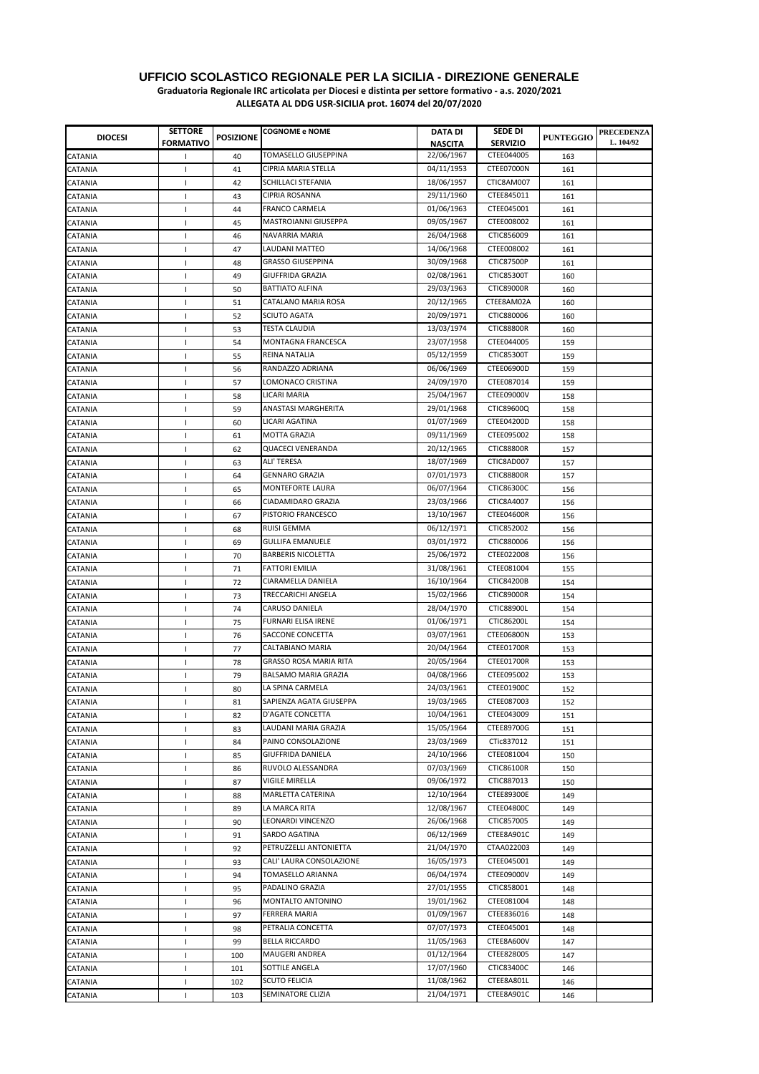**Graduatoria Regionale IRC articolata per Diocesi e distinta per settore formativo - a.s. 2020/2021**

| <b>DIOCESI</b> | <b>SETTORE</b><br><b>FORMATIVO</b> | <b>POSIZIONE</b> | <b>COGNOME e NOME</b>         | DATA DI<br><b>NASCITA</b> | <b>SEDE DI</b><br><b>SERVIZIO</b> | <b>PUNTEGGIO</b> | <b>PRECEDENZA</b><br>L. 104/92 |
|----------------|------------------------------------|------------------|-------------------------------|---------------------------|-----------------------------------|------------------|--------------------------------|
| CATANIA        | $\mathbf{I}$                       | 40               | <b>TOMASELLO GIUSEPPINA</b>   | 22/06/1967                | CTEE044005                        | 163              |                                |
| CATANIA        | $\mathbf{I}$                       | 41               | <b>CIPRIA MARIA STELLA</b>    | 04/11/1953                | CTEE07000N                        | 161              |                                |
| CATANIA        | $\mathbf{I}$                       | 42               | SCHILLACI STEFANIA            | 18/06/1957                | CTIC8AM007                        | 161              |                                |
| CATANIA        | $\mathbf{I}$                       | 43               | CIPRIA ROSANNA                | 29/11/1960                | CTEE845011                        | 161              |                                |
| CATANIA        |                                    | 44               | <b>FRANCO CARMELA</b>         | 01/06/1963                | CTEE045001                        | 161              |                                |
| CATANIA        | $\overline{\phantom{a}}$           | 45               | MASTROIANNI GIUSEPPA          | 09/05/1967                | CTEE008002                        | 161              |                                |
| CATANIA        | $\overline{\phantom{a}}$           | 46               | NAVARRIA MARIA                | 26/04/1968                | CTIC856009                        | 161              |                                |
| CATANIA        |                                    | 47               | LAUDANI MATTEO                | 14/06/1968                | CTEE008002                        | 161              |                                |
| CATANIA        |                                    | 48               | <b>GRASSO GIUSEPPINA</b>      | 30/09/1968                | <b>CTIC87500P</b>                 | 161              |                                |
| CATANIA        | $\mathbf{I}$                       | 49               | <b>GIUFFRIDA GRAZIA</b>       | 02/08/1961                | <b>CTIC85300T</b>                 | 160              |                                |
| CATANIA        | $\mathbf{I}$                       | 50               | <b>BATTIATO ALFINA</b>        | 29/03/1963                | <b>CTIC89000R</b>                 | 160              |                                |
| CATANIA        | $\overline{\phantom{a}}$           | 51               | CATALANO MARIA ROSA           | 20/12/1965                | CTEE8AM02A                        | 160              |                                |
| CATANIA        | -1                                 | 52               | <b>SCIUTO AGATA</b>           | 20/09/1971                | CTIC880006                        | 160              |                                |
| CATANIA        | $\mathbf{I}$                       | 53               | <b>TESTA CLAUDIA</b>          | 13/03/1974                | <b>CTIC88800R</b>                 | 160              |                                |
| CATANIA        | $\mathbf{I}$                       | 54               | MONTAGNA FRANCESCA            | 23/07/1958                | CTEE044005                        | 159              |                                |
| CATANIA        | $\mathbf{I}$                       | 55               | REINA NATALIA                 | 05/12/1959                | <b>CTIC85300T</b>                 | 159              |                                |
| CATANIA        | $\mathbf{I}$                       | 56               | RANDAZZO ADRIANA              | 06/06/1969                | CTEE06900D                        | 159              |                                |
| CATANIA        | $\mathbf{I}$                       | 57               | LOMONACO CRISTINA             | 24/09/1970                | CTEE087014                        | 159              |                                |
| CATANIA        | $\mathbf{I}$                       | 58               | LICARI MARIA                  | 25/04/1967                | <b>CTEE09000V</b>                 | 158              |                                |
| CATANIA        | $\mathbf{I}$                       | 59               | ANASTASI MARGHERITA           | 29/01/1968                | CTIC89600Q                        | 158              |                                |
| CATANIA        | $\overline{\phantom{a}}$           | 60               | LICARI AGATINA                | 01/07/1969                | CTEE04200D                        | 158              |                                |
| CATANIA        | $\mathsf{I}$                       | 61               | <b>MOTTA GRAZIA</b>           | 09/11/1969                | CTEE095002                        | 158              |                                |
| CATANIA        | $\mathbf{I}$                       | 62               | <b>QUACECI VENERANDA</b>      | 20/12/1965                | <b>CTIC88800R</b>                 | 157              |                                |
| CATANIA        | $\mathbf{I}$                       | 63               | ALI' TERESA                   | 18/07/1969                | CTIC8AD007                        | 157              |                                |
| CATANIA        | $\mathbf{I}$                       | 64               | <b>GENNARO GRAZIA</b>         | 07/01/1973                | <b>CTIC88800R</b>                 | 157              |                                |
| CATANIA        | $\mathbf{I}$                       | 65               | <b>MONTEFORTE LAURA</b>       | 06/07/1964                | CTIC86300C                        | 156              |                                |
| CATANIA        | $\overline{\phantom{a}}$           | 66               | CIADAMIDARO GRAZIA            | 23/03/1966                | CTIC8A4007                        | 156              |                                |
| CATANIA        | $\overline{\phantom{a}}$           | 67               | PISTORIO FRANCESCO            | 13/10/1967                | CTEE04600R                        | 156              |                                |
| CATANIA        | $\mathsf{I}$                       | 68               | <b>RUISI GEMMA</b>            | 06/12/1971                | CTIC852002                        | 156              |                                |
| CATANIA        | 1                                  | 69               | <b>GULLIFA EMANUELE</b>       | 03/01/1972                | CTIC880006                        | 156              |                                |
| CATANIA        | -1                                 | 70               | <b>BARBERIS NICOLETTA</b>     | 25/06/1972                | CTEE022008                        | 156              |                                |
| CATANIA        |                                    | 71               | <b>FATTORI EMILIA</b>         | 31/08/1961                | CTEE081004                        | 155              |                                |
| CATANIA        | $\mathbf{I}$                       | 72               | CIARAMELLA DANIELA            | 16/10/1964                | CTIC84200B                        | 154              |                                |
| CATANIA        | -1                                 | 73               | TRECCARICHI ANGELA            | 15/02/1966                | <b>CTIC89000R</b>                 | 154              |                                |
| CATANIA        | $\mathbf{I}$                       | 74               | CARUSO DANIELA                | 28/04/1970                | CTIC88900L                        | 154              |                                |
| CATANIA        |                                    | 75               | <b>FURNARI ELISA IRENE</b>    | 01/06/1971                | CTIC86200L                        | 154              |                                |
| CATANIA        | $\mathbf{I}$                       | 76               | SACCONE CONCETTA              | 03/07/1961                | <b>CTEE06800N</b>                 | 153              |                                |
| CATANIA        | $\mathsf{I}$                       | 77               | CALTABIANO MARIA              | 20/04/1964                | CTEE01700R                        | 153              |                                |
| CATANIA        | $\mathbf{I}$                       | 78               | <b>GRASSO ROSA MARIA RITA</b> | 20/05/1964                | CTEE01700R                        | 153              |                                |
| CATANIA        | -1                                 | 79               | BALSAMO MARIA GRAZIA          | 04/08/1966                | CTEE095002                        | 153              |                                |
| CATANIA        | $\mathbf{I}$                       | 80               | LA SPINA CARMELA              | 24/03/1961                | CTEE01900C                        | 152              |                                |
| CATANIA        | $\mathbf{I}$                       | 81               | SAPIENZA AGATA GIUSEPPA       | 19/03/1965                | CTEE087003                        | 152              |                                |
| CATANIA        | $\mathbf{I}$                       | 82               | D'AGATE CONCETTA              | 10/04/1961                | CTEE043009                        | 151              |                                |
| CATANIA        | 1                                  | 83               | LAUDANI MARIA GRAZIA          | 15/05/1964                | CTEE89700G                        | 151              |                                |
| CATANIA        | $\mathbf{I}$                       | 84               | PAINO CONSOLAZIONE            | 23/03/1969                | CTic837012                        | 151              |                                |
| CATANIA        | $\mathbf{I}$                       | 85               | GIUFFRIDA DANIELA             | 24/10/1966                | CTEE081004                        | 150              |                                |
| CATANIA        | -1                                 | 86               | RUVOLO ALESSANDRA             | 07/03/1969                | CTIC86100R                        | 150              |                                |
| CATANIA        | $\overline{\phantom{a}}$           | 87               | <b>VIGILE MIRELLA</b>         | 09/06/1972                | CTIC887013                        | 150              |                                |
| CATANIA        | $\mathsf{I}$                       | 88               | MARLETTA CATERINA             | 12/10/1964                | CTEE89300E                        | 149              |                                |
| CATANIA        | $\mathbf{I}$                       | 89               | LA MARCA RITA                 | 12/08/1967                | CTEE04800C                        | 149              |                                |
| CATANIA        | $\mathbf{I}$                       | 90               | LEONARDI VINCENZO             | 26/06/1968                | CTIC857005                        | 149              |                                |
| CATANIA        | $\mathbf{I}$                       | 91               | SARDO AGATINA                 | 06/12/1969                | CTEE8A901C                        | 149              |                                |
| CATANIA        | $\mathsf{I}$                       | 92               | PETRUZZELLI ANTONIETTA        | 21/04/1970                | CTAA022003                        | 149              |                                |
| CATANIA        | $\overline{\phantom{a}}$           | 93               | CALI' LAURA CONSOLAZIONE      | 16/05/1973                | CTEE045001                        | 149              |                                |
| CATANIA        |                                    | 94               | TOMASELLO ARIANNA             | 06/04/1974                | CTEE09000V                        | 149              |                                |
| CATANIA        | $\mathsf{I}$                       | 95               | PADALINO GRAZIA               | 27/01/1955                | CTIC858001                        | 148              |                                |
| CATANIA        | 1                                  | 96               | MONTALTO ANTONINO             | 19/01/1962                | CTEE081004                        | 148              |                                |
| CATANIA        |                                    | 97               | FERRERA MARIA                 | 01/09/1967                | CTEE836016                        | 148              |                                |
| CATANIA        |                                    | 98               | PETRALIA CONCETTA             | 07/07/1973                | CTEE045001                        | 148              |                                |
| CATANIA        |                                    | 99               | <b>BELLA RICCARDO</b>         | 11/05/1963                | CTEE8A600V                        | 147              |                                |
| CATANIA        | 1                                  | 100              | <b>MAUGERI ANDREA</b>         | 01/12/1964                | CTEE828005                        | 147              |                                |
| CATANIA        | $\mathbf{I}$                       | 101              | SOTTILE ANGELA                | 17/07/1960                | <b>CTIC83400C</b>                 | 146              |                                |
| CATANIA        | $\overline{\phantom{a}}$           | 102              | <b>SCUTO FELICIA</b>          | 11/08/1962                | CTEE8A801L                        | 146              |                                |
| CATANIA        | $\mathbf{I}$                       | 103              | SEMINATORE CLIZIA             | 21/04/1971                | CTEE8A901C                        | 146              |                                |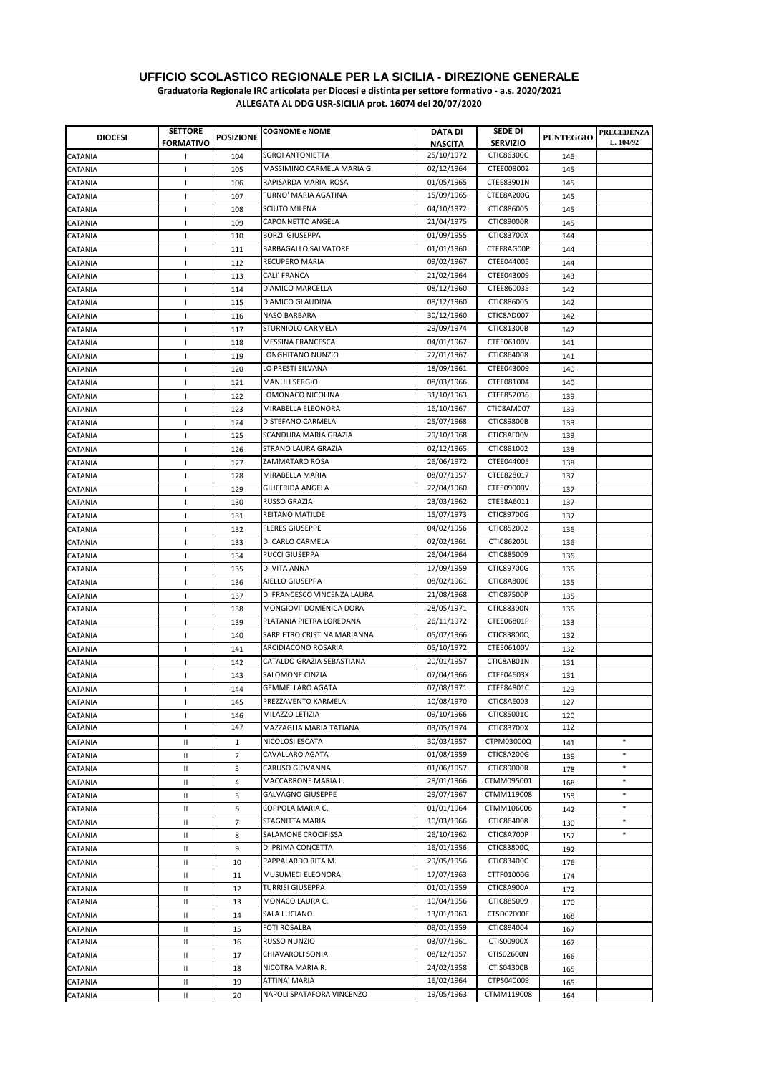**Graduatoria Regionale IRC articolata per Diocesi e distinta per settore formativo - a.s. 2020/2021**

| <b>DIOCESI</b> | <b>SETTORE</b>           | <b>POSIZIONE</b> | <b>COGNOME e NOME</b>       | DATA DI    | <b>SEDE DI</b>    | <b>PUNTEGGIO</b> | <b>PRECEDENZA</b><br>L. 104/92 |
|----------------|--------------------------|------------------|-----------------------------|------------|-------------------|------------------|--------------------------------|
|                | <b>FORMATIVO</b>         |                  |                             | NASCITA    | <b>SERVIZIO</b>   |                  |                                |
| CATANIA        | -1                       | 104              | <b>SGROI ANTONIETTA</b>     | 25/10/1972 | CTIC86300C        | 146              |                                |
| <b>CATANIA</b> | $\mathbf{I}$             | 105              | MASSIMINO CARMELA MARIA G.  | 02/12/1964 | CTEE008002        | 145              |                                |
| CATANIA        | $\mathsf{I}$             | 106              | RAPISARDA MARIA ROSA        | 01/05/1965 | CTEE83901N        | 145              |                                |
| <b>CATANIA</b> | $\mathsf{I}$             | 107              | FURNO' MARIA AGATINA        | 15/09/1965 | CTEE8A200G        | 145              |                                |
| CATANIA        | $\mathbf{I}$             | 108              | <b>SCIUTO MILENA</b>        | 04/10/1972 | CTIC886005        | 145              |                                |
| <b>CATANIA</b> | $\mathbf{I}$             | 109              | CAPONNETTO ANGELA           | 21/04/1975 | <b>CTIC89000R</b> | 145              |                                |
| CATANIA        | $\mathbf{I}$             | 110              | <b>BORZI' GIUSEPPA</b>      | 01/09/1955 | CTIC83700X        | 144              |                                |
| CATANIA        | $\mathsf{I}$             | 111              | BARBAGALLO SALVATORE        | 01/01/1960 | CTEE8AG00P        | 144              |                                |
| CATANIA        | $\mathbf{I}$             | 112              | RECUPERO MARIA              | 09/02/1967 | CTEE044005        | 144              |                                |
| CATANIA        | $\mathbf{I}$             | 113              | CALI' FRANCA                | 21/02/1964 | CTEE043009        | 143              |                                |
| CATANIA        | $\mathbf{I}$             | 114              | D'AMICO MARCELLA            | 08/12/1960 | CTEE860035        | 142              |                                |
| CATANIA        | $\mathsf{I}$             | 115              | D'AMICO GLAUDINA            | 08/12/1960 | CTIC886005        | 142              |                                |
| CATANIA        | $\overline{\phantom{a}}$ | 116              | NASO BARBARA                | 30/12/1960 | CTIC8AD007        | 142              |                                |
| <b>CATANIA</b> | $\mathbf{I}$             | 117              | STURNIOLO CARMELA           | 29/09/1974 | CTIC81300B        | 142              |                                |
| CATANIA        | $\mathbf{I}$             | 118              | <b>MESSINA FRANCESCA</b>    | 04/01/1967 | CTEE06100V        | 141              |                                |
| CATANIA        | $\mathbf{I}$             | 119              | LONGHITANO NUNZIO           | 27/01/1967 | CTIC864008        | 141              |                                |
| <b>CATANIA</b> | $\mathbf{I}$             | 120              | LO PRESTI SILVANA           | 18/09/1961 | CTEE043009        | 140              |                                |
| CATANIA        | J.                       | 121              | <b>MANULI SERGIO</b>        | 08/03/1966 | CTEE081004        | 140              |                                |
| CATANIA        | -1                       | 122              | LOMONACO NICOLINA           | 31/10/1963 | CTEE852036        | 139              |                                |
| CATANIA        | $\mathbf{I}$             | 123              | MIRABELLA ELEONORA          | 16/10/1967 | CTIC8AM007        | 139              |                                |
| CATANIA        | $\mathbf{I}$             | 124              | DISTEFANO CARMELA           | 25/07/1968 | <b>CTIC89800B</b> | 139              |                                |
| CATANIA        | $\mathbf{I}$             | 125              | SCANDURA MARIA GRAZIA       | 29/10/1968 | CTIC8AF00V        | 139              |                                |
|                |                          |                  | STRANO LAURA GRAZIA         | 02/12/1965 | CTIC881002        | 138              |                                |
| CATANIA        | -1                       | 126<br>127       | ZAMMATARO ROSA              | 26/06/1972 | CTEE044005        | 138              |                                |
| CATANIA        | $\mathbf{I}$             |                  | MIRABELLA MARIA             | 08/07/1957 | CTEE828017        |                  |                                |
| <b>CATANIA</b> | $\overline{\phantom{a}}$ | 128              | <b>GIUFFRIDA ANGELA</b>     |            | CTEE09000V        | 137              |                                |
| CATANIA        | $\mathsf{I}$             | 129              |                             | 22/04/1960 |                   | 137              |                                |
| CATANIA        | $\mathbf{I}$             | 130              | <b>RUSSO GRAZIA</b>         | 23/03/1962 | CTEE8A6011        | 137              |                                |
| <b>CATANIA</b> | $\mathbf{I}$             | 131              | REITANO MATILDE             | 15/07/1973 | CTIC89700G        | 137              |                                |
| <b>CATANIA</b> | $\mathbf{I}$             | 132              | <b>FLERES GIUSEPPE</b>      | 04/02/1956 | CTIC852002        | 136              |                                |
| CATANIA        | $\mathbf{I}$             | 133              | DI CARLO CARMELA            | 02/02/1961 | CTIC86200L        | 136              |                                |
| <b>CATANIA</b> | $\overline{\phantom{a}}$ | 134              | <b>PUCCI GIUSEPPA</b>       | 26/04/1964 | CTIC885009        | 136              |                                |
| <b>CATANIA</b> | $\mathbf{I}$             | 135              | DI VITA ANNA                | 17/09/1959 | CTIC89700G        | 135              |                                |
| <b>CATANIA</b> | $\mathbf{I}$             | 136              | AIELLO GIUSEPPA             | 08/02/1961 | CTIC8A800E        | 135              |                                |
| CATANIA        | $\mathbf{I}$             | 137              | DI FRANCESCO VINCENZA LAURA | 21/08/1968 | <b>CTIC87500P</b> | 135              |                                |
| CATANIA        | $\mathsf{I}$             | 138              | MONGIOVI' DOMENICA DORA     | 28/05/1971 | <b>CTIC88300N</b> | 135              |                                |
| CATANIA        | $\mathbf{I}$             | 139              | PLATANIA PIETRA LOREDANA    | 26/11/1972 | CTEE06801P        | 133              |                                |
| CATANIA        | $\mathbf{I}$             | 140              | SARPIETRO CRISTINA MARIANNA | 05/07/1966 | CTIC83800Q        | 132              |                                |
| CATANIA        | $\mathsf{I}$             | 141              | ARCIDIACONO ROSARIA         | 05/10/1972 | CTEE06100V        | 132              |                                |
| CATANIA        | $\mathbf{I}$             | 142              | CATALDO GRAZIA SEBASTIANA   | 20/01/1957 | CTIC8AB01N        | 131              |                                |
| CATANIA        | 1                        | 143              | SALOMONE CINZIA             | 07/04/1966 | CTEE04603X        | 131              |                                |
| <b>CATANIA</b> | $\overline{\phantom{a}}$ | 144              | <b>GEMMELLARO AGATA</b>     | 07/08/1971 | CTEE84801C        | 129              |                                |
| CATANIA        | $\mathsf{I}$             | 145              | PREZZAVENTO KARMELA         | 10/08/1970 | CTIC8AE003        | 127              |                                |
| CATANIA        | $\mathbf{I}$             | 146              | MILAZZO LETIZIA             | 09/10/1966 | CTIC85001C        | 120              |                                |
| CATANIA        | т                        | 147              | MAZZAGLIA MARIA TATIANA     | 03/05/1974 | CTIC83700X        | 112              |                                |
| CATANIA        | Ш                        | $\mathbf{1}$     | NICOLOSI ESCATA             | 30/03/1957 | CTPM03000Q        | 141              | $\ast$                         |
| CATANIA        | $\mathbf{I}$             | $\overline{2}$   | CAVALLARO AGATA             | 01/08/1959 | CTIC8A200G        | 139              | $\ast$                         |
| CATANIA        | $\mathbf{I}$             | 3                | CARUSO GIOVANNA             | 01/06/1957 | <b>CTIC89000R</b> | 178              | $\ast$                         |
| CATANIA        | $\mathbf{I}$             | 4                | MACCARRONE MARIA L.         | 28/01/1966 | CTMM095001        | 168              | $\ast$                         |
| CATANIA        | $\mathbf{I}$             | 5                | <b>GALVAGNO GIUSEPPE</b>    | 29/07/1967 | CTMM119008        | 159              | $\ast$                         |
| CATANIA        | $\mathsf{I}$             | 6                | COPPOLA MARIA C.            | 01/01/1964 | CTMM106006        | 142              | ∗                              |
| CATANIA        | $\mathsf{I}$             | 7                | STAGNITTA MARIA             | 10/03/1966 | CTIC864008        | 130              | $\ast$                         |
| CATANIA        | $\mathsf{I}$             | 8                | SALAMONE CROCIFISSA         | 26/10/1962 | CTIC8A700P        | 157              | *                              |
| CATANIA        | Ш                        | 9                | DI PRIMA CONCETTA           | 16/01/1956 | CTIC83800Q        | 192              |                                |
| CATANIA        | $\mathsf{I}$             | 10               | PAPPALARDO RITA M.          | 29/05/1956 | CTIC83400C        | 176              |                                |
| CATANIA        | $\mathsf{I}$             | 11               | MUSUMECI ELEONORA           | 17/07/1963 | CTTF01000G        | 174              |                                |
| CATANIA        | $\mathsf{I}$             | 12               | <b>TURRISI GIUSEPPA</b>     | 01/01/1959 | CTIC8A900A        | 172              |                                |
| <b>CATANIA</b> | $\mathsf{I}$             | 13               | MONACO LAURA C.             | 10/04/1956 | CTIC885009        | 170              |                                |
| CATANIA        | $\mathsf{I}$             | 14               | SALA LUCIANO                | 13/01/1963 | <b>CTSD02000E</b> | 168              |                                |
| CATANIA        | Ш                        | 15               | <b>FOTI ROSALBA</b>         | 08/01/1959 | CTIC894004        | 167              |                                |
| CATANIA        | Ш                        | 16               | RUSSO NUNZIO                | 03/07/1961 | CTIS00900X        | 167              |                                |
| CATANIA        | Ш                        | 17               | CHIAVAROLI SONIA            | 08/12/1957 | CTIS02600N        | 166              |                                |
| CATANIA        | $\mathsf{I}$             | 18               | NICOTRA MARIA R.            | 24/02/1958 | CTIS04300B        | 165              |                                |
| CATANIA        | $\mathsf{I}$             | 19               | ATTINA' MARIA               | 16/02/1964 | CTPS040009        | 165              |                                |
| CATANIA        | Ш                        | 20               | NAPOLI SPATAFORA VINCENZO   | 19/05/1963 | CTMM119008        |                  |                                |
|                |                          |                  |                             |            |                   | 164              |                                |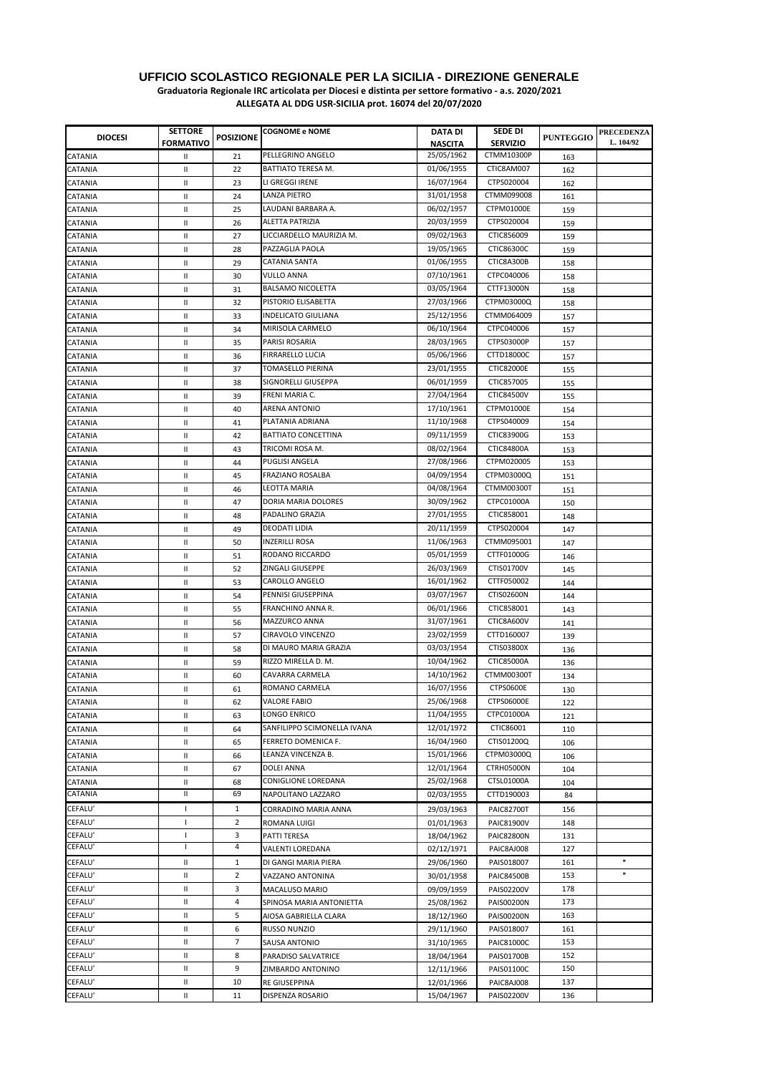**Graduatoria Regionale IRC articolata per Diocesi e distinta per settore formativo - a.s. 2020/2021**

| <b>DIOCESI</b>     | <b>SETTORE</b>             | <b>POSIZIONE</b> | <b>COGNOME e NOME</b>                      | DATA DI                      | <b>SEDE DI</b>                | <b>PUNTEGGIO</b> | <b>PRECEDENZA</b> |
|--------------------|----------------------------|------------------|--------------------------------------------|------------------------------|-------------------------------|------------------|-------------------|
|                    | <b>FORMATIVO</b>           |                  | PELLEGRINO ANGELO                          | <b>NASCITA</b><br>25/05/1962 | <b>SERVIZIO</b><br>CTMM10300P |                  | L. 104/92         |
| CATANIA            | Ш                          | 21               | BATTIATO TERESA M.                         | 01/06/1955                   | CTIC8AM007                    | 163              |                   |
| CATANIA            | Ш                          | 22               | LI GREGGI IRENE                            | 16/07/1964                   | CTPS020004                    | 162              |                   |
| CATANIA            | $\mathbf{I}$               | 23<br>24         | LANZA PIETRO                               | 31/01/1958                   | CTMM099008                    | 162              |                   |
| CATANIA<br>CATANIA | Ш<br>Ш                     | 25               | LAUDANI BARBARA A.                         | 06/02/1957                   | CTPM01000E                    | 161              |                   |
| CATANIA            | Ш                          | 26               | <b>ALETTA PATRIZIA</b>                     | 20/03/1959                   | CTPS020004                    | 159              |                   |
| CATANIA            | Ш                          | 27               | LICCIARDELLO MAURIZIA M.                   | 09/02/1963                   | CTIC856009                    | 159              |                   |
| CATANIA            | Ш                          | 28               | PAZZAGLIA PAOLA                            | 19/05/1965                   | CTIC86300C                    | 159              |                   |
| CATANIA            | $\mathbf{H}$               | 29               | <b>CATANIA SANTA</b>                       | 01/06/1955                   | CTIC8A300B                    | 159<br>158       |                   |
| CATANIA            | Ш                          | 30               | <b>VULLO ANNA</b>                          | 07/10/1961                   | CTPC040006                    | 158              |                   |
| CATANIA            | Ш                          | 31               | <b>BALSAMO NICOLETTA</b>                   | 03/05/1964                   | CTTF13000N                    | 158              |                   |
| CATANIA            | Ш                          | 32               | PISTORIO ELISABETTA                        | 27/03/1966                   | CTPM03000Q                    | 158              |                   |
| CATANIA            | $\mathbf{H}$               | 33               | <b>INDELICATO GIULIANA</b>                 | 25/12/1956                   | CTMM064009                    | 157              |                   |
| CATANIA            | Ш                          | 34               | MIRISOLA CARMELO                           | 06/10/1964                   | CTPC040006                    | 157              |                   |
| CATANIA            | Ш                          | 35               | PARISI ROSARIA                             | 28/03/1965                   | CTPS03000P                    | 157              |                   |
| CATANIA            | Ш                          | 36               | FIRRARELLO LUCIA                           | 05/06/1966                   | CTTD18000C                    | 157              |                   |
| CATANIA            | Ш                          | 37               | TOMASELLO PIERINA                          | 23/01/1955                   | <b>CTIC82000E</b>             | 155              |                   |
| CATANIA            | Ш                          | 38               | SIGNORELLI GIUSEPPA                        | 06/01/1959                   | CTIC857005                    | 155              |                   |
| CATANIA            | Ш                          | 39               | FRENI MARIA C.                             | 27/04/1964                   | CTIC84500V                    | 155              |                   |
| CATANIA            | Ш                          | 40               | ARENA ANTONIO                              | 17/10/1961                   | CTPM01000E                    | 154              |                   |
| CATANIA            | Ш                          | 41               | PLATANIA ADRIANA                           | 11/10/1968                   | CTPS040009                    | 154              |                   |
| CATANIA            | Ш                          | 42               | BATTIATO CONCETTINA                        | 09/11/1959                   | CTIC83900G                    | 153              |                   |
| CATANIA            | Ш                          | 43               | TRICOMI ROSA M.                            | 08/02/1964                   | CTIC84800A                    | 153              |                   |
| CATANIA            | $\mathbf{H}$               | 44               | <b>PUGLISI ANGELA</b>                      | 27/08/1966                   | CTPM020005                    | 153              |                   |
| CATANIA            | Ш                          | 45               | <b>FRAZIANO ROSALBA</b>                    | 04/09/1954                   | CTPM03000Q                    | 151              |                   |
| CATANIA            | $\mathbf{I}$               | 46               | <b>LFOTTA MARIA</b>                        | 04/08/1964                   | <b>CTMM00300T</b>             | 151              |                   |
| CATANIA            | Ш                          | 47               | DORIA MARIA DOLORES                        | 30/09/1962                   | CTPC01000A                    | 150              |                   |
| CATANIA            | $\mathbf{I}$               | 48               | PADALINO GRAZIA                            | 27/01/1955                   | CTIC858001                    | 148              |                   |
| CATANIA            | Ш                          | 49               | <b>DEODATI LIDIA</b>                       | 20/11/1959                   | CTPS020004                    | 147              |                   |
| CATANIA            | Ш                          | 50               | INZERILLI ROSA                             | 11/06/1963                   | CTMM095001                    | 147              |                   |
| CATANIA            | Ш                          | 51               | RODANO RICCARDO                            | 05/01/1959                   | CTTF01000G                    | 146              |                   |
| CATANIA            | Ш                          | 52               | ZINGALI GIUSEPPE                           | 26/03/1969                   | CTIS01700V                    | 145              |                   |
| CATANIA            | Ш                          | 53               | CAROLLO ANGELO                             | 16/01/1962                   | CTTF050002                    | 144              |                   |
| CATANIA            | Ш                          | 54               | PENNISI GIUSEPPINA                         | 03/07/1967                   | CTIS02600N                    | 144              |                   |
| CATANIA            | Ш                          | 55               | FRANCHINO ANNA R.<br>MAZZURCO ANNA         | 06/01/1966                   | CTIC858001                    | 143              |                   |
| CATANIA            | Ш                          | 56               |                                            | 31/07/1961                   | CTIC8A600V                    | 141              |                   |
| CATANIA            | Ш                          | 57               | CIRAVOLO VINCENZO<br>DI MAURO MARIA GRAZIA | 23/02/1959<br>03/03/1954     | CTTD160007<br>CTIS03800X      | 139              |                   |
| CATANIA            | Ш                          | 58               | RIZZO MIRELLA D. M.                        | 10/04/1962                   | CTIC85000A                    | 136              |                   |
| CATANIA<br>CATANIA | Ш<br>Ш                     | 59<br>60         | CAVARRA CARMELA                            | 14/10/1962                   | CTMM00300T                    | 136              |                   |
| CATANIA            | Ш                          | 61               | ROMANO CARMELA                             | 16/07/1956                   | <b>CTPS0600E</b>              | 134<br>130       |                   |
|                    | Ш                          | 62               | <b>VALORE FABIO</b>                        | 25/06/1968                   | CTPS06000E                    |                  |                   |
| CATANIA<br>CATANIA | Ш                          | 63               | LONGO ENRICO                               | 11/04/1955                   | CTPC01000A                    | 122<br>121       |                   |
| CATANIA            | Ш                          | 64               | SANFILIPPO SCIMONELLA IVANA                | 12/01/1972                   | CTIC86001                     | 110              |                   |
| CATANIA            | $\ensuremath{\mathsf{II}}$ | 65               | FERRETO DOMENICA F.                        | 16/04/1960                   | CTIS01200Q                    | 106              |                   |
| CATANIA            | $\ensuremath{\mathsf{II}}$ | 66               | LEANZA VINCENZA B.                         | 15/01/1966                   | CTPM03000Q                    | 106              |                   |
| CATANIA            | $\mathbf{II}$              | 67               | DOLEI ANNA                                 | 12/01/1964                   | <b>CTRH05000N</b>             | 104              |                   |
| CATANIA            | Ш                          | 68               | CONIGLIONE LOREDANA                        | 25/02/1968                   | CTSL01000A                    | 104              |                   |
| CATANIA            | $\ensuremath{\mathsf{II}}$ | 69               | NAPOLITANO LAZZARO                         | 02/03/1955                   | CTTD190003                    | 84               |                   |
| CEFALU'            | J.                         | $\mathbf{1}$     | CORRADINO MARIA ANNA                       | 29/03/1963                   | <b>PAIC82700T</b>             | 156              |                   |
| CEFALU'            | $\overline{\phantom{a}}$   | $\overline{2}$   | ROMANA LUIGI                               | 01/01/1963                   | PAIC81900V                    | 148              |                   |
| CEFALU'            | T                          | 3                | PATTI TERESA                               | 18/04/1962                   | <b>PAIC82800N</b>             | 131              |                   |
| CEFALU'            | ı                          | 4                | <b>VALENTI LOREDANA</b>                    | 02/12/1971                   | PAIC8AJ008                    | 127              |                   |
| CEFALU'            | Ш                          | $\mathbf{1}$     | DI GANGI MARIA PIERA                       | 29/06/1960                   | PAIS018007                    | 161              |                   |
| CEFALU'            | Ш                          | 2                | VAZZANO ANTONINA                           | 30/01/1958                   | <b>PAIC84500B</b>             | 153              | $\ast$            |
| CEFALU'            | Ш                          | 3                | MACALUSO MARIO                             | 09/09/1959                   | PAIS02200V                    | 178              |                   |
| CEFALU'            | Ш                          | 4                | SPINOSA MARIA ANTONIETTA                   | 25/08/1962                   | PAIS00200N                    | 173              |                   |
| CEFALU'            | Ш                          | 5                | AIOSA GABRIELLA CLARA                      | 18/12/1960                   | PAIS00200N                    | 163              |                   |
| CEFALU'            | Ш                          | 6                | RUSSO NUNZIO                               | 29/11/1960                   | PAIS018007                    | 161              |                   |
| CEFALU'            | Ш                          | 7                | SAUSA ANTONIO                              | 31/10/1965                   | PAIC81000C                    | 153              |                   |
| CEFALU'            | Ш                          | 8                | PARADISO SALVATRICE                        | 18/04/1964                   | PAIS01700B                    | 152              |                   |
| CEFALU'            | Ш                          | 9                | ZIMBARDO ANTONINO                          | 12/11/1966                   | PAIS01100C                    | 150              |                   |
| CEFALU'            | $\ensuremath{\mathsf{II}}$ | 10               | RE GIUSEPPINA                              | 12/01/1966                   | PAIC8AJ008                    | 137              |                   |
| CEFALU'            | Ш                          | 11               | DISPENZA ROSARIO                           | 15/04/1967                   | PAIS02200V                    | 136              |                   |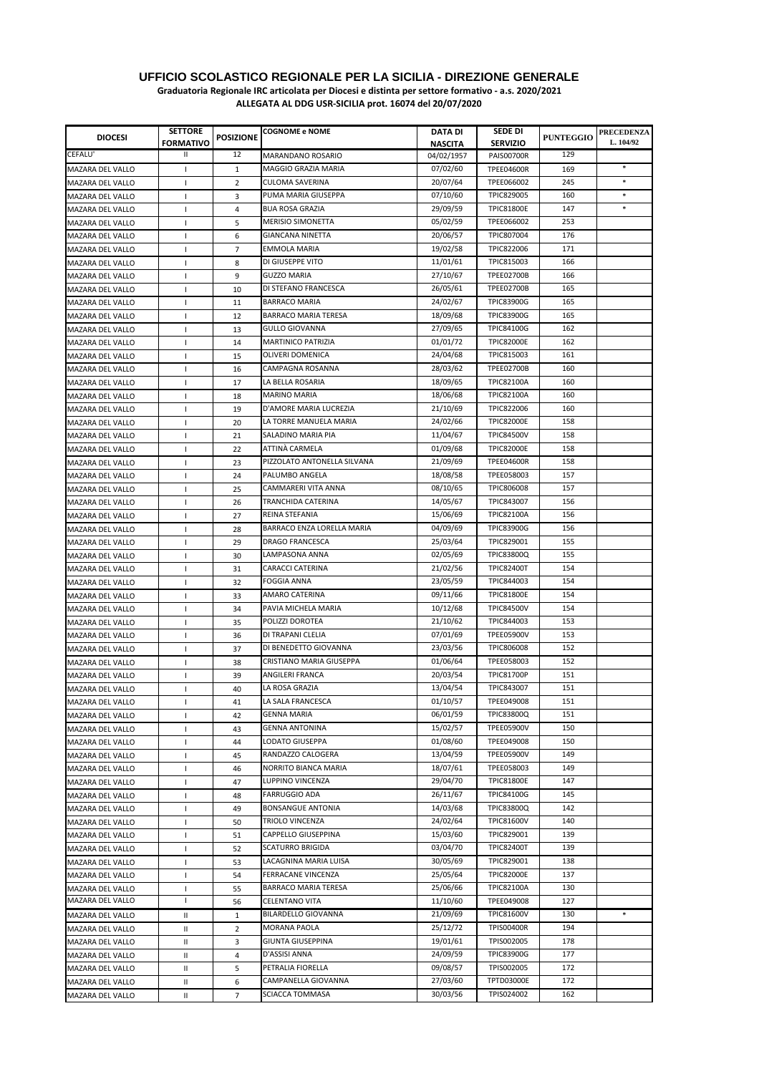**Graduatoria Regionale IRC articolata per Diocesi e distinta per settore formativo - a.s. 2020/2021**

| <b>DIOCESI</b>                                     | <b>SETTORE</b><br><b>FORMATIVO</b> | <b>POSIZIONE</b> | <b>COGNOME e NOME</b>       | DATA DI                      | SEDE DI<br><b>SERVIZIO</b>             | <b>PUNTEGGIO</b> | <b>PRECEDENZA</b><br>L. 104/92 |
|----------------------------------------------------|------------------------------------|------------------|-----------------------------|------------------------------|----------------------------------------|------------------|--------------------------------|
| CEFALU'                                            | Ш                                  | 12               | <b>MARANDANO ROSARIO</b>    | <b>NASCITA</b><br>04/02/1957 | <b>PAIS00700R</b>                      | 129              |                                |
| <b>MAZARA DEL VALLO</b>                            | $\mathbf{I}$                       | $\mathbf{1}$     | MAGGIO GRAZIA MARIA         | 07/02/60                     | <b>TPEE04600R</b>                      | 169              | $\ast$                         |
| <b>MAZARA DEL VALLO</b>                            |                                    | 2                | CULOMA SAVERINA             | 20/07/64                     | TPEE066002                             | 245              | $\ast$                         |
| <b>MAZARA DEL VALLO</b>                            | -1<br>$\mathbf{I}$                 | 3                | PUMA MARIA GIUSEPPA         | 07/10/60                     | TPIC829005                             | 160              | $\ast$                         |
| MAZARA DEL VALLO                                   | -1                                 | 4                | <b>BUA ROSA GRAZIA</b>      | 29/09/59                     | <b>TPIC81800E</b>                      | 147              | $\ast$                         |
| MAZARA DEL VALLO                                   | J.                                 | 5                | <b>MERISIO SIMONETTA</b>    | 05/02/59                     | TPEE066002                             | 253              |                                |
| <b>MAZARA DEL VALLO</b>                            | 1                                  | 6                | <b>GIANCANA NINETTA</b>     | 20/06/57                     | TPIC807004                             | 176              |                                |
| MAZARA DEL VALLO                                   | т.                                 | 7                | EMMOLA MARIA                | 19/02/58                     | TPIC822006                             | 171              |                                |
|                                                    | $\mathbf{I}$                       | 8                | DI GIUSEPPE VITO            | 11/01/61                     | TPIC815003                             | 166              |                                |
| MAZARA DEL VALLO                                   | $\mathbf{I}$                       | 9                | <b>GUZZO MARIA</b>          | 27/10/67                     | <b>TPEE02700B</b>                      | 166              |                                |
| MAZARA DEL VALLO<br><b>MAZARA DEL VALLO</b>        | $\mathbf{I}$                       | 10               | DI STEFANO FRANCESCA        | 26/05/61                     | <b>TPEE02700B</b>                      | 165              |                                |
| <b>MAZARA DEL VALLO</b>                            | $\mathbf{I}$                       | 11               | <b>BARRACO MARIA</b>        | 24/02/67                     | <b>TPIC83900G</b>                      | 165              |                                |
| <b>MAZARA DEL VALLO</b>                            | $\mathbf{I}$                       | 12               | <b>BARRACO MARIA TERESA</b> | 18/09/68                     | <b>TPIC83900G</b>                      | 165              |                                |
| <b>MAZARA DEL VALLO</b>                            | T                                  | 13               | <b>GULLO GIOVANNA</b>       | 27/09/65                     | <b>TPIC84100G</b>                      | 162              |                                |
| <b>MAZARA DEL VALLO</b>                            | $\mathbf{I}$                       | 14               | MARTINICO PATRIZIA          | 01/01/72                     | <b>TPIC82000E</b>                      | 162              |                                |
|                                                    |                                    | 15               | <b>OLIVERI DOMENICA</b>     | 24/04/68                     | TPIC815003                             | 161              |                                |
| <b>MAZARA DEL VALLO</b><br>MAZARA DEL VALLO        | $\mathbf{I}$<br>$\mathbf{I}$       | 16               | CAMPAGNA ROSANNA            | 28/03/62                     | <b>TPEE02700B</b>                      | 160              |                                |
|                                                    |                                    |                  | LA BELLA ROSARIA            | 18/09/65                     | <b>TPIC82100A</b>                      | 160              |                                |
| MAZARA DEL VALLO                                   | Т.                                 | 17               | <b>MARINO MARIA</b>         | 18/06/68                     | <b>TPIC82100A</b>                      | 160              |                                |
| MAZARA DEL VALLO                                   | T                                  | 18               | D'AMORE MARIA LUCREZIA      | 21/10/69                     | TPIC822006                             | 160              |                                |
| <b>MAZARA DEL VALLO</b>                            | 1                                  | 19               | LA TORRE MANUELA MARIA      | 24/02/66                     | <b>TPIC82000E</b>                      | 158              |                                |
| MAZARA DEL VALLO                                   | $\mathbf{I}$                       | 20               | SALADINO MARIA PIA          | 11/04/67                     | <b>TPIC84500V</b>                      | 158              |                                |
| <b>MAZARA DEL VALLO</b>                            | T                                  | 21               | ATTINÀ CARMELA              | 01/09/68                     | <b>TPIC82000E</b>                      | 158              |                                |
| <b>MAZARA DEL VALLO</b><br><b>MAZARA DEL VALLO</b> | T                                  | 22               | PIZZOLATO ANTONELLA SILVANA | 21/09/69                     | <b>TPEE04600R</b>                      | 158              |                                |
|                                                    | $\mathbf{I}$                       | 23               | PALUMBO ANGELA              | 18/08/58                     | TPEE058003                             | 157              |                                |
| <b>MAZARA DEL VALLO</b>                            | $\mathbf{I}$                       | 24               | CAMMARERI VITA ANNA         | 08/10/65                     | TPIC806008                             | 157              |                                |
| <b>MAZARA DEL VALLO</b>                            | 1                                  | 25               | TRANCHIDA CATERINA          | 14/05/67                     | TPIC843007                             | 156              |                                |
| MAZARA DEL VALLO                                   | H                                  | 26               | REINA STEFANIA              | 15/06/69                     | <b>TPIC82100A</b>                      | 156              |                                |
| MAZARA DEL VALLO                                   | 1                                  | 27               | BARRACO ENZA LORELLA MARIA  | 04/09/69                     | <b>TPIC83900G</b>                      | 156              |                                |
| MAZARA DEL VALLO                                   | J.                                 | 28               | <b>DRAGO FRANCESCA</b>      | 25/03/64                     | TPIC829001                             | 155              |                                |
| MAZARA DEL VALLO                                   | T                                  | 29               | LAMPASONA ANNA              | 02/05/69                     |                                        | 155              |                                |
| MAZARA DEL VALLO                                   | J.                                 | 30               | CARACCI CATERINA            | 21/02/56                     | <b>TPIC83800Q</b><br><b>TPIC82400T</b> | 154              |                                |
| MAZARA DEL VALLO                                   | -1                                 | 31               | <b>FOGGIA ANNA</b>          | 23/05/59                     | TPIC844003                             | 154              |                                |
| MAZARA DEL VALLO                                   | $\mathbf{I}$                       | 32               | <b>AMARO CATERINA</b>       | 09/11/66                     | <b>TPIC81800E</b>                      | 154              |                                |
| <b>MAZARA DEL VALLO</b>                            | $\mathbf{I}$                       | 33               | PAVIA MICHELA MARIA         | 10/12/68                     | <b>TPIC84500V</b>                      | 154              |                                |
| <b>MAZARA DEL VALLO</b>                            | $\mathbf{I}$                       | 34               | POLIZZI DOROTEA             | 21/10/62                     | TPIC844003                             | 153              |                                |
| <b>MAZARA DEL VALLO</b><br><b>MAZARA DEL VALLO</b> | $\mathbf{I}$                       | 35               | DI TRAPANI CLELIA           | 07/01/69                     | <b>TPEE05900V</b>                      | 153              |                                |
| <b>MAZARA DEL VALLO</b>                            | $\mathbf{I}$                       | 36               | DI BENEDETTO GIOVANNA       | 23/03/56                     | TPIC806008                             | 152              |                                |
| <b>MAZARA DEL VALLO</b>                            | т.<br>$\mathbf{I}$                 | 37<br>38         | CRISTIANO MARIA GIUSEPPA    | 01/06/64                     | TPEE058003                             | 152              |                                |
|                                                    |                                    |                  | ANGILERI FRANCA             | 20/03/54                     | <b>TPIC81700P</b>                      | 151              |                                |
| <b>MAZARA DEL VALLO</b>                            | T                                  | 39               | LA ROSA GRAZIA              | 13/04/54                     | TPIC843007                             | 151              |                                |
| <b>MAZARA DEL VALLO</b>                            | T                                  | 40               | LA SALA FRANCESCA           | 01/10/57                     | TPEE049008                             | 151              |                                |
| MAZARA DEL VALLO                                   | T                                  | 41               | <b>GENNA MARIA</b>          | 06/01/59                     | <b>TPIC83800Q</b>                      | 151              |                                |
| MAZARA DEL VALLO                                   | т                                  | 42               | <b>GENNA ANTONINA</b>       | 15/02/57                     | <b>TPEE05900V</b>                      | 150              |                                |
| MAZARA DEL VALLO<br>MAZARA DEL VALLO               | L<br>T                             | 43<br>44         | LODATO GIUSEPPA             | 01/08/60                     | TPEE049008                             | 150              |                                |
|                                                    |                                    | 45               | RANDAZZO CALOGERA           | 13/04/59                     | <b>TPEE05900V</b>                      | 149              |                                |
| MAZARA DEL VALLO<br>MAZARA DEL VALLO               | 1<br>т                             | 46               | NORRITO BIANCA MARIA        | 18/07/61                     | TPEE058003                             | 149              |                                |
| MAZARA DEL VALLO                                   | т                                  | 47               | LUPPINO VINCENZA            | 29/04/70                     | <b>TPIC81800E</b>                      | 147              |                                |
| MAZARA DEL VALLO                                   | L                                  | 48               | <b>FARRUGGIO ADA</b>        | 26/11/67                     | TPIC84100G                             | 145              |                                |
| MAZARA DEL VALLO                                   | т                                  | 49               | <b>BONSANGUE ANTONIA</b>    | 14/03/68                     | <b>TPIC83800Q</b>                      | 142              |                                |
| MAZARA DEL VALLO                                   | 1                                  | 50               | TRIOLO VINCENZA             | 24/02/64                     | <b>TPIC81600V</b>                      | 140              |                                |
| MAZARA DEL VALLO                                   | $\mathbf{I}$                       | 51               | CAPPELLO GIUSEPPINA         | 15/03/60                     | TPIC829001                             | 139              |                                |
| MAZARA DEL VALLO                                   | 1                                  | 52               | <b>SCATURRO BRIGIDA</b>     | 03/04/70                     | <b>TPIC82400T</b>                      | 139              |                                |
| MAZARA DEL VALLO                                   | T                                  | 53               | LACAGNINA MARIA LUISA       | 30/05/69                     | TPIC829001                             | 138              |                                |
| MAZARA DEL VALLO                                   | ı                                  | 54               | FERRACANE VINCENZA          | 25/05/64                     | <b>TPIC82000E</b>                      | 137              |                                |
| MAZARA DEL VALLO                                   | T                                  | 55               | BARRACO MARIA TERESA        | 25/06/66                     | <b>TPIC82100A</b>                      | 130              |                                |
| MAZARA DEL VALLO                                   | ı                                  | 56               | CELENTANO VITA              | 11/10/60                     | TPEE049008                             | 127              |                                |
| MAZARA DEL VALLO                                   | Ш                                  | $\mathbf{1}$     | BILARDELLO GIOVANNA         | 21/09/69                     | <b>TPIC81600V</b>                      | 130              |                                |
| MAZARA DEL VALLO                                   | Ш                                  | $\overline{2}$   | MORANA PAOLA                | 25/12/72                     | <b>TPIS00400R</b>                      | 194              |                                |
| MAZARA DEL VALLO                                   | Ш                                  | 3                | <b>GIUNTA GIUSEPPINA</b>    | 19/01/61                     | TPIS002005                             | 178              |                                |
| MAZARA DEL VALLO                                   | Ш                                  | 4                | D'ASSISI ANNA               | 24/09/59                     | <b>TPIC83900G</b>                      | 177              |                                |
| MAZARA DEL VALLO                                   | Ш                                  | 5                | PETRALIA FIORELLA           | 09/08/57                     | TPIS002005                             | 172              |                                |
| MAZARA DEL VALLO                                   | Ш                                  | 6                | CAMPANELLA GIOVANNA         | 27/03/60                     | <b>TPTD03000E</b>                      | 172              |                                |
| MAZARA DEL VALLO                                   | Ш                                  | $\overline{7}$   | SCIACCA TOMMASA             | 30/03/56                     | TPIS024002                             | 162              |                                |
|                                                    |                                    |                  |                             |                              |                                        |                  |                                |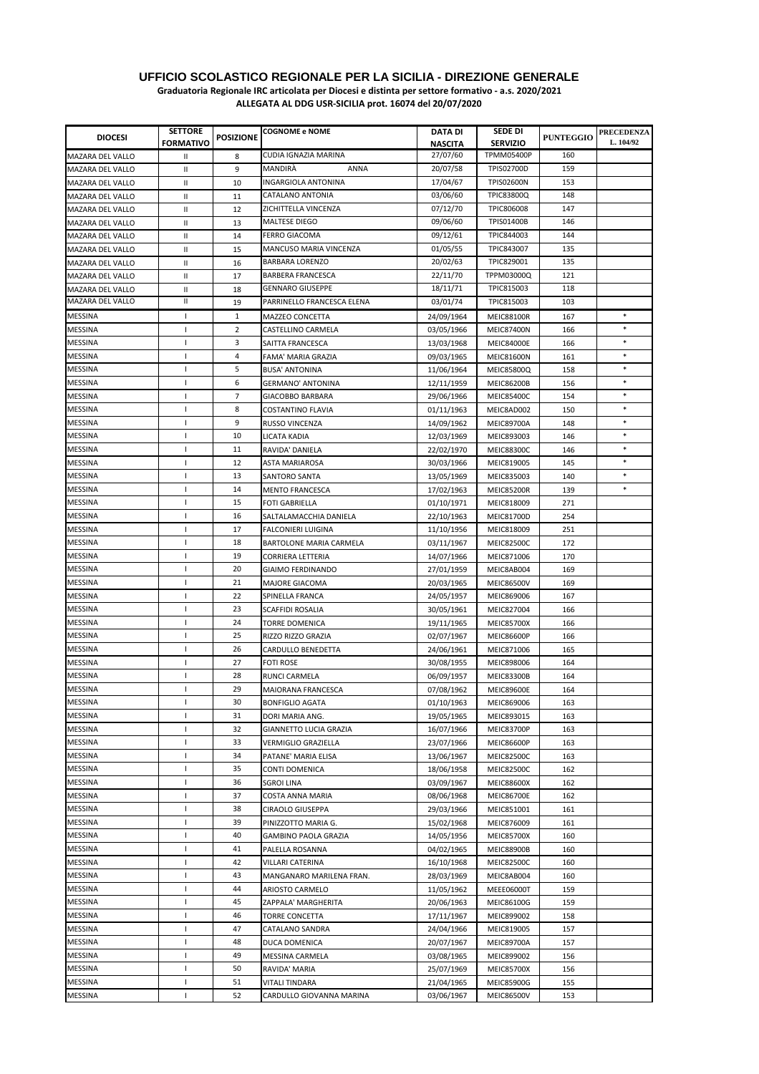**Graduatoria Regionale IRC articolata per Diocesi e distinta per settore formativo - a.s. 2020/2021**

| <b>DIOCESI</b>          | <b>SETTORE</b><br><b>FORMATIVO</b> | <b>POSIZIONE</b> | <b>COGNOME e NOME</b>       | DATA DI<br><b>NASCITA</b> | SEDE DI<br><b>SERVIZIO</b> | <b>PUNTEGGIO</b> | <b>PRECEDENZA</b><br>L. 104/92 |
|-------------------------|------------------------------------|------------------|-----------------------------|---------------------------|----------------------------|------------------|--------------------------------|
| <b>MAZARA DEL VALLO</b> | Ш                                  | 8                | CUDIA IGNAZIA MARINA        | 27/07/60                  | <b>TPMM05400P</b>          | 160              |                                |
| MAZARA DEL VALLO        | Ш                                  | 9                | MANDIRÀ<br>ANNA             | 20/07/58                  | TPIS02700D                 | 159              |                                |
| MAZARA DEL VALLO        | Ш                                  | 10               | INGARGIOLA ANTONINA         | 17/04/67                  | <b>TPIS02600N</b>          | 153              |                                |
| MAZARA DEL VALLO        | Ш                                  | 11               | CATALANO ANTONIA            | 03/06/60                  | <b>TPIC83800Q</b>          | 148              |                                |
| MAZARA DEL VALLO        | Ш                                  | 12               | ZICHITTELLA VINCENZA        | 07/12/70                  | TPIC806008                 | 147              |                                |
| MAZARA DEL VALLO        | Ш                                  | 13               | <b>MALTESE DIEGO</b>        | 09/06/60                  | TPIS01400B                 | 146              |                                |
| MAZARA DEL VALLO        | Ш                                  | 14               | <b>FERRO GIACOMA</b>        | 09/12/61                  | TPIC844003                 | 144              |                                |
| MAZARA DEL VALLO        | Ш                                  | 15               | MANCUSO MARIA VINCENZA      | 01/05/55                  | TPIC843007                 | 135              |                                |
| MAZARA DEL VALLO        | Ш                                  | 16               | <b>BARBARA LORENZO</b>      | 20/02/63                  | TPIC829001                 | 135              |                                |
| <b>MAZARA DEL VALLO</b> | Ш                                  | 17               | <b>BARBERA FRANCESCA</b>    | 22/11/70                  | TPPM03000Q                 | 121              |                                |
| MAZARA DEL VALLO        | Ш                                  | 18               | <b>GENNARO GIUSEPPE</b>     | 18/11/71                  | TPIC815003                 | 118              |                                |
| MAZARA DEL VALLO        | Ш                                  | 19               | PARRINELLO FRANCESCA ELENA  | 03/01/74                  | TPIC815003                 | 103              |                                |
| <b>MESSINA</b>          | $\mathbf{I}$                       | $\mathbf{1}$     | MAZZEO CONCETTA             | 24/09/1964                | <b>MEIC88100R</b>          | 167              | $\ast$                         |
| <b>MESSINA</b>          | T                                  | 2                | CASTELLINO CARMELA          | 03/05/1966                | <b>MEIC87400N</b>          | 166              | $\ast$                         |
| MESSINA                 | J.                                 | 3                | SAITTA FRANCESCA            | 13/03/1968                | <b>MEIC84000E</b>          | 166              | $\ast$                         |
| MESSINA                 | -1                                 | 4                | FAMA' MARIA GRAZIA          | 09/03/1965                | <b>MEIC81600N</b>          | 161              |                                |
| <b>MESSINA</b>          | J.                                 | 5                | <b>BUSA' ANTONINA</b>       | 11/06/1964                | <b>MEIC85800Q</b>          | 158              | $\ast$                         |
| <b>MESSINA</b>          | L                                  | 6                | GERMANO' ANTONINA           | 12/11/1959                | <b>MEIC86200B</b>          | 156              | $\ast$                         |
| <b>MESSINA</b>          | J.                                 | 7                | GIACOBBO BARBARA            | 29/06/1966                | <b>MEIC85400C</b>          | 154              | $\ast$                         |
| <b>MESSINA</b>          | J.                                 | 8                | <b>COSTANTINO FLAVIA</b>    | 01/11/1963                | MEIC8AD002                 | 150              | $\ast$                         |
| <b>MESSINA</b>          | п                                  | 9                | <b>RUSSO VINCENZA</b>       | 14/09/1962                | <b>MEIC89700A</b>          | 148              | $\ast$                         |
| <b>MESSINA</b>          | T                                  | 10               | LICATA KADIA                | 12/03/1969                | MEIC893003                 | 146              | $\ast$                         |
| <b>MESSINA</b>          | T                                  | 11               | RAVIDA' DANIELA             | 22/02/1970                | <b>MEIC88300C</b>          | 146              | $\ast$                         |
| <b>MESSINA</b>          | $\mathbf{I}$                       | 12               | ASTA MARIAROSA              | 30/03/1966                | MEIC819005                 | 145              | $\ast$                         |
| <b>MESSINA</b>          | <sup>1</sup>                       | 13               | SANTORO SANTA               | 13/05/1969                | MEIC835003                 | 140              | $\ast$                         |
| MESSINA                 | $\mathbf{I}$                       | 14               | <b>MENTO FRANCESCA</b>      | 17/02/1963                | <b>MEIC85200R</b>          | 139              | $\ast$                         |
| MESSINA                 | <sup>1</sup>                       | 15               | <b>FOTI GABRIELLA</b>       | 01/10/1971                | MEIC818009                 | 271              |                                |
| MESSINA                 | <sup>1</sup>                       | 16               | SALTALAMACCHIA DANIELA      | 22/10/1963                | MEIC81700D                 | 254              |                                |
| <b>MESSINA</b>          | T                                  | 17               | <b>FALCONIERI LUIGINA</b>   | 11/10/1956                | MEIC818009                 | 251              |                                |
| MESSINA                 | J.                                 | 18               | BARTOLONE MARIA CARMELA     | 03/11/1967                | <b>MEIC82500C</b>          | 172              |                                |
| MESSINA                 | -1                                 | 19               | <b>CORRIERA LETTERIA</b>    | 14/07/1966                | MEIC871006                 | 170              |                                |
| MESSINA                 | <sup>1</sup>                       | 20               | GIAIMO FERDINANDO           | 27/01/1959                | MEIC8AB004                 | 169              |                                |
| MESSINA                 | <sup>1</sup>                       | 21               | <b>MAJORE GIACOMA</b>       | 20/03/1965                | <b>MEIC86500V</b>          | 169              |                                |
| MESSINA                 | -1                                 | 22               | SPINELLA FRANCA             | 24/05/1957                | MEIC869006                 | 167              |                                |
| MESSINA                 | -1                                 | 23               | <b>SCAFFIDI ROSALIA</b>     | 30/05/1961                | MEIC827004                 | 166              |                                |
| MESSINA                 | <sup>1</sup>                       | 24               | <b>TORRE DOMENICA</b>       | 19/11/1965                | <b>MEIC85700X</b>          | 166              |                                |
| <b>MESSINA</b>          | T                                  | 25               | RIZZO RIZZO GRAZIA          | 02/07/1967                | <b>MEIC86600P</b>          | 166              |                                |
| MESSINA                 | п                                  | 26               | CARDULLO BENEDETTA          | 24/06/1961                | MEIC871006                 | 165              |                                |
| MESSINA                 | -1                                 | 27               | <b>FOTI ROSE</b>            | 30/08/1955                | MEIC898006                 | 164              |                                |
| MESSINA                 | -1                                 | 28               | RUNCI CARMELA               | 06/09/1957                | <b>MEIC83300B</b>          | 164              |                                |
| MESSINA                 | T.                                 | 29               | MAIORANA FRANCESCA          | 07/08/1962                | <b>MEIC89600E</b>          | 164              |                                |
| <b>MESSINA</b>          | J.                                 | 30               | <b>BONFIGLIO AGATA</b>      | 01/10/1963                | MEIC869006                 | 163              |                                |
| <b>MESSINA</b>          | -1                                 | 31               | DORI MARIA ANG.             | 19/05/1965                | MEIC893015                 | 163              |                                |
| <b>MESSINA</b>          | -1                                 | 32               | GIANNETTO LUCIA GRAZIA      | 16/07/1966                | <b>MEIC83700P</b>          | 163              |                                |
| <b>MESSINA</b>          | T                                  | 33               | VERMIGLIO GRAZIELLA         | 23/07/1966                | <b>MEIC86600P</b>          | 163              |                                |
| <b>MESSINA</b>          | -1                                 | 34               | PATANE' MARIA ELISA         | 13/06/1967                | <b>MEIC82500C</b>          | 163              |                                |
| <b>MESSINA</b>          | -1                                 | 35               | CONTI DOMENICA              | 18/06/1958                | <b>MEIC82500C</b>          | 162              |                                |
| <b>MESSINA</b>          | п                                  | 36               | <b>SGROI LINA</b>           | 03/09/1967                | <b>MEIC88600X</b>          | 162              |                                |
| <b>MESSINA</b>          | J.                                 | 37               | COSTA ANNA MARIA            | 08/06/1968                | <b>MEIC86700E</b>          | 162              |                                |
| <b>MESSINA</b>          | <sup>1</sup>                       | 38               | CIRAOLO GIUSEPPA            | 29/03/1966                | MEIC851001                 | 161              |                                |
| <b>MESSINA</b>          | <sup>1</sup>                       | 39               | PINIZZOTTO MARIA G.         | 15/02/1968                | MEIC876009                 | 161              |                                |
| <b>MESSINA</b>          | <sup>1</sup>                       | 40               | <b>GAMBINO PAOLA GRAZIA</b> | 14/05/1956                | <b>MEIC85700X</b>          | 160              |                                |
| MESSINA                 | T                                  | 41               | PALELLA ROSANNA             | 04/02/1965                | <b>MEIC88900B</b>          | 160              |                                |
| <b>MESSINA</b>          | <sup>1</sup>                       | 42               | VILLARI CATERINA            | 16/10/1968                | <b>MEIC82500C</b>          | 160              |                                |
| MESSINA                 |                                    | 43               | MANGANARO MARILENA FRAN.    | 28/03/1969                | MEIC8AB004                 | 160              |                                |
| <b>MESSINA</b>          | T                                  | 44               | ARIOSTO CARMELO             | 11/05/1962                | MEEE06000T                 | 159              |                                |
| MESSINA                 | J.                                 | 45               | ZAPPALA' MARGHERITA         | 20/06/1963                | MEIC86100G                 | 159              |                                |
| MESSINA                 | -1                                 | 46               | <b>TORRE CONCETTA</b>       | 17/11/1967                | MEIC899002                 | 158              |                                |
| MESSINA                 |                                    | 47               | CATALANO SANDRA             | 24/04/1966                | MEIC819005                 | 157              |                                |
| <b>MESSINA</b>          | -1                                 | 48               | DUCA DOMENICA               | 20/07/1967                | <b>MEIC89700A</b>          | 157              |                                |
| MESSINA                 |                                    | 49               | MESSINA CARMELA             | 03/08/1965                | MEIC899002                 | 156              |                                |
| <b>MESSINA</b>          | -1                                 | 50               | RAVIDA' MARIA               | 25/07/1969                | <b>MEIC85700X</b>          | 156              |                                |
| MESSINA                 | <sup>1</sup>                       | 51               | VITALI TINDARA              | 21/04/1965                | <b>MEIC85900G</b>          | 155              |                                |
| MESSINA                 | $\mathbf{I}$                       | 52               | CARDULLO GIOVANNA MARINA    | 03/06/1967                | <b>MEIC86500V</b>          | 153              |                                |
|                         |                                    |                  |                             |                           |                            |                  |                                |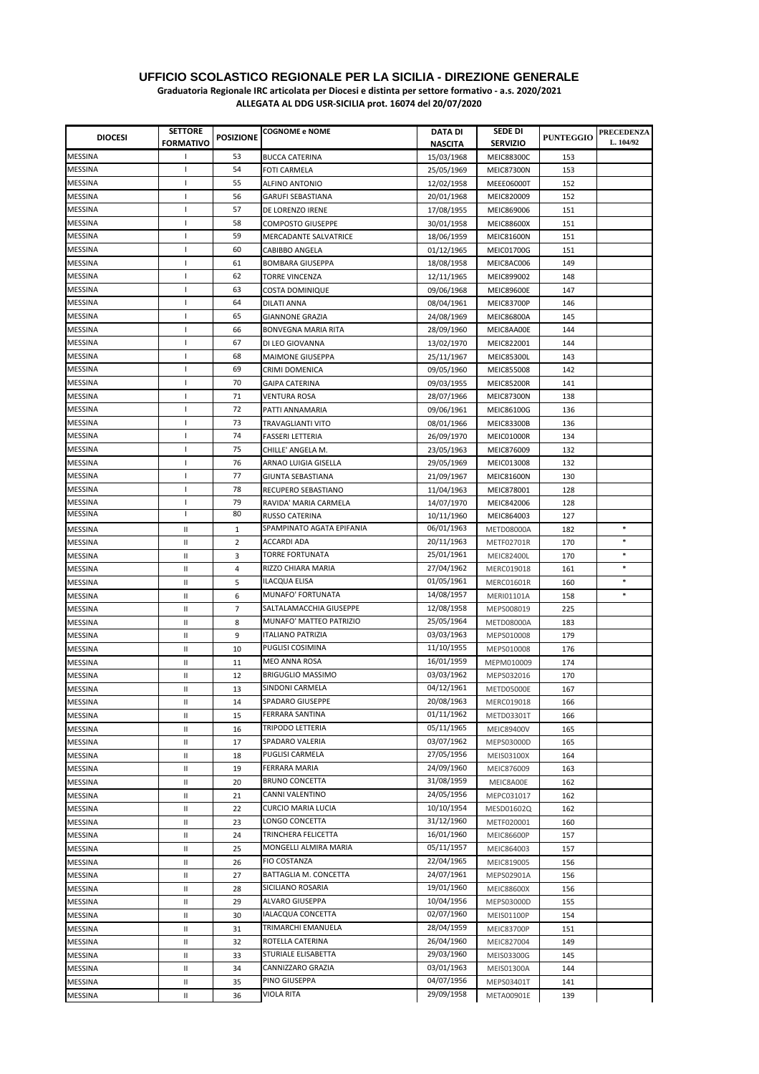| <b>DIOCESI</b> | <b>SETTORE</b><br><b>FORMATIVO</b> | <b>POSIZIONE</b> | <b>COGNOME e NOME</b>     | <b>DATA DI</b><br><b>NASCITA</b> | SEDE DI<br><b>SERVIZIO</b> | <b>PUNTEGGIO</b> | <b>PRECEDENZA</b><br>L. 104/92 |
|----------------|------------------------------------|------------------|---------------------------|----------------------------------|----------------------------|------------------|--------------------------------|
| <b>MESSINA</b> | -1                                 | 53               | <b>BUCCA CATERINA</b>     | 15/03/1968                       | <b>MEIC88300C</b>          | 153              |                                |
| MESSINA        | 1                                  | 54               | FOTI CARMELA              | 25/05/1969                       | <b>MEIC87300N</b>          | 153              |                                |
| MESSINA        | J.                                 | 55               | <b>ALFINO ANTONIO</b>     | 12/02/1958                       | MEEE06000T                 | 152              |                                |
| <b>MESSINA</b> | т.                                 | 56               | GARUFI SEBASTIANA         | 20/01/1968                       | MEIC820009                 | 152              |                                |
| MESSINA        | -1                                 | 57               | DE LORENZO IRENE          | 17/08/1955                       | MEIC869006                 | 151              |                                |
| MESSINA        | $\mathbf{I}$                       | 58               | <b>COMPOSTO GIUSEPPE</b>  | 30/01/1958                       | <b>MEIC88600X</b>          | 151              |                                |
| MESSINA        | J.                                 | 59               | MERCADANTE SALVATRICE     | 18/06/1959                       | <b>MEIC81600N</b>          | 151              |                                |
| MESSINA        |                                    | 60               | CABIBBO ANGELA            |                                  | <b>MEIC01700G</b>          |                  |                                |
|                | T                                  |                  |                           | 01/12/1965                       |                            | 151              |                                |
| MESSINA        | т.                                 | 61               | <b>BOMBARA GIUSEPPA</b>   | 18/08/1958                       | MEIC8AC006                 | 149              |                                |
| MESSINA        | $\mathbf{I}$                       | 62               | <b>TORRE VINCENZA</b>     | 12/11/1965                       | MEIC899002                 | 148              |                                |
| MESSINA        | т.                                 | 63               | <b>COSTA DOMINIQUE</b>    | 09/06/1968                       | <b>MEIC89600E</b>          | 147              |                                |
| MESSINA        | T                                  | 64               | <b>DILATI ANNA</b>        | 08/04/1961                       | <b>MEIC83700P</b>          | 146              |                                |
| MESSINA        | 1                                  | 65               | <b>GIANNONE GRAZIA</b>    | 24/08/1969                       | <b>MEIC86800A</b>          | 145              |                                |
| MESSINA        | ı                                  | 66               | BONVEGNA MARIA RITA       | 28/09/1960                       | MEIC8AA00E                 | 144              |                                |
| MESSINA        | 1                                  | 67               | DI LEO GIOVANNA           | 13/02/1970                       | MEIC822001                 | 144              |                                |
| MESSINA        | т                                  | 68               | <b>MAIMONE GIUSEPPA</b>   | 25/11/1967                       | <b>MEIC85300L</b>          | 143              |                                |
| MESSINA        | т                                  | 69               | CRIMI DOMENICA            | 09/05/1960                       | MEIC855008                 | 142              |                                |
| MESSINA        | 1                                  | 70               | <b>GAIPA CATERINA</b>     | 09/03/1955                       | <b>MEIC85200R</b>          | 141              |                                |
| MESSINA        | T                                  | 71               | VENTURA ROSA              | 28/07/1966                       | MEIC87300N                 | 138              |                                |
| MESSINA        | -1                                 | 72               | PATTI ANNAMARIA           | 09/06/1961                       | MEIC86100G                 | 136              |                                |
| MESSINA        | т                                  | 73               | TRAVAGLIANTI VITO         | 08/01/1966                       | <b>MEIC83300B</b>          | 136              |                                |
| MESSINA        | 1                                  | 74               | <b>FASSERI LETTERIA</b>   | 26/09/1970                       | MEIC01000R                 | 134              |                                |
| MESSINA        | T                                  | 75               | CHILLE' ANGELA M.         | 23/05/1963                       | MEIC876009                 | 132              |                                |
| MESSINA        | -1                                 | 76               | ARNAO LUIGIA GISELLA      | 29/05/1969                       | MEIC013008                 | 132              |                                |
| MESSINA        | ı                                  | 77               | GIUNTA SEBASTIANA         | 21/09/1967                       | <b>MEIC81600N</b>          | 130              |                                |
| MESSINA        | -1                                 | 78               | RECUPERO SEBASTIANO       | 11/04/1963                       | MEIC878001                 | 128              |                                |
| MESSINA        | T                                  | 79               | RAVIDA' MARIA CARMELA     | 14/07/1970                       | MEIC842006                 | 128              |                                |
| MESSINA        | H                                  | 80               | RUSSO CATERINA            | 10/11/1960                       | MEIC864003                 | 127              |                                |
| MESSINA        | Ш                                  | 1                | SPAMPINATO AGATA EPIFANIA | 06/01/1963                       | <b>METD08000A</b>          | 182              |                                |
| MESSINA        | Ш                                  | $\overline{2}$   | <b>ACCARDI ADA</b>        | 20/11/1963                       | METF02701R                 | 170              | $\ast$                         |
| MESSINA        | Ш                                  | 3                | <b>TORRE FORTUNATA</b>    | 25/01/1961                       | <b>MEIC82400L</b>          | 170              | $\ast$                         |
| MESSINA        | Ш                                  | 4                | RIZZO CHIARA MARIA        | 27/04/1962                       | MERC019018                 | 161              | $\ast$                         |
| MESSINA        | Ш                                  | 5                | ILACQUA ELISA             | 01/05/1961                       | MERC01601R                 | 160              | $\ast$                         |
| MESSINA        | Ш                                  | 6                | MUNAFO' FORTUNATA         | 14/08/1957                       | MERI01101A                 | 158              | $\ast$                         |
| MESSINA        | Ш                                  | 7                | SALTALAMACCHIA GIUSEPPE   | 12/08/1958                       | MEPS008019                 | 225              |                                |
| MESSINA        | Ш                                  | 8                | MUNAFO' MATTEO PATRIZIO   | 25/05/1964                       | <b>METD08000A</b>          | 183              |                                |
| MESSINA        | $\mathbf{I}$                       | 9                | <b>ITALIANO PATRIZIA</b>  | 03/03/1963                       | MEPS010008                 | 179              |                                |
| MESSINA        | Ш                                  | 10               | PUGLISI COSIMINA          | 11/10/1955                       | MEPS010008                 | 176              |                                |
| MESSINA        | $\mathbf{I}$                       | 11               | <b>MEO ANNA ROSA</b>      | 16/01/1959                       | MEPM010009                 | 174              |                                |
| MESSINA        | Ш                                  | 12               | <b>BRIGUGLIO MASSIMO</b>  | 03/03/1962                       | MEPS032016                 | 170              |                                |
| <b>MESSINA</b> | Ш                                  | 13               | SINDONI CARMELA           | 04/12/1961                       | METD05000E                 | 167              |                                |
|                |                                    |                  | SPADARO GIUSEPPE          | 20/08/1963                       |                            |                  |                                |
| <b>MESSINA</b> | Ш                                  | 14               | FERRARA SANTINA           | 01/11/1962                       | MERC019018                 | 166              |                                |
| MESSINA        | $\mathbf{I}$                       | 15               | TRIPODO LETTERIA          | 05/11/1965                       | METD03301T                 | 166              |                                |
| MESSINA        | Ш                                  | 16               |                           |                                  | <b>MEIC89400V</b>          | 165              |                                |
| MESSINA        | $\mathbf{I}$                       | 17               | SPADARO VALERIA           | 03/07/1962<br>27/05/1956         | MEPS03000D                 | 165              |                                |
| MESSINA        | Ш                                  | 18               | PUGLISI CARMELA           |                                  | MEIS03100X                 | 164              |                                |
| MESSINA        | Ш                                  | 19               | FERRARA MARIA             | 24/09/1960                       | MEIC876009                 | 163              |                                |
| MESSINA        | $\mathbf{I}$                       | 20               | <b>BRUNO CONCETTA</b>     | 31/08/1959                       | MEIC8A00E                  | 162              |                                |
| MESSINA        | $\mathbf{I}$                       | 21               | CANNI VALENTINO           | 24/05/1956                       | MEPC031017                 | 162              |                                |
| MESSINA        | $\mathsf{I}$                       | 22               | <b>CURCIO MARIA LUCIA</b> | 10/10/1954                       | MESD01602Q                 | 162              |                                |
| MESSINA        | $\mathsf{I}$                       | 23               | LONGO CONCETTA            | 31/12/1960                       | METF020001                 | 160              |                                |
| MESSINA        | $\mathsf{I}$                       | 24               | TRINCHERA FELICETTA       | 16/01/1960                       | <b>MEIC86600P</b>          | 157              |                                |
| MESSINA        | $\mathbf{I}$                       | 25               | MONGELLI ALMIRA MARIA     | 05/11/1957                       | MEIC864003                 | 157              |                                |
| MESSINA        | Ш                                  | 26               | <b>FIO COSTANZA</b>       | 22/04/1965                       | MEIC819005                 | 156              |                                |
| MESSINA        | $\mathsf{I}$                       | 27               | BATTAGLIA M. CONCETTA     | 24/07/1961                       | MEPS02901A                 | 156              |                                |
| MESSINA        | Ш                                  | 28               | SICILIANO ROSARIA         | 19/01/1960                       | <b>MEIC88600X</b>          | 156              |                                |
| MESSINA        | $\mathbf{II}$                      | 29               | ALVARO GIUSEPPA           | 10/04/1956                       | MEPS03000D                 | 155              |                                |
| MESSINA        | Ш                                  | 30               | IALACQUA CONCETTA         | 02/07/1960                       | <b>MEIS01100P</b>          | 154              |                                |
| MESSINA        | Ш                                  | 31               | TRIMARCHI EMANUELA        | 28/04/1959                       | <b>MEIC83700P</b>          | 151              |                                |
| MESSINA        | Ш                                  | 32               | ROTELLA CATERINA          | 26/04/1960                       | MEIC827004                 | 149              |                                |
| MESSINA        | Ш                                  | 33               | STURIALE ELISABETTA       | 29/03/1960                       | MEIS03300G                 | 145              |                                |
| MESSINA        | Ш                                  | 34               | CANNIZZARO GRAZIA         | 03/01/1963                       | MEIS01300A                 | 144              |                                |
| MESSINA        | Ш                                  | 35               | PINO GIUSEPPA             | 04/07/1956                       | MEPS03401T                 | 141              |                                |
| MESSINA        | $\mathsf{I}$                       | 36               | VIOLA RITA                | 29/09/1958                       | META00901E                 | 139              |                                |
|                |                                    |                  |                           |                                  |                            |                  |                                |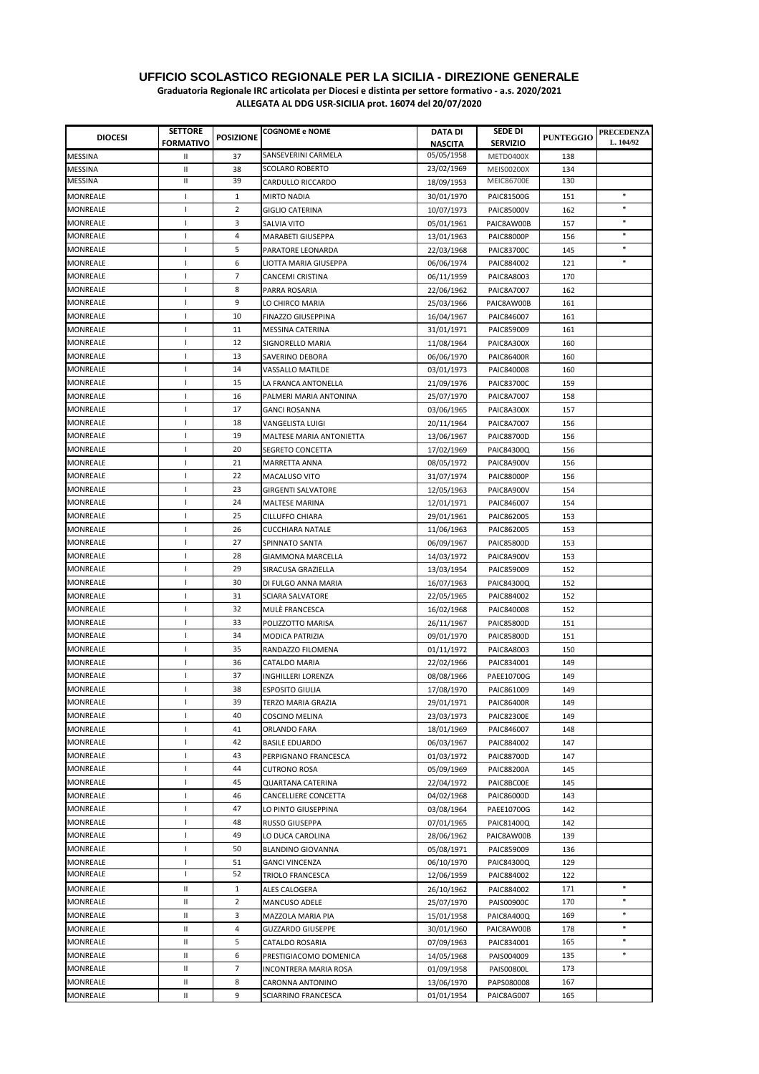| <b>DIOCESI</b>              | <b>SETTORE</b>   | <b>POSIZIONE</b> | <b>COGNOME e NOME</b>                 | DATA DI        | <b>SEDE DI</b>           | <b>PUNTEGGIO</b> | <b>PRECEDENZA</b> |
|-----------------------------|------------------|------------------|---------------------------------------|----------------|--------------------------|------------------|-------------------|
|                             | <b>FORMATIVO</b> |                  |                                       | <b>NASCITA</b> | <b>SERVIZIO</b>          |                  | L. 104/92         |
| <b>MESSINA</b>              | Ш                | 37               | SANSEVERINI CARMELA                   | 05/05/1958     | METD0400X                | 138              |                   |
| MESSINA                     | Ш                | 38               | <b>SCOLARO ROBERTO</b>                | 23/02/1969     | <b>MEIS00200X</b>        | 134              |                   |
| <b>MESSINA</b>              | П.               | 39               | CARDULLO RICCARDO                     | 18/09/1953     | <b>MEIC86700E</b>        | 130              |                   |
| <b>MONREALE</b>             | T                | 1                | <b>MIRTO NADIA</b>                    | 30/01/1970     | <b>PAIC81500G</b>        | 151              | $\ast$            |
| <b>MONREALE</b>             | T                | 2                | <b>GIGLIO CATERINA</b>                | 10/07/1973     | <b>PAIC85000V</b>        | 162              | $\ast$            |
| MONREALE                    | $\mathbf{I}$     | 3                | SALVIA VITO                           | 05/01/1961     | PAIC8AW00B               | 157              | $\ast$            |
| MONREALE                    | T                | 4                | MARABETI GIUSEPPA                     | 13/01/1963     | <b>PAIC88000P</b>        | 156              | $\ast$            |
| MONREALE                    | T.               | 5                | PARATORE LEONARDA                     | 22/03/1968     | <b>PAIC83700C</b>        | 145              | $\ast$            |
| MONREALE                    | $\mathbf{I}$     | 6                | LIOTTA MARIA GIUSEPPA                 | 06/06/1974     | PAIC884002               | 121              | $\ast$            |
| MONREALE                    | $\mathbf{I}$     | 7                | CANCEMI CRISTINA                      | 06/11/1959     | PAIC8A8003               | 170              |                   |
| MONREALE                    | T                | 8                | PARRA ROSARIA                         | 22/06/1962     | <b>PAIC8A7007</b>        | 162              |                   |
| MONREALE                    | T.               | 9                | LO CHIRCO MARIA                       | 25/03/1966     | PAIC8AW00B               | 161              |                   |
| MONREALE                    | -1               | 10               | FINAZZO GIUSEPPINA                    | 16/04/1967     | PAIC846007               | 161              |                   |
| MONREALE                    | <sup>1</sup>     | 11               | MESSINA CATERINA                      | 31/01/1971     | PAIC859009               | 161              |                   |
| MONREALE                    | $\mathbf{I}$     | 12               | SIGNORELLO MARIA                      | 11/08/1964     | PAIC8A300X               | 160              |                   |
| MONREALE                    | T                | 13               | SAVERINO DEBORA                       | 06/06/1970     | <b>PAIC86400R</b>        | 160              |                   |
| MONREALE                    | T                | 14               | VASSALLO MATILDE                      | 03/01/1973     | PAIC840008               | 160              |                   |
| MONREALE                    | $\mathbf{I}$     | 15               | LA FRANCA ANTONELLA                   | 21/09/1976     | <b>PAIC83700C</b>        | 159              |                   |
| MONREALE                    | T                | 16               | PALMERI MARIA ANTONINA                | 25/07/1970     | PAIC8A7007               | 158              |                   |
| MONREALE                    | -1               | 17               | <b>GANCI ROSANNA</b>                  | 03/06/1965     | PAIC8A300X               | 157              |                   |
| MONREALE                    | -1               | 18               | VANGELISTA LUIGI                      | 20/11/1964     | PAIC8A7007               | 156              |                   |
| MONREALE                    | J.               | 19               | MALTESE MARIA ANTONIETTA              | 13/06/1967     | <b>PAIC88700D</b>        | 156              |                   |
| MONREALE                    | $\mathbf{I}$     | 20               | <b>SEGRETO CONCETTA</b>               | 17/02/1969     | PAIC84300Q               | 156              |                   |
| MONREALE                    | T                | 21               | MARRETTA ANNA                         | 08/05/1972     | PAIC8A900V               | 156              |                   |
| MONREALE                    | T                | 22               | <b>MACALUSO VITO</b>                  | 31/07/1974     | <b>PAIC88000P</b>        | 156              |                   |
| MONREALE                    | -1               | 23               | <b>GIRGENTI SALVATORE</b>             | 12/05/1963     | PAIC8A900V               | 154              |                   |
| MONREALE                    | Т.               | 24               | MALTESE MARINA                        | 12/01/1971     | PAIC846007               | 154              |                   |
| MONREALE                    | T                | 25               | <b>CILLUFFO CHIARA</b>                | 29/01/1961     | PAIC862005               | 153              |                   |
| MONREALE                    | T                | 26               | <b>CUCCHIARA NATALE</b>               | 11/06/1963     | PAIC862005               | 153              |                   |
| <b>MONREALE</b>             | $\mathbf{I}$     | 27               | SPINNATO SANTA                        | 06/09/1967     | <b>PAIC85800D</b>        | 153              |                   |
| MONREALE                    | T                | 28               | GIAMMONA MARCELLA                     | 14/03/1972     | PAIC8A900V               | 153              |                   |
| <b>MONREALE</b>             | $\mathbf{I}$     | 29               | SIRACUSA GRAZIELLA                    | 13/03/1954     | PAIC859009               | 152              |                   |
| MONREALE                    | $\mathbf{I}$     | 30               | DI FULGO ANNA MARIA                   | 16/07/1963     | PAIC84300Q               | 152              |                   |
| MONREALE                    | $\mathbf{I}$     | 31               | SCIARA SALVATORE                      | 22/05/1965     | PAIC884002               | 152              |                   |
| MONREALE                    | T.               | 32               | MULE FRANCESCA                        | 16/02/1968     | PAIC840008               | 152              |                   |
| MONREALE                    | T                | 33               | POLIZZOTTO MARISA                     | 26/11/1967     | <b>PAIC85800D</b>        | 151              |                   |
| MONREALE                    | <sup>1</sup>     | 34               | MODICA PATRIZIA                       | 09/01/1970     | <b>PAIC85800D</b>        | 151              |                   |
| MONREALE                    | T                | 35               | RANDAZZO FILOMENA                     | 01/11/1972     | PAIC8A8003               | 150              |                   |
| MONREALE                    | T                | 36               | CATALDO MARIA                         | 22/02/1966     | PAIC834001               | 149              |                   |
| MONREALE                    | -1               | 37               | INGHILLERI LORENZA                    | 08/08/1966     | PAEE10700G               | 149              |                   |
| MONREALE                    | $\mathbf{I}$     | 38               | <b>ESPOSITO GIULIA</b>                | 17/08/1970     | PAIC861009               | 149              |                   |
| MONREALE                    | Τ.               | 39               | TERZO MARIA GRAZIA                    | 29/01/1971     | <b>PAIC86400R</b>        | 149              |                   |
| MONREALE                    | T                | 40               | COSCINO MELINA                        | 23/03/1973     | <b>PAIC82300E</b>        | 149              |                   |
| MONREALE                    | T                | 41               |                                       | 18/01/1969     |                          |                  |                   |
| <b>MONREALE</b>             | T                | 42               | ORLANDO FARA<br><b>BASILE EDUARDO</b> | 06/03/1967     | PAIC846007<br>PAIC884002 | 148<br>147       |                   |
| MONREALE                    | T                | 43               | PERPIGNANO FRANCESCA                  | 01/03/1972     | PAIC88700D               | 147              |                   |
| MONREALE                    | T                | 44               | <b>CUTRONO ROSA</b>                   | 05/09/1969     | <b>PAIC88200A</b>        | 145              |                   |
| MONREALE                    | -1               | 45               |                                       |                |                          |                  |                   |
| MONREALE                    | -1               | 46               | QUARTANA CATERINA                     | 22/04/1972     | PAIC8BC00E               | 145              |                   |
| MONREALE                    | T                | 47               | CANCELLIERE CONCETTA                  | 04/02/1968     | PAIC86000D               | 143              |                   |
|                             |                  |                  | LO PINTO GIUSEPPINA                   | 03/08/1964     | PAEE10700G               | 142              |                   |
| MONREALE                    | T                | 48               | RUSSO GIUSEPPA                        | 07/01/1965     | PAIC81400Q               | 142              |                   |
| MONREALE<br><b>MONREALE</b> | T                | 49               | LO DUCA CAROLINA                      | 28/06/1962     | PAIC8AW00B               | 139              |                   |
|                             | T                | 50               | <b>BLANDINO GIOVANNA</b>              | 05/08/1971     | PAIC859009               | 136              |                   |
| MONREALE<br>MONREALE        | T<br>T           | 51<br>52         | <b>GANCI VINCENZA</b>                 | 06/10/1970     | PAIC84300Q               | 129              |                   |
|                             |                  |                  | TRIOLO FRANCESCA                      | 12/06/1959     | PAIC884002               | 122              |                   |
| MONREALE                    | Ш                | 1                | ALES CALOGERA                         | 26/10/1962     | PAIC884002               | 171              | $\ast$            |
| MONREALE                    | Ш                | $\overline{2}$   | MANCUSO ADELE                         | 25/07/1970     | PAIS00900C               | 170              | $\ast$            |
| MONREALE                    | Ш                | 3                | MAZZOLA MARIA PIA                     | 15/01/1958     | PAIC8A400Q               | 169              | $\ast$            |
| MONREALE                    | Ш                | 4                | <b>GUZZARDO GIUSEPPE</b>              | 30/01/1960     | PAIC8AW00B               | 178              | $\ast$            |
| MONREALE                    | Ш                | 5                | CATALDO ROSARIA                       | 07/09/1963     | PAIC834001               | 165              |                   |
| MONREALE                    | Ш                | 6                | PRESTIGIACOMO DOMENICA                | 14/05/1968     | PAIS004009               | 135              | $\ast$            |
| MONREALE                    | Ш                | 7                | INCONTRERA MARIA ROSA                 | 01/09/1958     | PAIS00800L               | 173              |                   |
| MONREALE                    | Ш                | 8                | CARONNA ANTONINO                      | 13/06/1970     | PAPS080008               | 167              |                   |
| MONREALE                    | Ш                | 9                | SCIARRINO FRANCESCA                   | 01/01/1954     | PAIC8AG007               | 165              |                   |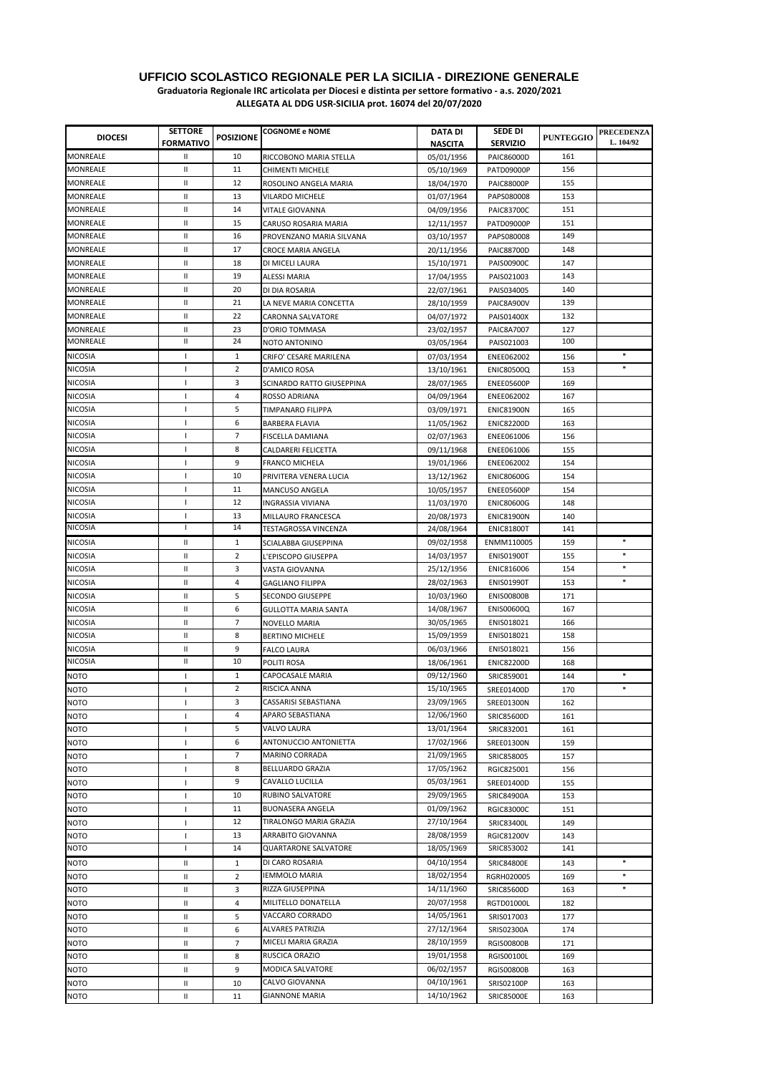| <b>DIOCESI</b>             | <b>SETTORE</b><br><b>FORMATIVO</b> | <b>POSIZIONE</b> | <b>COGNOME e NOME</b>                 | DATA DI<br>NASCITA       | <b>SEDE DI</b><br><b>SERVIZIO</b> | <b>PUNTEGGIO</b> | <b>PRECEDENZA</b><br>L. 104/92 |
|----------------------------|------------------------------------|------------------|---------------------------------------|--------------------------|-----------------------------------|------------------|--------------------------------|
| <b>MONREALE</b>            | Ш                                  | 10               | RICCOBONO MARIA STELLA                | 05/01/1956               | PAIC86000D                        | 161              |                                |
| MONREALE                   | Ш                                  | 11               | CHIMENTI MICHELE                      | 05/10/1969               | PATD09000P                        | 156              |                                |
| MONREALE                   | Ш                                  | 12               | ROSOLINO ANGELA MARIA                 | 18/04/1970               | <b>PAIC88000P</b>                 | 155              |                                |
| MONREALE                   | Ш                                  | 13               | <b>VILARDO MICHELE</b>                | 01/07/1964               | PAPS080008                        | 153              |                                |
| MONREALE                   | Ш                                  | 14               | <b>VITALE GIOVANNA</b>                | 04/09/1956               | <b>PAIC83700C</b>                 | 151              |                                |
| MONREALE                   | Ш                                  | 15               | CARUSO ROSARIA MARIA                  | 12/11/1957               | PATD09000P                        | 151              |                                |
| MONREALE                   | Ш                                  | 16               | PROVENZANO MARIA SILVANA              | 03/10/1957               | PAPS080008                        | 149              |                                |
| MONREALE                   | Ш                                  | 17               | CROCE MARIA ANGELA                    | 20/11/1956               | <b>PAIC88700D</b>                 | 148              |                                |
| <b>MONREALE</b>            | Ш                                  | 18               | DI MICELI LAURA                       | 15/10/1971               | PAIS00900C                        | 147              |                                |
| MONREALE                   | Ш                                  | 19               | ALESSI MARIA                          | 17/04/1955               | PAIS021003                        | 143              |                                |
| <b>MONREALE</b>            | Ш                                  | 20               | DI DIA ROSARIA                        | 22/07/1961               | PAIS034005                        | 140              |                                |
| <b>MONREALE</b>            | Ш                                  | 21               | LA NEVE MARIA CONCETTA                | 28/10/1959               | PAIC8A900V                        | 139              |                                |
| <b>MONREALE</b>            | Ш                                  | 22               | <b>CARONNA SALVATORE</b>              | 04/07/1972               | PAIS01400X                        | 132              |                                |
| MONREALE                   | Ш                                  | 23               | D'ORIO TOMMASA                        | 23/02/1957               | <b>PAIC8A7007</b>                 | 127              |                                |
| MONREALE                   | Ш                                  | 24               | NOTO ANTONINO                         | 03/05/1964               | PAIS021003                        | 100              |                                |
| <b>NICOSIA</b>             | Τ.                                 | $\mathbf{1}$     | CRIFO' CESARE MARILENA                | 07/03/1954               | <b>ENEE062002</b>                 | 156              |                                |
| NICOSIA                    | T                                  | 2                | D'AMICO ROSA                          | 13/10/1961               | <b>ENIC80500Q</b>                 | 153              | $\ast$                         |
| NICOSIA                    | $\mathbf{I}$                       | 3                | SCINARDO RATTO GIUSEPPINA             | 28/07/1965               | ENEE05600P                        | 169              |                                |
| <b>NICOSIA</b>             | $\mathbf{I}$                       | 4                | ROSSO ADRIANA                         | 04/09/1964               | <b>ENEE062002</b>                 | 167              |                                |
| <b>NICOSIA</b>             | T                                  | 5                | <b>TIMPANARO FILIPPA</b>              | 03/09/1971               | <b>ENIC81900N</b>                 | 165              |                                |
| <b>NICOSIA</b>             | $\mathbf{I}$                       | 6                | <b>BARBERA FLAVIA</b>                 | 11/05/1962               | <b>ENIC82200D</b>                 | 163              |                                |
| <b>NICOSIA</b>             | $\mathbf{I}$                       | $\overline{7}$   | FISCELLA DAMIANA                      | 02/07/1963               | ENEE061006                        | 156              |                                |
| <b>NICOSIA</b>             | $\mathbf{I}$                       | 8                | CALDARERI FELICETTA                   | 09/11/1968               | ENEE061006                        | 155              |                                |
| <b>NICOSIA</b>             | T                                  | 9                | <b>FRANCO MICHELA</b>                 | 19/01/1966               | <b>ENEE062002</b>                 | 154              |                                |
| <b>NICOSIA</b>             | T                                  | 10               | PRIVITERA VENERA LUCIA                |                          | <b>ENIC80600G</b>                 | 154              |                                |
| <b>NICOSIA</b>             | T                                  | 11               | MANCUSO ANGELA                        | 13/12/1962<br>10/05/1957 | ENEE05600P                        | 154              |                                |
| <b>NICOSIA</b>             | $\mathbf{I}$                       | 12               | INGRASSIA VIVIANA                     | 11/03/1970               | <b>ENIC80600G</b>                 | 148              |                                |
| <b>NICOSIA</b>             | т.                                 | 13               | MILLAURO FRANCESCA                    | 20/08/1973               | <b>ENIC81900N</b>                 | 140              |                                |
| <b>NICOSIA</b>             | I.                                 | 14               | TESTAGROSSA VINCENZA                  | 24/08/1964               | <b>ENIC81800T</b>                 | 141              |                                |
| <b>NICOSIA</b>             | Ш                                  | $\mathbf{1}$     | SCIALABBA GIUSEPPINA                  | 09/02/1958               | ENMM110005                        | 159              | $\ast$                         |
| <b>NICOSIA</b>             | Ш                                  | 2                |                                       | 14/03/1957               | <b>ENISO1900T</b>                 | 155              | $\ast$                         |
| <b>NICOSIA</b>             | Ш                                  | 3                | L'EPISCOPO GIUSEPPA                   | 25/12/1956               | <b>ENIC816006</b>                 | 154              | $\ast$                         |
| <b>NICOSIA</b>             | Ш                                  | 4                | VASTA GIOVANNA                        | 28/02/1963               | <b>ENIS01990T</b>                 | 153              | $\ast$                         |
| <b>NICOSIA</b>             | Ш                                  | 5                | GAGLIANO FILIPPA                      | 10/03/1960               | <b>ENIS00800B</b>                 | 171              |                                |
| <b>NICOSIA</b>             | Ш                                  | 6                | <b>SECONDO GIUSEPPE</b>               | 14/08/1967               | <b>ENIS00600Q</b>                 | 167              |                                |
| <b>NICOSIA</b>             | Ш                                  | 7                | GULLOTTA MARIA SANTA<br>NOVELLO MARIA |                          | ENIS018021                        | 166              |                                |
| <b>NICOSIA</b>             | Ш                                  | 8                |                                       | 30/05/1965<br>15/09/1959 | ENIS018021                        | 158              |                                |
| <b>NICOSIA</b>             | Ш                                  | 9                | <b>BERTINO MICHELE</b>                | 06/03/1966               | ENIS018021                        | 156              |                                |
| NICOSIA                    | Ш                                  | 10               | <b>FALCO LAURA</b><br>POLITI ROSA     | 18/06/1961               | <b>ENIC82200D</b>                 | 168              |                                |
| <b>NOTO</b>                |                                    | $\mathbf{1}$     | CAPOCASALE MARIA                      | 09/12/1960               | SRIC859001                        | 144              | $\ast$                         |
| <b>NOTO</b>                | Т.<br>$\mathbf{I}$                 | 2                | RISCICA ANNA                          | 15/10/1965               | SREE01400D                        | 170              | $\ast$                         |
| <b>NOTO</b>                |                                    | 3                | CASSARISI SEBASTIANA                  | 23/09/1965               |                                   |                  |                                |
|                            | т.                                 | 4                | APARO SEBASTIANA                      | 12/06/1960               | SREE01300N                        | 162              |                                |
| NOTO                       | T                                  | 5                | VALVO LAURA                           | 13/01/1964               | SRIC85600D                        | 161              |                                |
| <b>NOTO</b>                | T                                  | 6                | ANTONUCCIO ANTONIETTA                 | 17/02/1966               | SRIC832001                        | 161<br>159       |                                |
| <b>NOTO</b><br><b>NOTO</b> | T<br>$\mathbf{I}$                  | $\overline{7}$   | MARINO CORRADA                        | 21/09/1965               | SREE01300N<br>SRIC858005          | 157              |                                |
| NOTO                       | $\mathbf{I}$                       | 8                | BELLUARDO GRAZIA                      | 17/05/1962               | RGIC825001                        | 156              |                                |
| <b>NOTO</b>                | $\mathbf{I}$                       | 9                | CAVALLO LUCILLA                       | 05/03/1961               | SREE01400D                        | 155              |                                |
| NOTO                       | $\mathbf{I}$                       | 10               | RUBINO SALVATORE                      | 29/09/1965               | SRIC84900A                        | 153              |                                |
| NOTO                       | T                                  | 11               | <b>BUONASERA ANGELA</b>               | 01/09/1962               | <b>RGIC83000C</b>                 | 151              |                                |
|                            |                                    | 12               | TIRALONGO MARIA GRAZIA                | 27/10/1964               |                                   |                  |                                |
| NOTO                       | T<br>$\mathbf{I}$                  | 13               | ARRABITO GIOVANNA                     | 28/08/1959               | SRIC83400L                        | 149              |                                |
| NOTO<br>NOTO               | T                                  | 14               | <b>QUARTARONE SALVATORE</b>           | 18/05/1969               | <b>RGIC81200V</b><br>SRIC853002   | 143<br>141       |                                |
|                            |                                    |                  | DI CARO ROSARIA                       | 04/10/1954               |                                   |                  | $\ast$                         |
| NOTO                       | Ш<br>Ш                             | 1                | <b>IEMMOLO MARIA</b>                  | 18/02/1954               | <b>SRIC84800E</b>                 | 143              | $\ast$                         |
| NOTO                       |                                    | 2                | RIZZA GIUSEPPINA                      | 14/11/1960               | RGRH020005                        | 169              | $\ast$                         |
| <b>NOTO</b>                | Ш                                  | 3                | MILITELLO DONATELLA                   | 20/07/1958               | SRIC85600D                        | 163              |                                |
| NOTO                       | Ш                                  | 4                |                                       | 14/05/1961               | <b>RGTD01000L</b>                 | 182              |                                |
| NOTO                       | Ш                                  | 5                | VACCARO CORRADO                       |                          | SRIS017003                        | 177              |                                |
| NOTO                       | Ш                                  | 6                | <b>ALVARES PATRIZIA</b>               | 27/12/1964               | SRIS02300A                        | 174              |                                |
| NOTO                       | Ш                                  | 7                | MICELI MARIA GRAZIA                   | 28/10/1959               | <b>RGIS00800B</b>                 | 171              |                                |
| <b>NOTO</b>                | Ш                                  | 8                | RUSCICA ORAZIO                        | 19/01/1958               | RGIS00100L                        | 169              |                                |
| NOTO                       | Ш                                  | 9                | MODICA SALVATORE                      | 06/02/1957               | <b>RGIS00800B</b>                 | 163              |                                |
| NOTO                       | Ш                                  | 10               | CALVO GIOVANNA                        | 04/10/1961               | SRIS02100P                        | 163              |                                |
| <b>NOTO</b>                | $\mathbf{II}$                      | 11               | <b>GIANNONE MARIA</b>                 | 14/10/1962               | <b>SRIC85000E</b>                 | 163              |                                |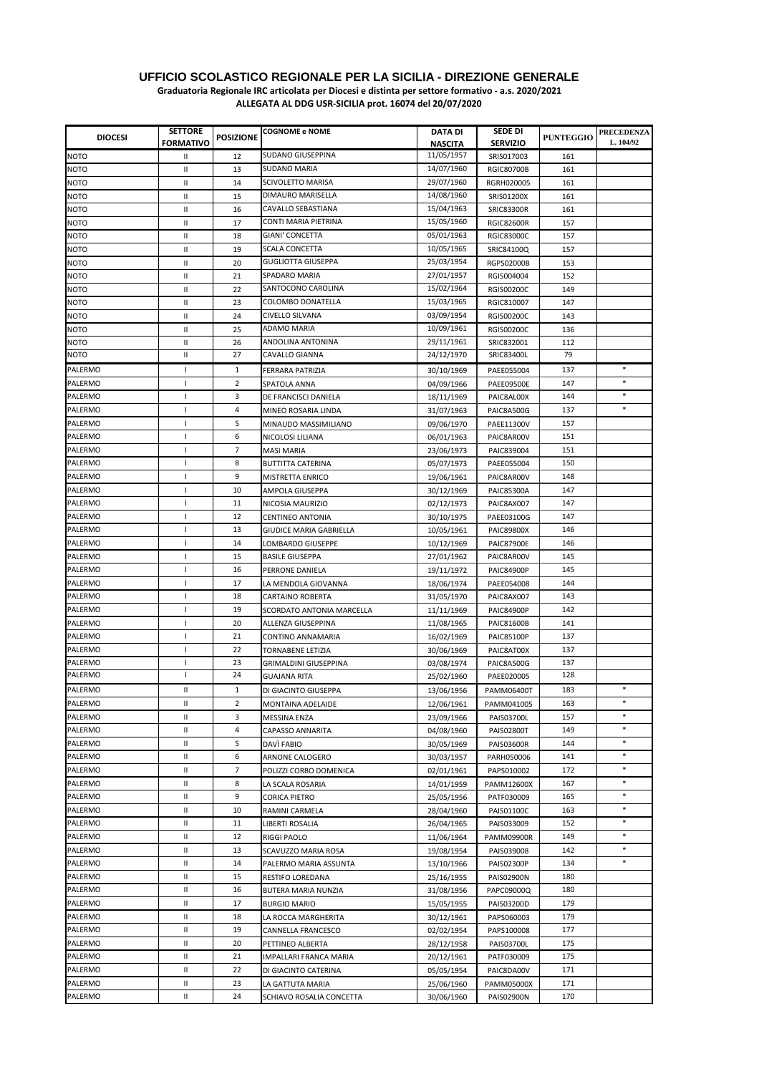**Graduatoria Regionale IRC articolata per Diocesi e distinta per settore formativo - a.s. 2020/2021**

| <b>DIOCESI</b>     | <b>SETTORE</b><br><b>FORMATIVO</b> | <b>POSIZIONE</b> | <b>COGNOME e NOME</b>          | DATA DI<br><b>NASCITA</b> | SEDE DI<br><b>SERVIZIO</b> | <b>PUNTEGGIO</b> | <b>PRECEDENZA</b><br>L. 104/92 |
|--------------------|------------------------------------|------------------|--------------------------------|---------------------------|----------------------------|------------------|--------------------------------|
| <b>NOTO</b>        | Ш                                  | 12               | <b>SUDANO GIUSEPPINA</b>       | 11/05/1957                | SRIS017003                 | 161              |                                |
| <b>NOTO</b>        | Ш                                  | 13               | <b>SUDANO MARIA</b>            | 14/07/1960                | <b>RGIC80700B</b>          | 161              |                                |
| <b>NOTO</b>        | Ш                                  | 14               | SCIVOLETTO MARISA              | 29/07/1960                | RGRH020005                 | 161              |                                |
| <b>NOTO</b>        | Ш                                  | 15               | DIMAURO MARISELLA              | 14/08/1960                | SRIS01200X                 | 161              |                                |
| <b>NOTO</b>        | Ш                                  | 16               | CAVALLO SEBASTIANA             | 15/04/1963                | <b>SRIC83300R</b>          | 161              |                                |
| <b>NOTO</b>        | Ш                                  | 17               | CONTI MARIA PIETRINA           | 15/05/1960                | <b>RGIC82600R</b>          | 157              |                                |
| NOTO               | Ш                                  | 18               | GIANI' CONCETTA                | 05/01/1963                | <b>RGIC83000C</b>          | 157              |                                |
|                    |                                    |                  | <b>SCALA CONCETTA</b>          | 10/05/1965                |                            |                  |                                |
| <b>NOTO</b>        | Ш                                  | 19               | <b>GUGLIOTTA GIUSEPPA</b>      | 25/03/1954                | SRIC84100Q                 | 157              |                                |
| NOTO               | Ш                                  | 20               | SPADARO MARIA                  | 27/01/1957                | <b>RGPS02000B</b>          | 153              |                                |
| <b>NOTO</b>        | Ш                                  | 21               | SANTOCONO CAROLINA             |                           | RGIS004004                 | 152              |                                |
| <b>NOTO</b>        | Ш                                  | 22               |                                | 15/02/1964<br>15/03/1965  | RGIS00200C                 | 149              |                                |
| <b>NOTO</b>        | Ш                                  | 23               | COLOMBO DONATELLA              |                           | RGIC810007                 | 147              |                                |
| NOTO               | Ш                                  | 24               | <b>CIVELLO SILVANA</b>         | 03/09/1954                | <b>RGIS00200C</b>          | 143              |                                |
| <b>NOTO</b>        | Ш                                  | 25               | ADAMO MARIA                    | 10/09/1961                | <b>RGIS00200C</b>          | 136              |                                |
| <b>NOTO</b>        | Ш                                  | 26               | ANDOLINA ANTONINA              | 29/11/1961                | SRIC832001                 | 112              |                                |
| <b>NOTO</b>        | Ш                                  | 27               | CAVALLO GIANNA                 | 24/12/1970                | SRIC83400L                 | 79               |                                |
| PALERMO            | -1                                 | 1                | FERRARA PATRIZIA               | 30/10/1969                | PAEE055004                 | 137              | $\ast$                         |
| PALERMO            | т.                                 | 2                | SPATOLA ANNA                   | 04/09/1966                | PAEE09500E                 | 147              | $\ast$                         |
| PALERMO            | -1                                 | 3                | DE FRANCISCI DANIELA           | 18/11/1969                | PAIC8AL00X                 | 144              | $\ast$                         |
| <b>PALERMO</b>     | J.                                 | 4                | MINEO ROSARIA LINDA            | 31/07/1963                | PAIC8A500G                 | 137              | $\ast$                         |
| PALERMO            | -1                                 | 5                | MINAUDO MASSIMILIANO           | 09/06/1970                | PAEE11300V                 | 157              |                                |
| PALERMO            | J.                                 | 6                | NICOLOSI LILIANA               | 06/01/1963                | PAIC8AR00V                 | 151              |                                |
| PALERMO            | T                                  | 7                | MASI MARIA                     | 23/06/1973                | PAIC839004                 | 151              |                                |
| PALERMO            | -1                                 | 8                | <b>BUTTITTA CATERINA</b>       | 05/07/1973                | PAEE055004                 | 150              |                                |
| PALERMO            | J.                                 | 9                | MISTRETTA ENRICO               | 19/06/1961                | PAIC8AR00V                 | 148              |                                |
| PALERMO            | -1                                 | 10               | AMPOLA GIUSEPPA                | 30/12/1969                | <b>PAIC85300A</b>          | 147              |                                |
| <b>PALERMO</b>     | $\mathbf{I}$                       | 11               | NICOSIA MAURIZIO               | 02/12/1973                | PAIC8AX007                 | 147              |                                |
| <b>PALERMO</b>     | $\mathbf{I}$                       | 12               | CENTINEO ANTONIA               | 30/10/1975                | PAEE03100G                 | 147              |                                |
| <b>PALERMO</b>     | J.                                 | 13               | <b>GIUDICE MARIA GABRIELLA</b> | 10/05/1961                | <b>PAIC89800X</b>          | 146              |                                |
| <b>PALERMO</b>     | -1                                 | 14               | LOMBARDO GIUSEPPE              | 10/12/1969                | <b>PAIC87900E</b>          | 146              |                                |
| PALERMO            | -1                                 | 15               | <b>BASILE GIUSEPPA</b>         | 27/01/1962                | PAIC8AR00V                 | 145              |                                |
| PALERMO            | T                                  | 16               | PERRONE DANIELA                | 19/11/1972                | <b>PAIC84900P</b>          | 145              |                                |
| PALERMO            | -1                                 | 17               | LA MENDOLA GIOVANNA            | 18/06/1974                | PAEE054008                 | 144              |                                |
| PALERMO            | -1                                 | 18               | <b>CARTAINO ROBERTA</b>        | 31/05/1970                | PAIC8AX007                 | 143              |                                |
| PALERMO            | $\mathbf{I}$                       | 19               | SCORDATO ANTONIA MARCELLA      | 11/11/1969                | <b>PAIC84900P</b>          | 142              |                                |
| PALERMO            | $\mathbf{I}$                       | 20               | ALLENZA GIUSEPPINA             | 11/08/1965                | <b>PAIC81600B</b>          | 141              |                                |
| <b>PALERMO</b>     | $\mathbf{I}$                       | 21               | CONTINO ANNAMARIA              | 16/02/1969                | <b>PAIC85100P</b>          | 137              |                                |
| PALERMO            | -1                                 | 22               | TORNABENE LETIZIA              | 30/06/1969                | PAIC8AT00X                 | 137              |                                |
| PALERMO            | -1                                 | 23               | <b>GRIMALDINI GIUSEPPINA</b>   | 03/08/1974                | PAIC8A500G                 | 137              |                                |
| PALERMO            | $\mathbf{I}$                       | 24               | GUAJANA RITA                   | 25/02/1960                | PAEE020005                 | 128              |                                |
| PALERMO            | Ш                                  | $\mathbf{1}$     |                                |                           |                            | 183              | $\ast$                         |
|                    |                                    |                  | DI GIACINTO GIUSEPPA           | 13/06/1956                | <b>PAMM06400T</b>          |                  |                                |
| PALERMO<br>PALERMO | Ш                                  | 2                | MONTAINA ADELAIDE              | 12/06/1961                | PAMM041005                 | 163              | $\ast$                         |
|                    | Ш                                  | 3                | <b>MESSINA ENZA</b>            | 23/09/1966                | PAIS03700L                 | 157              | $\ast$                         |
| PALERMO            | Ш                                  | 4                | CAPASSO ANNARITA               | 04/08/1960                | PAIS02800T                 | 149              | $\ast$                         |
| PALERMO            | Ш                                  | 5                | DAVI FABIO                     | 30/05/1969                | <b>PAIS03600R</b>          | 144              | $\ast$                         |
| PALERMO            | Ш                                  | 6                | ARNONE CALOGERO                | 30/03/1957                | PARH050006                 | 141              | $\ast$                         |
| PALERMO            | Ш                                  | 7                | POLIZZI CORBO DOMENICA         | 02/01/1961                | PAPS010002                 | 172              | $\ast$                         |
| PALERMO            | Ш                                  | 8                | LA SCALA ROSARIA               | 14/01/1959                | PAMM12600X                 | 167              | $\ast$                         |
| PALERMO            | Ш                                  | 9                | <b>CORICA PIETRO</b>           | 25/05/1956                | PATF030009                 | 165              |                                |
| PALERMO            | Ш                                  | 10               | RAMINI CARMELA                 | 28/04/1960                | PAIS01100C                 | 163              | $\ast$                         |
| PALERMO            | Ш                                  | 11               | LIBERTI ROSALIA                | 26/04/1965                | PAIS033009                 | 152              |                                |
| PALERMO            | Ш                                  | 12               | RIGGI PAOLO                    | 11/06/1964                | PAMM09900R                 | 149              | *                              |
| PALERMO            | Ш                                  | 13               | SCAVUZZO MARIA ROSA            | 19/08/1954                | PAIS039008                 | 142              | $\ast$                         |
| PALERMO            | Ш                                  | 14               | PALERMO MARIA ASSUNTA          | 13/10/1966                | PAIS02300P                 | 134              | $\ast$                         |
| PALERMO            | Ш                                  | 15               | RESTIFO LOREDANA               | 25/16/1955                | PAIS02900N                 | 180              |                                |
| PALERMO            | Ш                                  | 16               | BUTERA MARIA NUNZIA            | 31/08/1956                | PAPC09000Q                 | 180              |                                |
| PALERMO            | Ш                                  | 17               | <b>BURGIO MARIO</b>            | 15/05/1955                | PAIS03200D                 | 179              |                                |
| PALERMO            | Ш                                  | 18               | LA ROCCA MARGHERITA            | 30/12/1961                | PAPS060003                 | 179              |                                |
| PALERMO            | Ш                                  | 19               | CANNELLA FRANCESCO             | 02/02/1954                | PAPS100008                 | 177              |                                |
| PALERMO            | Ш                                  | 20               | PETTINEO ALBERTA               | 28/12/1958                | PAIS03700L                 | 175              |                                |
| PALERMO            | Ш                                  | 21               | IMPALLARI FRANCA MARIA         | 20/12/1961                | PATF030009                 | 175              |                                |
| PALERMO            | Ш                                  | 22               | DI GIACINTO CATERINA           | 05/05/1954                | PAIC8DA00V                 | 171              |                                |
| PALERMO            | Ш                                  | 23               | LA GATTUTA MARIA               | 25/06/1960                | PAMM05000X                 | 171              |                                |
| PALERMO            | Ш                                  | 24               | SCHIAVO ROSALIA CONCETTA       | 30/06/1960                | PAIS02900N                 | 170              |                                |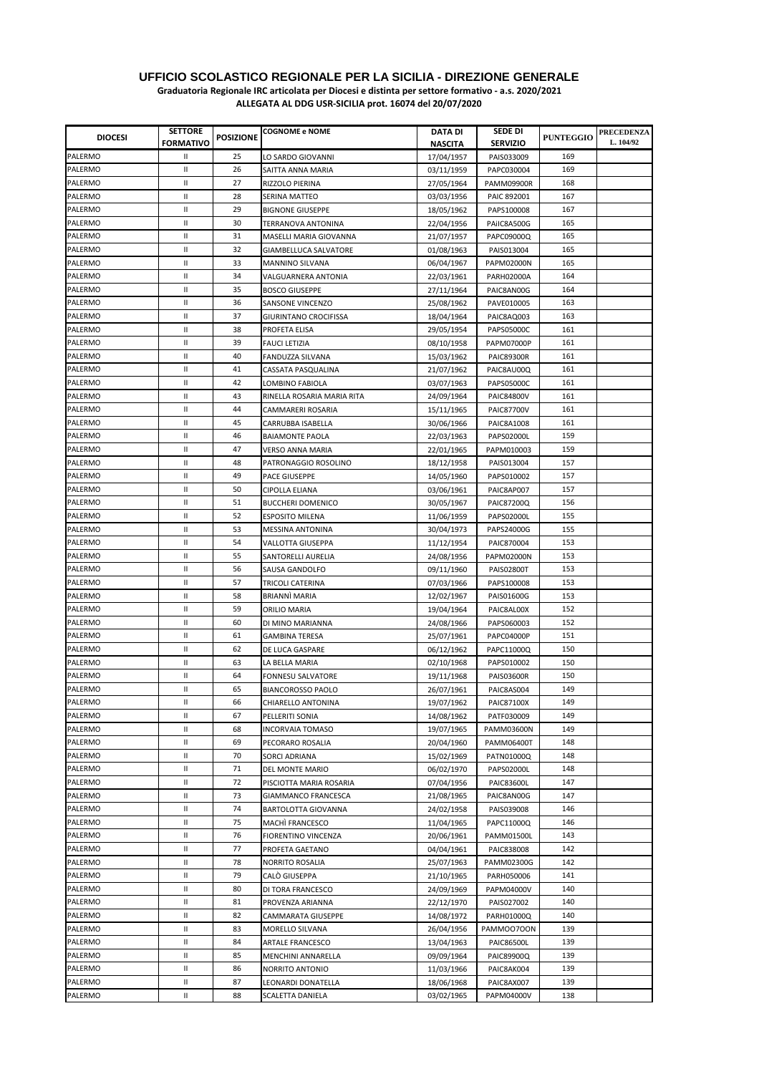| <b>DIOCESI</b>     | <b>SETTORE</b><br><b>FORMATIVO</b> | <b>POSIZIONE</b> | <b>COGNOME e NOME</b>                         | DATA DI<br><b>NASCITA</b> | SEDE DI<br><b>SERVIZIO</b> | <b>PUNTEGGIO</b> | <b>PRECEDENZA</b><br>L. 104/92 |
|--------------------|------------------------------------|------------------|-----------------------------------------------|---------------------------|----------------------------|------------------|--------------------------------|
| PALERMO            | Ш                                  | 25               | LO SARDO GIOVANNI                             | 17/04/1957                | PAIS033009                 | 169              |                                |
| PALERMO            | Ш                                  | 26               | SAITTA ANNA MARIA                             | 03/11/1959                | PAPC030004                 | 169              |                                |
| PALERMO            | Ш                                  | 27               | RIZZOLO PIERINA                               | 27/05/1964                | <b>PAMM09900R</b>          | 168              |                                |
| PALERMO            | Ш                                  | 28               | SERINA MATTEO                                 | 03/03/1956                | PAIC 892001                | 167              |                                |
| PALERMO            | Ш                                  | 29               | <b>BIGNONE GIUSEPPE</b>                       | 18/05/1962                | PAPS100008                 | 167              |                                |
| PALERMO            | Ш                                  | 30               | TERRANOVA ANTONINA                            | 22/04/1956                | PAIIC8A500G                | 165              |                                |
| PALERMO            | Ш                                  | 31               | MASELLI MARIA GIOVANNA                        | 21/07/1957                | PAPC09000Q                 | 165              |                                |
| PALERMO            | Ш                                  | 32               | GIAMBELLUCA SALVATORE                         | 01/08/1963                | PAIS013004                 | 165              |                                |
| PALERMO            | Ш                                  | 33               | <b>MANNINO SILVANA</b>                        | 06/04/1967                | <b>PAPM02000N</b>          | 165              |                                |
| PALERMO            | Ш                                  | 34               | VALGUARNERA ANTONIA                           | 22/03/1961                | PARH02000A                 | 164              |                                |
| PALERMO            | Ш                                  | 35               | <b>BOSCO GIUSEPPE</b>                         | 27/11/1964                | PAIC8AN00G                 | 164              |                                |
| PALERMO            | Ш                                  | 36               | SANSONE VINCENZO                              | 25/08/1962                | PAVE010005                 | 163              |                                |
| PALERMO            | Ш                                  | 37               | <b>GIURINTANO CROCIFISSA</b>                  | 18/04/1964                | PAIC8AQ003                 | 163              |                                |
| PALERMO            | Ш                                  | 38               | PROFETA ELISA                                 | 29/05/1954                | PAPS05000C                 | 161              |                                |
| PALERMO            | $\mathbf{H}$                       | 39               | <b>FAUCI LETIZIA</b>                          | 08/10/1958                | <b>PAPM07000P</b>          | 161              |                                |
| PALERMO            | Ш                                  | 40               | FANDUZZA SILVANA                              | 15/03/1962                | <b>PAIC89300R</b>          | 161              |                                |
| PALERMO            | Ш                                  | 41               | CASSATA PASQUALINA                            | 21/07/1962                | PAIC8AU00Q                 | 161              |                                |
| PALERMO            | Ш                                  | 42               |                                               |                           | PAPS05000C                 | 161              |                                |
| PALERMO            | Ш                                  | 43               | LOMBINO FABIOLA<br>RINELLA ROSARIA MARIA RITA | 03/07/1963<br>24/09/1964  | <b>PAIC84800V</b>          | 161              |                                |
| PALERMO            | Ш                                  | 44               |                                               |                           |                            | 161              |                                |
|                    | Ш                                  |                  | CAMMARERI ROSARIA                             | 15/11/1965                | PAIC87700V                 | 161              |                                |
| PALERMO<br>PALERMO |                                    | 45               | CARRUBBA ISABELLA                             | 30/06/1966                | PAIC8A1008                 | 159              |                                |
|                    | Ш                                  | 46               | <b>BAIAMONTE PAOLA</b>                        | 22/03/1963                | PAPS02000L                 |                  |                                |
| PALERMO            | Ш                                  | 47               | VERSO ANNA MARIA                              | 22/01/1965                | PAPM010003                 | 159              |                                |
| PALERMO            | Ш                                  | 48               | PATRONAGGIO ROSOLINO                          | 18/12/1958                | PAIS013004                 | 157              |                                |
| PALERMO            | Ш                                  | 49               | PACE GIUSEPPE                                 | 14/05/1960                | PAPS010002                 | 157              |                                |
| PALERMO            | $\mathbf{I}$                       | 50               | CIPOLLA ELIANA                                | 03/06/1961                | PAIC8AP007                 | 157              |                                |
| PALERMO            | Ш                                  | 51               | <b>BUCCHERI DOMENICO</b>                      | 30/05/1967                | PAIC87200Q                 | 156              |                                |
| PALERMO            | Ш                                  | 52               | <b>ESPOSITO MILENA</b>                        | 11/06/1959                | PAPS02000L                 | 155              |                                |
| PALERMO            | Ш                                  | 53               | MESSINA ANTONINA                              | 30/04/1973                | PAPS24000G                 | 155              |                                |
| PALERMO            | $\mathbf{II}$                      | 54               | VALLOTTA GIUSEPPA                             | 11/12/1954                | PAIC870004                 | 153              |                                |
| PALERMO            | $\mathbf{H}$                       | 55               | SANTORELLI AURELIA                            | 24/08/1956                | <b>PAPM02000N</b>          | 153              |                                |
| PALERMO            | $\mathbf{II}$                      | 56               | SAUSA GANDOLFO                                | 09/11/1960                | <b>PAIS02800T</b>          | 153              |                                |
| PALERMO            | $\mathbf{II}$                      | 57               | TRICOLI CATERINA                              | 07/03/1966                | PAPS100008                 | 153              |                                |
| PALERMO            | Ш                                  | 58               | BRIANNÌ MARIA                                 | 12/02/1967                | PAIS01600G                 | 153              |                                |
| PALERMO            | Ш                                  | 59               | ORILIO MARIA                                  | 19/04/1964                | PAIC8AL00X                 | 152              |                                |
| PALERMO            | $\mathbf{I}$                       | 60               | DI MINO MARIANNA                              | 24/08/1966                | PAPS060003                 | 152              |                                |
| PALERMO            | Ш                                  | 61               | GAMBINA TERESA                                | 25/07/1961                | PAPC04000P                 | 151              |                                |
| PALERMO            | Ш                                  | 62               | DE LUCA GASPARE                               | 06/12/1962                | PAPC11000Q                 | 150              |                                |
| PALERMO            | Ш                                  | 63               | LA BELLA MARIA                                | 02/10/1968                | PAPS010002                 | 150              |                                |
| PALERMO            | Ш                                  | 64               | FONNESU SALVATORE                             | 19/11/1968                | <b>PAIS03600R</b>          | 150              |                                |
| PALERMO            | Ш                                  | 65               | <b>BIANCOROSSO PAOLO</b>                      | 26/07/1961                | PAIC8AS004                 | 149              |                                |
| PALERMO            | Ш                                  | 66               | CHIARELLO ANTONINA                            | 19/07/1962                | PAIC87100X                 | 149              |                                |
| PALERMO            | Ш                                  | 67               | PELLERITI SONIA                               | 14/08/1962                | PATF030009                 | 149              |                                |
| PALERMO            | Ш                                  | 68               | <b>INCORVAIA TOMASO</b>                       | 19/07/1965                | PAMM03600N                 | 149              |                                |
| PALERMO            | Ш                                  | 69               | PECORARO ROSALIA                              | 20/04/1960                | PAMM06400T                 | 148              |                                |
| PALERMO            | $\ensuremath{\mathsf{II}}$         | 70               | SORCI ADRIANA                                 | 15/02/1969                | PATN01000Q                 | 148              |                                |
| PALERMO            | Ш                                  | 71               | DEL MONTE MARIO                               | 06/02/1970                | PAPS02000L                 | 148              |                                |
| PALERMO            | Ш                                  | 72               | PISCIOTTA MARIA ROSARIA                       | 07/04/1956                | PAIC83600L                 | 147              |                                |
| PALERMO            | Ш                                  | 73               | GIAMMANCO FRANCESCA                           | 21/08/1965                | PAIC8AN00G                 | 147              |                                |
| PALERMO            | $\ensuremath{\mathsf{II}}$         | 74               | BARTOLOTTA GIOVANNA                           | 24/02/1958                | PAIS039008                 | 146              |                                |
| PALERMO            | $\ensuremath{\mathsf{II}}$         | 75               | MACHI FRANCESCO                               | 11/04/1965                | PAPC11000Q                 | 146              |                                |
| PALERMO            | Ш                                  | 76               | FIORENTINO VINCENZA                           | 20/06/1961                | <b>PAMM01500L</b>          | 143              |                                |
| PALERMO            | $\mathbf{II}$                      | 77               | PROFETA GAETANO                               | 04/04/1961                | PAIC838008                 | 142              |                                |
| PALERMO            | Ш                                  | 78               | NORRITO ROSALIA                               | 25/07/1963                | PAMM02300G                 | 142              |                                |
| PALERMO            | $\mathbf{II}$                      | 79               | CALÒ GIUSEPPA                                 | 21/10/1965                | PARH050006                 | 141              |                                |
| PALERMO            | Ш                                  | 80               | DI TORA FRANCESCO                             | 24/09/1969                | PAPM04000V                 | 140              |                                |
| PALERMO            | $\mathbf{II}$                      | 81               | PROVENZA ARIANNA                              | 22/12/1970                | PAIS027002                 | 140              |                                |
| PALERMO            | $\mathbf{II}$                      | 82               | CAMMARATA GIUSEPPE                            | 14/08/1972                | PARH01000Q                 | 140              |                                |
| PALERMO            | $\mathbf{II}$                      | 83               | MORELLO SILVANA                               | 26/04/1956                | PAMMOO7OON                 | 139              |                                |
| PALERMO            | Ш                                  | 84               | ARTALE FRANCESCO                              | 13/04/1963                | PAIC86500L                 | 139              |                                |
| PALERMO            | Ш                                  | 85               | MENCHINI ANNARELLA                            | 09/09/1964                | PAIC89900Q                 | 139              |                                |
| PALERMO            | Ш                                  | 86               | NORRITO ANTONIO                               | 11/03/1966                | PAIC8AK004                 | 139              |                                |
| PALERMO            | Ш                                  | 87               | LEONARDI DONATELLA                            | 18/06/1968                | PAIC8AX007                 | 139              |                                |
| PALERMO            | Ш                                  | 88               | SCALETTA DANIELA                              | 03/02/1965                | PAPM04000V                 | 138              |                                |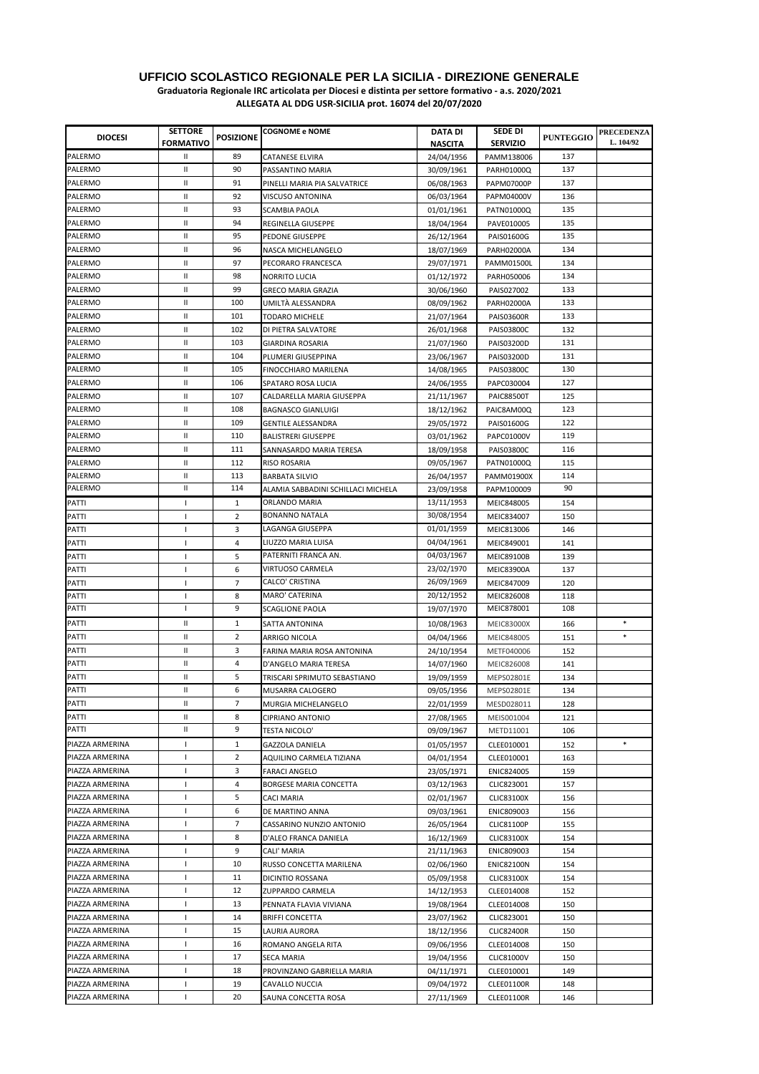| <b>DIOCESI</b>  | <b>SETTORE</b>           | <b>POSIZIONE</b> | <b>COGNOME e NOME</b>              | DATA DI        | SEDE DI           | <b>PUNTEGGIO</b> | <b>PRECEDENZA</b><br>L. 104/92 |
|-----------------|--------------------------|------------------|------------------------------------|----------------|-------------------|------------------|--------------------------------|
|                 | <b>FORMATIVO</b>         |                  |                                    | <b>NASCITA</b> | <b>SERVIZIO</b>   |                  |                                |
| PALERMO         | Ш                        | 89               | CATANESE ELVIRA                    | 24/04/1956     | PAMM138006        | 137              |                                |
| PALERMO         | Ш                        | 90               | PASSANTINO MARIA                   | 30/09/1961     | PARH01000Q        | 137              |                                |
| PALERMO         | Ш                        | 91               | PINELLI MARIA PIA SALVATRICE       | 06/08/1963     | PAPM07000P        | 137              |                                |
| PALERMO         | Ш                        | 92               | VISCUSO ANTONINA                   | 06/03/1964     | PAPM04000V        | 136              |                                |
| PALERMO         | Ш                        | 93               | <b>SCAMBIA PAOLA</b>               | 01/01/1961     | PATN01000Q        | 135              |                                |
| PALERMO         | Ш                        | 94               | REGINELLA GIUSEPPE                 | 18/04/1964     | PAVE010005        | 135              |                                |
| PALERMO         | $\mathbf{I}$             | 95               | PEDONE GIUSEPPE                    | 26/12/1964     | PAIS01600G        | 135              |                                |
| PALERMO         | Ш                        | 96               | NASCA MICHELANGELO                 | 18/07/1969     | <b>PARH02000A</b> | 134              |                                |
| PALERMO         | Ш                        | 97               | PECORARO FRANCESCA                 | 29/07/1971     | <b>PAMM01500L</b> | 134              |                                |
| PALERMO         | Ш                        | 98               | NORRITO LUCIA                      | 01/12/1972     | PARH050006        | 134              |                                |
| PALERMO         | Ш                        | 99               | GRECO MARIA GRAZIA                 | 30/06/1960     | PAIS027002        | 133              |                                |
| PALERMO         | Ш                        | 100              | UMILTÀ ALESSANDRA                  | 08/09/1962     | <b>PARH02000A</b> | 133              |                                |
| PALERMO         | Ш                        | 101              | TODARO MICHELE                     | 21/07/1964     | <b>PAIS03600R</b> | 133              |                                |
| PALERMO         | Ш                        | 102              | DI PIETRA SALVATORE                | 26/01/1968     | PAIS03800C        | 132              |                                |
| PALERMO         | $\mathbf{H}$             | 103              | <b>GIARDINA ROSARIA</b>            | 21/07/1960     | PAIS03200D        | 131              |                                |
| PALERMO         | Ш                        | 104              | PLUMERI GIUSEPPINA                 | 23/06/1967     | PAIS03200D        | 131              |                                |
| PALERMO         | Ш                        | 105              | FINOCCHIARO MARILENA               | 14/08/1965     | PAIS03800C        | 130              |                                |
| PALERMO         | Ш                        | 106              | SPATARO ROSA LUCIA                 | 24/06/1955     | PAPC030004        | 127              |                                |
| PALERMO         | Ш                        | 107              | CALDARELLA MARIA GIUSEPPA          | 21/11/1967     | <b>PAIC88500T</b> | 125              |                                |
| PALERMO         | Ш                        | 108              | <b>BAGNASCO GIANLUIGI</b>          | 18/12/1962     | PAIC8AM00Q        | 123              |                                |
| PALERMO         | Ш                        | 109              | <b>GENTILE ALESSANDRA</b>          | 29/05/1972     | PAIS01600G        | 122              |                                |
| PALERMO         | Ш                        | 110              | <b>BALISTRERI GIUSEPPE</b>         | 03/01/1962     | PAPC01000V        | 119              |                                |
| PALERMO         | Ш                        | 111              | SANNASARDO MARIA TERESA            | 18/09/1958     | PAIS03800C        | 116              |                                |
| PALERMO         | Ш                        | 112              | RISO ROSARIA                       | 09/05/1967     | PATN01000Q        | 115              |                                |
| PALERMO         | Ш                        | 113              | <b>BARBATA SILVIO</b>              | 26/04/1957     | PAMM01900X        | 114              |                                |
| PALERMO         | $\mathbf{II}$            | 114              | ALAMIA SABBADINI SCHILLACI MICHELA | 23/09/1958     | PAPM100009        | 90               |                                |
| PATTI           | $\mathbf{I}$             | 1                | ORLANDO MARIA                      | 13/11/1953     | MEIC848005        | 154              |                                |
| PATTI           | J.                       | $\overline{2}$   | <b>BONANNO NATALA</b>              | 30/08/1954     | MEIC834007        | 150              |                                |
| PATTI           | 1                        | 3                | LAGANGA GIUSEPPA                   | 01/01/1959     | MEIC813006        | 146              |                                |
| PATTI           | $\overline{\phantom{a}}$ | 4                | LIUZZO MARIA LUISA                 | 04/04/1961     | MEIC849001        | 141              |                                |
| PATTI           | J.                       | 5                | PATERNITI FRANCA AN.               | 04/03/1967     | <b>MEIC89100B</b> | 139              |                                |
| PATTI           | J.                       | 6                | VIRTUOSO CARMELA                   | 23/02/1970     | <b>MEIC83900A</b> | 137              |                                |
| PATTI           | $\mathbf{I}$             | $\overline{7}$   | CALCO' CRISTINA                    | 26/09/1969     | MEIC847009        | 120              |                                |
| PATTI           | $\overline{1}$           | 8                | MARO' CATERINA                     | 20/12/1952     | MEIC826008        | 118              |                                |
| PATTI           | J.                       | 9                | <b>SCAGLIONE PAOLA</b>             | 19/07/1970     | MEIC878001        | 108              |                                |
| PATTI           | Ш                        | $\mathbf{1}$     | SATTA ANTONINA                     | 10/08/1963     | <b>MEIC83000X</b> | 166              | $\ast$                         |
| PATTI           | Ш                        | 2                | ARRIGO NICOLA                      | 04/04/1966     | MEIC848005        | 151              | $\ast$                         |
| PATTI           | Ш                        | 3                | FARINA MARIA ROSA ANTONINA         | 24/10/1954     | METF040006        | 152              |                                |
| PATTI           | Ш                        | 4                | D'ANGELO MARIA TERESA              | 14/07/1960     | MEIC826008        | 141              |                                |
| PATTI           | Ш                        | 5                | TRISCARI SPRIMUTO SEBASTIANO       | 19/09/1959     | MEPS02801E        | 134              |                                |
| PATTI           | $\mathbf{II}$            | 6                | MUSARRA CALOGERO                   | 09/05/1956     | MEPS02801E        | 134              |                                |
| PATTI           | Ш                        | 7                | MURGIA MICHELANGELO                | 22/01/1959     | MESD028011        | 128              |                                |
| PATTI           | Ш                        | 8                | CIPRIANO ANTONIO                   | 27/08/1965     | MEIS001004        | 121              |                                |
| PATTI           | Ш                        | 9                | <b>TESTA NICOLO'</b>               | 09/09/1967     | METD11001         | 106              |                                |
| PIAZZA ARMERINA | $\mathbf{I}$             | $\mathbf{1}$     | <b>GAZZOLA DANIELA</b>             | 01/05/1957     | CLEE010001        | 152              |                                |
| PIAZZA ARMERINA | $\mathbf{I}$             | 2                | AQUILINO CARMELA TIZIANA           | 04/01/1954     | CLEE010001        | 163              |                                |
| PIAZZA ARMERINA | $\overline{\phantom{a}}$ | 3                | <b>FARACI ANGELO</b>               | 23/05/1971     | ENIC824005        | 159              |                                |
| PIAZZA ARMERINA | J.                       | 4                | BORGESE MARIA CONCETTA             | 03/12/1963     | CLIC823001        | 157              |                                |
| PIAZZA ARMERINA | $\mathbf{I}$             | 5                | <b>CACI MARIA</b>                  | 02/01/1967     | <b>CLIC83100X</b> | 156              |                                |
| PIAZZA ARMERINA | $\mathbf{I}$             | 6                | DE MARTINO ANNA                    | 09/03/1961     | ENIC809003        | 156              |                                |
| PIAZZA ARMERINA | $\overline{\phantom{a}}$ | 7                | CASSARINO NUNZIO ANTONIO           | 26/05/1964     | <b>CLIC81100P</b> | 155              |                                |
| PIAZZA ARMERINA | $\mathbf{I}$             | 8                | D'ALEO FRANCA DANIELA              | 16/12/1969     | <b>CLIC83100X</b> | 154              |                                |
| PIAZZA ARMERINA | $\mathbf{I}$             | 9                | CALI' MARIA                        | 21/11/1963     | ENIC809003        | 154              |                                |
| PIAZZA ARMERINA | $\mathbf{I}$             | 10               | RUSSO CONCETTA MARILENA            | 02/06/1960     | <b>ENIC82100N</b> | 154              |                                |
| PIAZZA ARMERINA | $\mathbf{I}$             | 11               | DICINTIO ROSSANA                   | 05/09/1958     | <b>CLIC83100X</b> | 154              |                                |
| PIAZZA ARMERINA | $\overline{\phantom{a}}$ | 12               | ZUPPARDO CARMELA                   | 14/12/1953     | CLEE014008        | 152              |                                |
| PIAZZA ARMERINA | J.                       | 13               | PENNATA FLAVIA VIVIANA             | 19/08/1964     | CLEE014008        | 150              |                                |
| PIAZZA ARMERINA | $\overline{\phantom{a}}$ | 14               | <b>BRIFFI CONCETTA</b>             | 23/07/1962     | CLIC823001        | 150              |                                |
| PIAZZA ARMERINA | $\overline{\phantom{a}}$ | 15               | LAURIA AURORA                      | 18/12/1956     | <b>CLIC82400R</b> | 150              |                                |
| PIAZZA ARMERINA | $\overline{\phantom{a}}$ | 16               | ROMANO ANGELA RITA                 | 09/06/1956     | CLEE014008        | 150              |                                |
| PIAZZA ARMERINA | $\mathbf{I}$             | 17               | SECA MARIA                         | 19/04/1956     | CLIC81000V        | 150              |                                |
| PIAZZA ARMERINA | $\mathbf{I}$             | 18               | PROVINZANO GABRIELLA MARIA         | 04/11/1971     | CLEE010001        | 149              |                                |
| PIAZZA ARMERINA | $\overline{\phantom{a}}$ | 19               | CAVALLO NUCCIA                     | 09/04/1972     | CLEE01100R        | 148              |                                |
| PIAZZA ARMERINA | $\mathbf{I}$             | 20               | SAUNA CONCETTA ROSA                | 27/11/1969     | <b>CLEE01100R</b> | 146              |                                |
|                 |                          |                  |                                    |                |                   |                  |                                |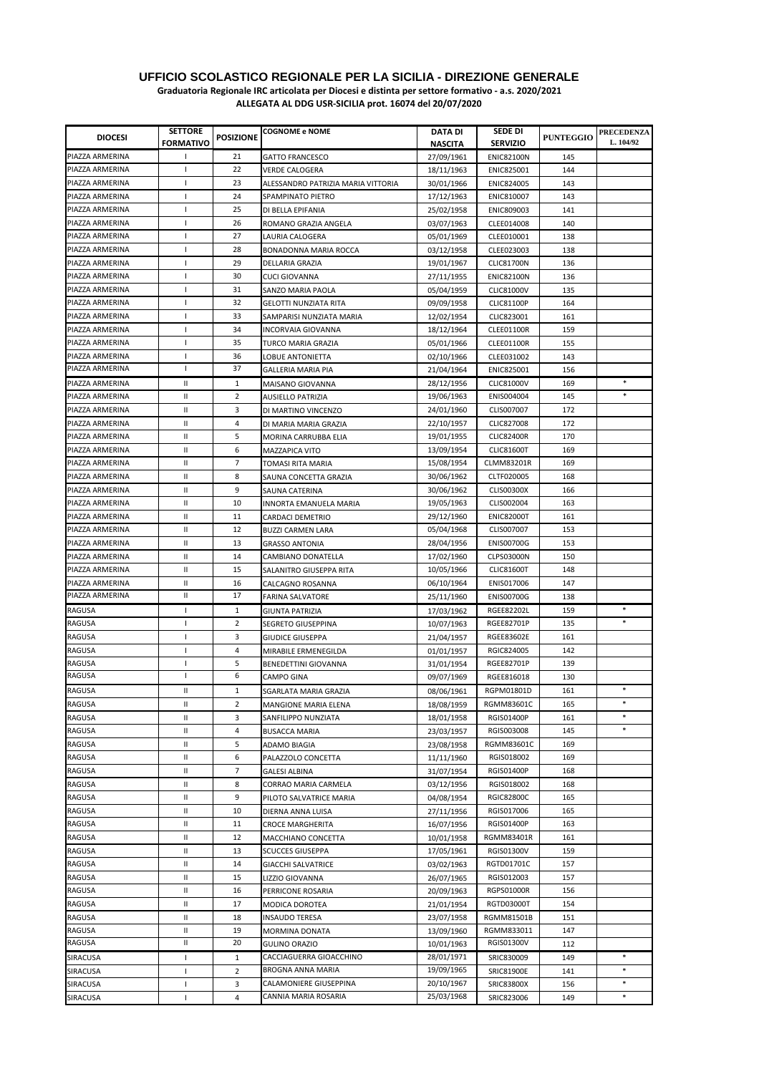| <b>DIOCESI</b>   | <b>SETTORE</b>   | <b>POSIZIONE</b> | <b>COGNOME e NOME</b>              | DATA DI                  | SEDE DI                  | <b>PUNTEGGIO</b> | <b>PRECEDENZA</b> |
|------------------|------------------|------------------|------------------------------------|--------------------------|--------------------------|------------------|-------------------|
|                  | <b>FORMATIVO</b> |                  |                                    | <b>NASCITA</b>           | <b>SERVIZIO</b>          |                  | L. 104/92         |
| PIAZZA ARMERINA  | $\mathsf{I}$     | 21               | <b>GATTO FRANCESCO</b>             | 27/09/1961               | <b>ENIC82100N</b>        | 145              |                   |
| PIAZZA ARMERINA  | $\mathsf{I}$     | 22               | <b>VERDE CALOGERA</b>              | 18/11/1963               | ENIC825001               | 144              |                   |
| PIAZZA ARMERINA  | $\mathsf{I}$     | 23               | ALESSANDRO PATRIZIA MARIA VITTORIA | 30/01/1966               | ENIC824005               | 143              |                   |
| PIAZZA ARMERINA  | $\mathsf{I}$     | 24               | SPAMPINATO PIETRO                  | 17/12/1963               | ENIC810007               | 143              |                   |
| PIAZZA ARMERINA  | $\mathsf{I}$     | 25               | DI BELLA EPIFANIA                  | 25/02/1958               | ENIC809003               | 141              |                   |
| PIAZZA ARMERINA  | $\mathsf{I}$     | 26               | ROMANO GRAZIA ANGELA               | 03/07/1963               | CLEE014008               | 140              |                   |
| PIAZZA ARMERINA  | T                | 27               | LAURIA CALOGERA                    | 05/01/1969               | CLEE010001               | 138              |                   |
| PIAZZA ARMERINA  | $\mathsf{I}$     | 28               | BONADONNA MARIA ROCCA              | 03/12/1958               | CLEE023003               | 138              |                   |
| PIAZZA ARMERINA  | $\mathsf{I}$     | 29               | DELLARIA GRAZIA                    | 19/01/1967               | <b>CLIC81700N</b>        | 136              |                   |
| PIAZZA ARMERINA  | $\mathbf{I}$     | 30               | <b>CUCI GIOVANNA</b>               | 27/11/1955               | <b>ENIC82100N</b>        | 136              |                   |
| PIAZZA ARMERINA  | T                | 31               | SANZO MARIA PAOLA                  | 05/04/1959               | <b>CLIC81000V</b>        | 135              |                   |
| PIAZZA ARMERINA  | $\mathsf{I}$     | 32               | <b>GELOTTI NUNZIATA RITA</b>       | 09/09/1958               | <b>CLIC81100P</b>        | 164              |                   |
| PIAZZA ARMERINA  | $\mathsf{I}$     | 33               | SAMPARISI NUNZIATA MARIA           | 12/02/1954               | CLIC823001               | 161              |                   |
| PIAZZA ARMERINA  | $\mathbf{I}$     | 34               | INCORVAIA GIOVANNA                 | 18/12/1964               | CLEE01100R               | 159              |                   |
| PIAZZA ARMERINA  | $\mathsf{I}$     | 35               | TURCO MARIA GRAZIA                 | 05/01/1966               | <b>CLEE01100R</b>        | 155              |                   |
| PIAZZA ARMERINA  | $\mathsf{I}$     | 36               | LOBUE ANTONIETTA                   | 02/10/1966               | CLEE031002               | 143              |                   |
| PIAZZA ARMERINA  | L                | 37               | GALLERIA MARIA PIA                 | 21/04/1964               | ENIC825001               | 156              |                   |
| PIAZZA ARMERINA  | Ш                | $\mathbf{1}$     | MAISANO GIOVANNA                   | 28/12/1956               | <b>CLIC81000V</b>        | 169              | $\ast$            |
| PIAZZA ARMERINA  | Ш                | 2                | <b>AUSIELLO PATRIZIA</b>           | 19/06/1963               | ENIS004004               | 145              | $\ast$            |
| PIAZZA ARMERINA  | Ш                | 3                | DI MARTINO VINCENZO                | 24/01/1960               | CLIS007007               | 172              |                   |
| PIAZZA ARMERINA  | Ш                | 4                | DI MARIA MARIA GRAZIA              | 22/10/1957               | CLIC827008               | 172              |                   |
| PIAZZA ARMERINA  | Ш                | 5                | MORINA CARRUBBA ELIA               | 19/01/1955               | <b>CLIC82400R</b>        | 170              |                   |
| PIAZZA ARMERINA  | Ш                | 6                | <b>MAZZAPICA VITO</b>              | 13/09/1954               | <b>CLIC81600T</b>        | 169              |                   |
| PIAZZA ARMERINA  | Ш                | 7                | TOMASI RITA MARIA                  | 15/08/1954               | <b>CLMM83201R</b>        | 169              |                   |
| PIAZZA ARMERINA  | Ш                | 8                | SAUNA CONCETTA GRAZIA              | 30/06/1962               | CLTF020005               | 168              |                   |
| PIAZZA ARMERINA  | Ш                | 9                | SAUNA CATERINA                     | 30/06/1962               | <b>CLIS00300X</b>        | 166              |                   |
| PIAZZA ARMERINA  | Ш                | 10               | INNORTA EMANUELA MARIA             | 19/05/1963               | CLIS002004               | 163              |                   |
| PIAZZA ARMERINA  | Ш                | 11               | CARDACI DEMETRIO                   | 29/12/1960               | <b>ENIC82000T</b>        | 161              |                   |
| PIAZZA ARMERINA  | Ш                | 12               | <b>BUZZI CARMEN LARA</b>           | 05/04/1968               | CLIS007007               | 153              |                   |
| PIAZZA ARMERINA  | Ш                | 13               | <b>GRASSO ANTONIA</b>              | 28/04/1956               | <b>ENIS00700G</b>        | 153              |                   |
| PIAZZA ARMERINA  | Ш                | 14               | CAMBIANO DONATELLA                 | 17/02/1960               | CLPS03000N               | 150              |                   |
| PIAZZA ARMERINA  | Ш                | 15               | SALANITRO GIUSEPPA RITA            | 10/05/1966               | <b>CLIC81600T</b>        | 148              |                   |
| PIAZZA ARMERINA  | Ш                | 16               | CALCAGNO ROSANNA                   | 06/10/1964               | ENIS017006               | 147              |                   |
| PIAZZA ARMERINA  | Ш                | 17               | <b>FARINA SALVATORE</b>            | 25/11/1960               | <b>ENIS00700G</b>        | 138              |                   |
| RAGUSA           | $\mathsf{I}$     | $\mathbf{1}$     | <b>GIUNTA PATRIZIA</b>             | 17/03/1962               | <b>RGEE82202L</b>        | 159              | *                 |
| RAGUSA           | T                | 2                | <b>SEGRETO GIUSEPPINA</b>          | 10/07/1963               | RGEE82701P               | 135              | $\ast$            |
| RAGUSA           | $\mathsf{I}$     | 3                | <b>GIUDICE GIUSEPPA</b>            | 21/04/1957               | RGEE83602E               | 161              |                   |
| RAGUSA           | $\mathsf{I}$     | 4                | MIRABILE ERMENEGILDA               | 01/01/1957               | RGIC824005               | 142              |                   |
| <b>RAGUSA</b>    | T                | 5                | <b>BENEDETTINI GIOVANNA</b>        | 31/01/1954               | RGEE82701P               | 139              |                   |
| RAGUSA           | L                | 6                | <b>CAMPO GINA</b>                  | 09/07/1969               | RGEE816018               | 130              |                   |
| RAGUSA           | $\mathbf{II}$    | $\mathbf{1}$     | SGARLATA MARIA GRAZIA              | 08/06/1961               | RGPM01801D               | 161              | $\ast$            |
| <b>RAGUSA</b>    | Ш                | 2                | <b>MANGIONE MARIA ELENA</b>        |                          | RGMM83601C               | 165              | *                 |
| RAGUSA           | Ш                | 3                |                                    | 18/08/1959<br>18/01/1958 | <b>RGIS01400P</b>        | 161              | *                 |
|                  | Ш                |                  | SANFILIPPO NUNZIATA                |                          |                          |                  | $\ast$            |
| RAGUSA<br>RAGUSA | Ш                | 4<br>5           | <b>BUSACCA MARIA</b>               | 23/03/1957               | RGIS003008<br>RGMM83601C | 145<br>169       |                   |
| RAGUSA           | Ш                |                  | ADAMO BIAGIA<br>PALAZZOLO CONCETTA | 23/08/1958               | RGIS018002               | 169              |                   |
| RAGUSA           | Ш                | 6<br>7           |                                    | 11/11/1960               | <b>RGIS01400P</b>        |                  |                   |
| RAGUSA           |                  |                  | <b>GALESI ALBINA</b>               | 31/07/1954               | RGIS018002               | 168              |                   |
| RAGUSA           | Ш<br>Ш           | 8<br>9           | CORRAO MARIA CARMELA               | 03/12/1956               | <b>RGIC82800C</b>        | 168<br>165       |                   |
| RAGUSA           | Ш                | 10               | PILOTO SALVATRICE MARIA            | 04/08/1954               | RGIS017006               | 165              |                   |
|                  |                  |                  | DIERNA ANNA LUISA                  | 27/11/1956               |                          |                  |                   |
| RAGUSA           | Ш                | 11               | <b>CROCE MARGHERITA</b>            | 16/07/1956               | <b>RGIS01400P</b>        | 163              |                   |
| <b>RAGUSA</b>    | Ш                | 12               | MACCHIANO CONCETTA                 | 10/01/1958               | RGMM83401R               | 161              |                   |
| RAGUSA           | Ш                | 13               | <b>SCUCCES GIUSEPPA</b>            | 17/05/1961               | RGIS01300V               | 159              |                   |
| RAGUSA           | Ш                | 14               | <b>GIACCHI SALVATRICE</b>          | 03/02/1963               | RGTD01701C               | 157              |                   |
| RAGUSA           | Ш                | 15               | LIZZIO GIOVANNA                    | 26/07/1965               | RGIS012003               | 157              |                   |
| <b>RAGUSA</b>    | Ш                | 16               | PERRICONE ROSARIA                  | 20/09/1963               | RGPS01000R               | 156              |                   |
| RAGUSA           | Ш                | 17               | MODICA DOROTEA                     | 21/01/1954               | RGTD03000T               | 154              |                   |
| RAGUSA           | Ш                | 18               | <b>INSAUDO TERESA</b>              | 23/07/1958               | RGMM81501B               | 151              |                   |
| RAGUSA           | Ш                | 19               | MORMINA DONATA                     | 13/09/1960               | RGMM833011               | 147              |                   |
| RAGUSA           | Ш                | 20               | <b>GULINO ORAZIO</b>               | 10/01/1963               | RGIS01300V               | 112              |                   |
| SIRACUSA         | ı                | 1                | CACCIAGUERRA GIOACCHINO            | 28/01/1971               | SRIC830009               | 149              |                   |
| SIRACUSA         | L                | 2                | BROGNA ANNA MARIA                  | 19/09/1965               | <b>SRIC81900E</b>        | 141              | $\ast$            |
| SIRACUSA         | L                | 3                | CALAMONIERE GIUSEPPINA             | 20/10/1967               | <b>SRIC83800X</b>        | 156              | $\ast$            |
| SIRACUSA         | T                | 4                | CANNIA MARIA ROSARIA               | 25/03/1968               | SRIC823006               | 149              | $\ast$            |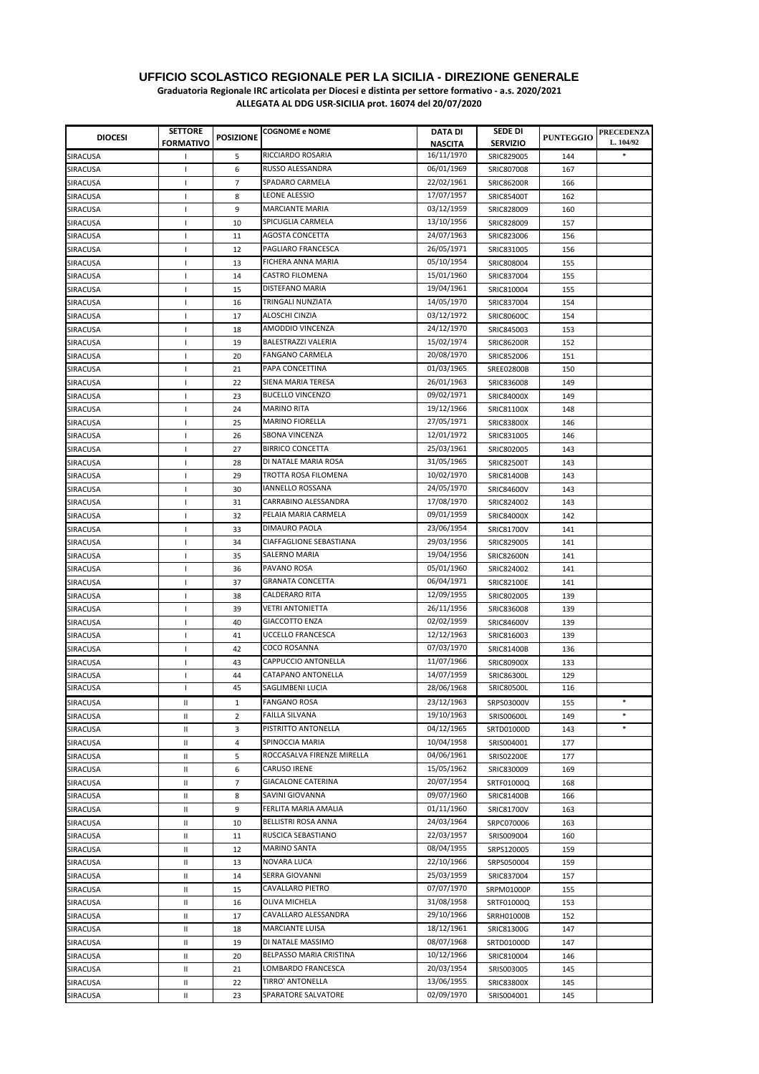| <b>DIOCESI</b>  | <b>SETTORE</b>   | <b>POSIZIONE</b> | <b>COGNOME e NOME</b>      | <b>DATA DI</b> | <b>SEDE DI</b>                  | <b>PUNTEGGIO</b> | <b>PRECEDENZA</b> |
|-----------------|------------------|------------------|----------------------------|----------------|---------------------------------|------------------|-------------------|
|                 | <b>FORMATIVO</b> |                  |                            | <b>NASCITA</b> | <b>SERVIZIO</b>                 |                  | L. 104/92         |
| SIRACUSA        | т.               | 5                | RICCIARDO ROSARIA          | 16/11/1970     | SRIC829005                      | 144              | $\ast$            |
| <b>SIRACUSA</b> | $\mathbf{I}$     | 6                | RUSSO ALESSANDRA           | 06/01/1969     | SRIC807008                      | 167              |                   |
| SIRACUSA        | $\mathbf{I}$     | $\overline{7}$   | SPADARO CARMELA            | 22/02/1961     | <b>SRIC86200R</b>               | 166              |                   |
| SIRACUSA        | T                | 8                | LEONE ALESSIO              | 17/07/1957     | <b>SRIC85400T</b>               | 162              |                   |
| SIRACUSA        | T                | 9                | <b>MARCIANTE MARIA</b>     | 03/12/1959     | SRIC828009                      | 160              |                   |
| <b>SIRACUSA</b> | $\mathbf{I}$     | 10               | SPICUGLIA CARMELA          | 13/10/1956     | SRIC828009                      | 157              |                   |
| SIRACUSA        | $\overline{1}$   | 11               | AGOSTA CONCETTA            | 24/07/1963     | SRIC823006                      | 156              |                   |
| SIRACUSA        | $\mathsf{I}$     | 12               | PAGLIARO FRANCESCA         | 26/05/1971     | SRIC831005                      | 156              |                   |
| SIRACUSA        | $\mathbf{I}$     | 13               | FICHERA ANNA MARIA         | 05/10/1954     | SRIC808004                      | 155              |                   |
| <b>SIRACUSA</b> | $\mathbf{I}$     | 14               | <b>CASTRO FILOMENA</b>     | 15/01/1960     | SRIC837004                      | 155              |                   |
| SIRACUSA        | $\mathsf{I}$     | 15               | DISTEFANO MARIA            | 19/04/1961     | SRIC810004                      | 155              |                   |
| SIRACUSA        | $\mathbf{I}$     | 16               | TRINGALI NUNZIATA          | 14/05/1970     | SRIC837004                      | 154              |                   |
| SIRACUSA        | $\mathbf{I}$     | 17               | ALOSCHI CINZIA             | 03/12/1972     | SRIC80600C                      | 154              |                   |
| SIRACUSA        | $\mathbf{I}$     | 18               | AMODDIO VINCENZA           | 24/12/1970     | SRIC845003                      | 153              |                   |
| SIRACUSA        | $\mathsf{I}$     | 19               | BALESTRAZZI VALERIA        | 15/02/1974     | <b>SRIC86200R</b>               | 152              |                   |
| SIRACUSA        | $\mathbf{I}$     | 20               | FANGANO CARMELA            | 20/08/1970     | SRIC852006                      | 151              |                   |
| SIRACUSA        | $\mathsf{I}$     | 21               | PAPA CONCETTINA            | 01/03/1965     | <b>SREE02800B</b>               | 150              |                   |
| SIRACUSA        | $\mathbf{I}$     | 22               | SIENA MARIA TERESA         | 26/01/1963     | SRIC836008                      | 149              |                   |
| SIRACUSA        | $\mathsf{I}$     | 23               | <b>BUCELLO VINCENZO</b>    | 09/02/1971     | <b>SRIC84000X</b>               | 149              |                   |
| SIRACUSA        | $\mathsf{I}$     | 24               | <b>MARINO RITA</b>         | 19/12/1966     | SRIC81100X                      | 148              |                   |
| SIRACUSA        | $\mathsf{I}$     | 25               | <b>MARINO FIORELLA</b>     | 27/05/1971     | <b>SRIC83800X</b>               | 146              |                   |
| SIRACUSA        | $\mathsf{I}$     | 26               | <b>SBONA VINCENZA</b>      | 12/01/1972     | SRIC831005                      | 146              |                   |
|                 |                  |                  | <b>BIRRICO CONCETTA</b>    | 25/03/1961     |                                 |                  |                   |
| SIRACUSA        | $\mathsf{I}$     | 27               | DI NATALE MARIA ROSA       | 31/05/1965     | SRIC802005<br><b>SRIC82500T</b> | 143              |                   |
| SIRACUSA        | $\mathbf{I}$     | 28               |                            |                |                                 | 143              |                   |
| SIRACUSA        | $\overline{1}$   | 29               | TROTTA ROSA FILOMENA       | 10/02/1970     | <b>SRIC81400B</b>               | 143              |                   |
| SIRACUSA        | $\overline{1}$   | 30               | <b>IANNELLO ROSSANA</b>    | 24/05/1970     | <b>SRIC84600V</b>               | 143              |                   |
| SIRACUSA        | $\mathbf{I}$     | 31               | CARRABINO ALESSANDRA       | 17/08/1970     | SRIC824002                      | 143              |                   |
| SIRACUSA        | $\mathbf{I}$     | 32               | PELAIA MARIA CARMELA       | 09/01/1959     | <b>SRIC84000X</b>               | 142              |                   |
| SIRACUSA        | $\mathbf{I}$     | 33               | DIMAURO PAOLA              | 23/06/1954     | <b>SRIC81700V</b>               | 141              |                   |
| SIRACUSA        | $\mathbf{I}$     | 34               | CIAFFAGLIONE SEBASTIANA    | 29/03/1956     | SRIC829005                      | 141              |                   |
| SIRACUSA        | $\mathbf{I}$     | 35               | SALERNO MARIA              | 19/04/1956     | <b>SRIC82600N</b>               | 141              |                   |
| SIRACUSA        | $\mathbf{I}$     | 36               | PAVANO ROSA                | 05/01/1960     | SRIC824002                      | 141              |                   |
| SIRACUSA        | $\mathbf{I}$     | 37               | <b>GRANATA CONCETTA</b>    | 06/04/1971     | <b>SRIC82100E</b>               | 141              |                   |
| SIRACUSA        | $\mathbf{I}$     | 38               | <b>CALDERARO RITA</b>      | 12/09/1955     | SRIC802005                      | 139              |                   |
| SIRACUSA        | $\mathsf{I}$     | 39               | <b>VETRI ANTONIETTA</b>    | 26/11/1956     | SRIC836008                      | 139              |                   |
| SIRACUSA        | $\mathbf{I}$     | 40               | <b>GIACCOTTO ENZA</b>      | 02/02/1959     | <b>SRIC84600V</b>               | 139              |                   |
| SIRACUSA        | $\mathsf{I}$     | 41               | <b>UCCELLO FRANCESCA</b>   | 12/12/1963     | SRIC816003                      | 139              |                   |
| SIRACUSA        | $\mathbf{I}$     | 42               | <b>COCO ROSANNA</b>        | 07/03/1970     | <b>SRIC81400B</b>               | 136              |                   |
| SIRACUSA        | $\mathbf{I}$     | 43               | CAPPUCCIO ANTONELLA        | 11/07/1966     | <b>SRIC80900X</b>               | 133              |                   |
| SIRACUSA        | -1               | 44               | CATAPANO ANTONELLA         | 14/07/1959     | SRIC86300L                      | 129              |                   |
| SIRACUSA        | 1                | 45               | SAGLIMBENI LUCIA           | 28/06/1968     | SRIC80500L                      | 116              |                   |
| SIRACUSA        | Ш                | $\mathbf{1}$     | <b>FANGANO ROSA</b>        | 23/12/1963     | SRPS03000V                      | 155              | $\ast$            |
| <b>SIRACUSA</b> | Ш                | 2                | <b>FAILLA SILVANA</b>      | 19/10/1963     | SRIS00600L                      | 149              | $\ast$            |
| SIRACUSA        | Ш                | 3                | PISTRITTO ANTONELLA        | 04/12/1965     | SRTD01000D                      | 143              | $\ast$            |
| SIRACUSA        | Ш                | 4                | SPINOCCIA MARIA            | 10/04/1958     | SRIS004001                      | 177              |                   |
| SIRACUSA        | Ш                | 5                | ROCCASALVA FIRENZE MIRELLA | 04/06/1961     | SRIS02200E                      | 177              |                   |
| <b>SIRACUSA</b> | Ш                | 6                | CARUSO IRENE               | 15/05/1962     | SRIC830009                      | 169              |                   |
| SIRACUSA        | Ш                | 7                | <b>GIACALONE CATERINA</b>  | 20/07/1954     | SRTF01000Q                      | 168              |                   |
| SIRACUSA        | Ш                | 8                | SAVINI GIOVANNA            | 09/07/1960     | SRIC81400B                      | 166              |                   |
| SIRACUSA        | Ш                | 9                | FERLITA MARIA AMALIA       | 01/11/1960     | SRIC81700V                      | 163              |                   |
| SIRACUSA        | Ш                | 10               | BELLISTRI ROSA ANNA        | 24/03/1964     | SRPC070006                      | 163              |                   |
| SIRACUSA        | Ш                | 11               | RUSCICA SEBASTIANO         | 22/03/1957     | SRIS009004                      | 160              |                   |
| SIRACUSA        | Ш                | 12               | MARINO SANTA               | 08/04/1955     | SRPS120005                      | 159              |                   |
| SIRACUSA        | Ш                | 13               | NOVARA LUCA                | 22/10/1966     | SRPS050004                      | 159              |                   |
| SIRACUSA        | Ш                | 14               | SERRA GIOVANNI             | 25/03/1959     | SRIC837004                      | 157              |                   |
| SIRACUSA        | Ш                | 15               | CAVALLARO PIETRO           | 07/07/1970     | SRPM01000P                      | 155              |                   |
| SIRACUSA        | $\mathbf{H}$     | 16               | OLIVA MICHELA              | 31/08/1958     | SRTF01000Q                      | 153              |                   |
| SIRACUSA        | Ш                | 17               | CAVALLARO ALESSANDRA       | 29/10/1966     | SRRH01000B                      | 152              |                   |
| SIRACUSA        | Ш                | 18               | MARCIANTE LUISA            | 18/12/1961     | SRIC81300G                      | 147              |                   |
| SIRACUSA        | Ш                | 19               | DI NATALE MASSIMO          | 08/07/1968     | SRTD01000D                      | 147              |                   |
| SIRACUSA        | Ш                | 20               | BELPASSO MARIA CRISTINA    | 10/12/1966     | SRIC810004                      | 146              |                   |
| SIRACUSA        | Ш                | 21               | LOMBARDO FRANCESCA         | 20/03/1954     | SRIS003005                      | 145              |                   |
| SIRACUSA        | Ш                | 22               | TIRRO' ANTONELLA           | 13/06/1955     | <b>SRIC83800X</b>               | 145              |                   |
| SIRACUSA        | Ш                | 23               | SPARATORE SALVATORE        | 02/09/1970     | SRIS004001                      | 145              |                   |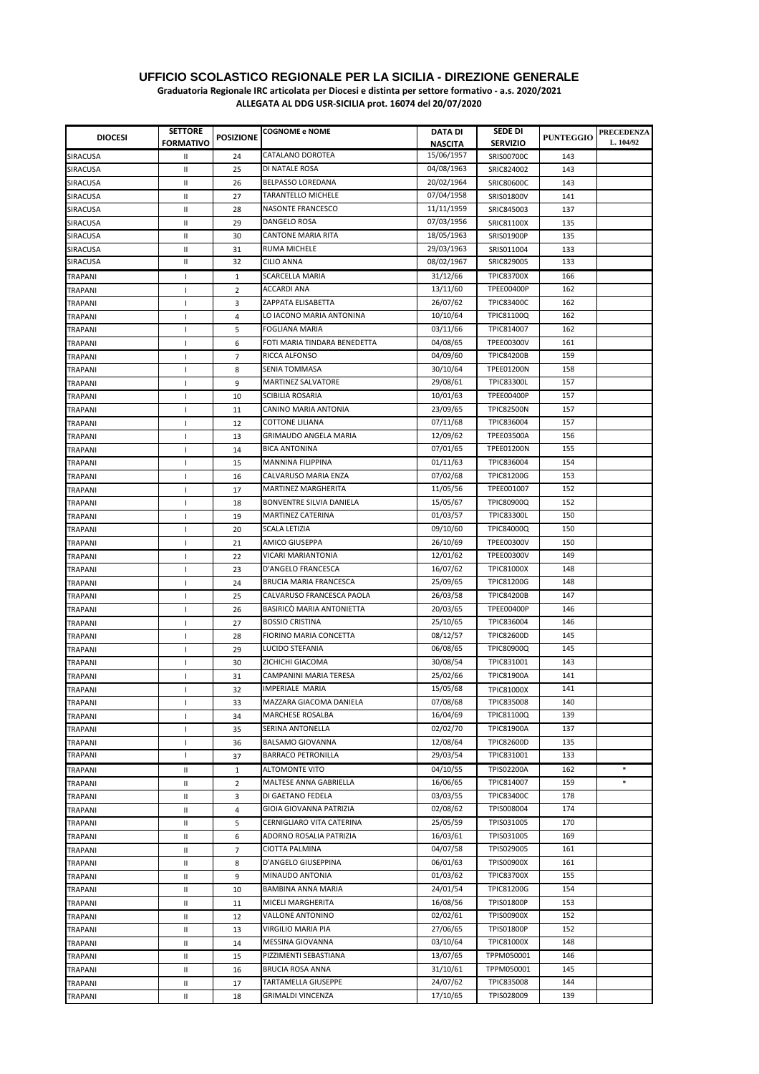**Graduatoria Regionale IRC articolata per Diocesi e distinta per settore formativo - a.s. 2020/2021**

| <b>DIOCESI</b>            | <b>SETTORE</b><br><b>FORMATIVO</b> | <b>POSIZIONE</b> | <b>COGNOME e NOME</b>        | DATA DI                      | SEDE DI<br><b>SERVIZIO</b> | <b>PUNTEGGIO</b> | <b>PRECEDENZA</b><br>L. 104/92 |
|---------------------------|------------------------------------|------------------|------------------------------|------------------------------|----------------------------|------------------|--------------------------------|
| SIRACUSA                  | Ш                                  | 24               | CATALANO DOROTEA             | <b>NASCITA</b><br>15/06/1957 | SRIS00700C                 | 143              |                                |
| SIRACUSA                  | Ш                                  | 25               | DI NATALE ROSA               | 04/08/1963                   | SRIC824002                 | 143              |                                |
| SIRACUSA                  | Ш                                  | 26               | <b>BELPASSO LOREDANA</b>     | 20/02/1964                   | SRIC80600C                 | 143              |                                |
| SIRACUSA                  | Ш                                  | 27               | TARANTELLO MICHELE           | 07/04/1958                   | SRIS01800V                 | 141              |                                |
| SIRACUSA                  | Ш                                  | 28               | NASONTE FRANCESCO            | 11/11/1959                   | SRIC845003                 | 137              |                                |
| SIRACUSA                  | Ш                                  | 29               | DANGELO ROSA                 | 07/03/1956                   | SRIC81100X                 | 135              |                                |
| SIRACUSA                  | Ш                                  | 30               | <b>CANTONE MARIA RITA</b>    | 18/05/1963                   | SRIS01900P                 | 135              |                                |
| SIRACUSA                  | Ш                                  | 31               | <b>RUMA MICHELE</b>          | 29/03/1963                   | SRIS011004                 | 133              |                                |
| SIRACUSA                  | $\mathsf{I}$                       | 32               | <b>CILIO ANNA</b>            | 08/02/1967                   | SRIC829005                 | 133              |                                |
| TRAPANI                   | $\mathbf{I}$                       | $\mathbf{1}$     | <b>SCARCELLA MARIA</b>       | 31/12/66                     | <b>TPIC83700X</b>          | 166              |                                |
|                           |                                    | 2                | ACCARDI ANA                  | 13/11/60                     | <b>TPEE00400P</b>          | 162              |                                |
| TRAPANI                   | $\mathsf{I}$                       | 3                | ZAPPATA ELISABETTA           | 26/07/62                     | <b>TPIC83400C</b>          | 162              |                                |
| TRAPANI<br>TRAPANI        | $\mathbf{I}$<br>$\mathsf{I}$       | $\overline{4}$   | LO IACONO MARIA ANTONINA     | 10/10/64                     | <b>TPIC81100Q</b>          | 162              |                                |
| TRAPANI                   | $\mathsf{I}$                       | 5                | <b>FOGLIANA MARIA</b>        | 03/11/66                     | TPIC814007                 | 162              |                                |
| TRAPANI                   | $\mathsf{I}$                       | 6                | FOTI MARIA TINDARA BENEDETTA | 04/08/65                     | <b>TPEE00300V</b>          | 161              |                                |
| TRAPANI                   | $\mathbf{I}$                       | $\overline{7}$   | RICCA ALFONSO                | 04/09/60                     | <b>TPIC84200B</b>          | 159              |                                |
| TRAPANI                   | $\mathsf{I}$                       | 8                | <b>SENIA TOMMASA</b>         | 30/10/64                     | <b>TPEE01200N</b>          | 158              |                                |
| TRAPANI                   | $\mathsf{I}$                       | 9                | MARTINEZ SALVATORE           | 29/08/61                     | TPIC83300L                 | 157              |                                |
|                           |                                    | 10               | SCIBILIA ROSARIA             | 10/01/63                     | <b>TPEE00400P</b>          | 157              |                                |
| TRAPANI<br><b>TRAPANI</b> | $\mathbf{I}$<br>$\mathbf{I}$       | 11               | CANINO MARIA ANTONIA         | 23/09/65                     | <b>TPIC82500N</b>          | 157              |                                |
| <b>TRAPANI</b>            | $\mathbf{I}$                       | 12               | <b>COTTONE LILIANA</b>       | 07/11/68                     | TPIC836004                 | 157              |                                |
| TRAPANI                   | $\mathsf{I}$                       | 13               | <b>GRIMAUDO ANGELA MARIA</b> | 12/09/62                     | <b>TPEE03500A</b>          | 156              |                                |
| <b>TRAPANI</b>            | $\mathbf{I}$                       | 14               | <b>BICA ANTONINA</b>         | 07/01/65                     | <b>TPEE01200N</b>          | 155              |                                |
|                           | $\mathbf{I}$                       | 15               | <b>MANNINA FILIPPINA</b>     | 01/11/63                     | TPIC836004                 | 154              |                                |
| <b>TRAPANI</b>            | $\mathbf{I}$                       |                  | CALVARUSO MARIA ENZA         | 07/02/68                     | <b>TPIC81200G</b>          | 153              |                                |
| <b>TRAPANI</b><br>TRAPANI | $\mathsf{I}$                       | 16<br>17         | <b>MARTINEZ MARGHERITA</b>   | 11/05/56                     | TPEE001007                 | 152              |                                |
|                           | $\mathbf{I}$                       | 18               | BONVENTRE SILVIA DANIELA     | 15/05/67                     | <b>TPIC80900Q</b>          | 152              |                                |
| TRAPANI<br>TRAPANI        | $\overline{\phantom{a}}$           | 19               | MARTINEZ CATERINA            | 01/03/57                     | <b>TPIC83300L</b>          | 150              |                                |
| TRAPANI                   | $\mathsf{I}$                       | 20               | <b>SCALA LETIZIA</b>         | 09/10/60                     | <b>TPIC84000Q</b>          | 150              |                                |
| TRAPANI                   | $\mathbf{I}$                       | 21               | AMICO GIUSEPPA               | 26/10/69                     | <b>TPEE00300V</b>          | 150              |                                |
|                           | $\mathbf{I}$                       | 22               | VICARI MARIANTONIA           | 12/01/62                     | <b>TPEE00300V</b>          | 149              |                                |
| TRAPANI<br>TRAPANI        | $\mathbf{I}$                       | 23               | D'ANGELO FRANCESCA           | 16/07/62                     | <b>TPIC81000X</b>          | 148              |                                |
| TRAPANI                   | $\mathsf{I}$                       | 24               | BRUCIA MARIA FRANCESCA       | 25/09/65                     | <b>TPIC81200G</b>          | 148              |                                |
| TRAPANI                   | $\mathbf{I}$                       | 25               | CALVARUSO FRANCESCA PAOLA    | 26/03/58                     | <b>TPIC84200B</b>          | 147              |                                |
| <b>TRAPANI</b>            | $\mathbf{I}$                       | 26               | BASIRICO MARIA ANTONIETTA    | 20/03/65                     | <b>TPEE00400P</b>          | 146              |                                |
| TRAPANI                   | $\mathbf{I}$                       | 27               | <b>BOSSIO CRISTINA</b>       | 25/10/65                     | TPIC836004                 | 146              |                                |
| <b>TRAPANI</b>            | J.                                 | 28               | FIORINO MARIA CONCETTA       | 08/12/57                     | <b>TPIC82600D</b>          | 145              |                                |
| TRAPANI                   | $\mathbf{I}$                       | 29               | LUCIDO STEFANIA              | 06/08/65                     | <b>TPIC80900Q</b>          | 145              |                                |
| TRAPANI                   | $\mathbf{I}$                       | 30               | ZICHICHI GIACOMA             | 30/08/54                     | TPIC831001                 | 143              |                                |
| TRAPANI                   | $\mathbf{I}$                       | 31               | CAMPANINI MARIA TERESA       | 25/02/66                     | <b>TPIC81900A</b>          | 141              |                                |
| TRAPANI                   | J.                                 | 32               | <b>IMPERIALE MARIA</b>       | 15/05/68                     | <b>TPIC81000X</b>          | 141              |                                |
| TRAPANI                   | J.                                 | 33               | MAZZARA GIACOMA DANIELA      | 07/08/68                     | TPIC835008                 | 140              |                                |
| TRAPANI                   | $\mathbf{I}$                       | 34               | MARCHESE ROSALBA             | 16/04/69                     | <b>TPIC81100Q</b>          | 139              |                                |
| TRAPANI                   | $\mathbf{I}$                       | 35               | SERINA ANTONELLA             | 02/02/70                     | <b>TPIC81900A</b>          | 137              |                                |
| TRAPANI                   | $\mathsf{I}$                       | 36               | BALSAMO GIOVANNA             | 12/08/64                     | <b>TPIC82600D</b>          | 135              |                                |
| TRAPANI                   | J.                                 | 37               | <b>BARRACO PETRONILLA</b>    | 29/03/54                     | TPIC831001                 | 133              |                                |
| TRAPANI                   | Ш                                  | $\mathbf{1}$     | ALTOMONTE VITO               | 04/10/55                     | TPIS02200A                 | 162              | $\ast$                         |
| TRAPANI                   | Ш                                  | $\overline{2}$   | MALTESE ANNA GABRIELLA       | 16/06/65                     | TPIC814007                 | 159              | $\ast$                         |
| TRAPANI                   | Ш                                  | 3                | DI GAETANO FEDELA            | 03/03/55                     | <b>TPIC83400C</b>          | 178              |                                |
| TRAPANI                   | Ш                                  | 4                | GIOIA GIOVANNA PATRIZIA      | 02/08/62                     | TPIS008004                 | 174              |                                |
| TRAPANI                   | Ш                                  | 5                | CERNIGLIARO VITA CATERINA    | 25/05/59                     | TPIS031005                 | 170              |                                |
| TRAPANI                   | Ш                                  | 6                | ADORNO ROSALIA PATRIZIA      | 16/03/61                     | TPIS031005                 | 169              |                                |
| TRAPANI                   | Ш                                  | $\overline{7}$   | CIOTTA PALMINA               | 04/07/58                     | TPIS029005                 | 161              |                                |
| TRAPANI                   | Ш                                  | 8                | D'ANGELO GIUSEPPINA          | 06/01/63                     | <b>TPIS00900X</b>          | 161              |                                |
| TRAPANI                   | $\mathsf{I}$                       | 9                | MINAUDO ANTONIA              | 01/03/62                     | <b>TPIC83700X</b>          | 155              |                                |
| TRAPANI                   | $\sf II$                           | 10               | BAMBINA ANNA MARIA           | 24/01/54                     | TPIC81200G                 | 154              |                                |
| TRAPANI                   | Ш                                  | 11               | MICELI MARGHERITA            | 16/08/56                     | <b>TPIS01800P</b>          | 153              |                                |
| TRAPANI                   | Ш                                  | 12               | VALLONE ANTONINO             | 02/02/61                     | <b>TPIS00900X</b>          | 152              |                                |
| TRAPANI                   | Ш                                  | 13               | VIRGILIO MARIA PIA           | 27/06/65                     | <b>TPIS01800P</b>          | 152              |                                |
| TRAPANI                   | Ш                                  | 14               | MESSINA GIOVANNA             | 03/10/64                     | <b>TPIC81000X</b>          | 148              |                                |
| TRAPANI                   | Ш                                  | 15               | PIZZIMENTI SEBASTIANA        | 13/07/65                     | TPPM050001                 | 146              |                                |
| TRAPANI                   | Ш                                  | 16               | <b>BRUCIA ROSA ANNA</b>      | 31/10/61                     | TPPM050001                 | 145              |                                |
| TRAPANI                   | Ш                                  | 17               | TARTAMELLA GIUSEPPE          | 24/07/62                     | TPIC835008                 | 144              |                                |
| TRAPANI                   | Ш                                  | 18               | <b>GRIMALDI VINCENZA</b>     | 17/10/65                     | TPIS028009                 | 139              |                                |